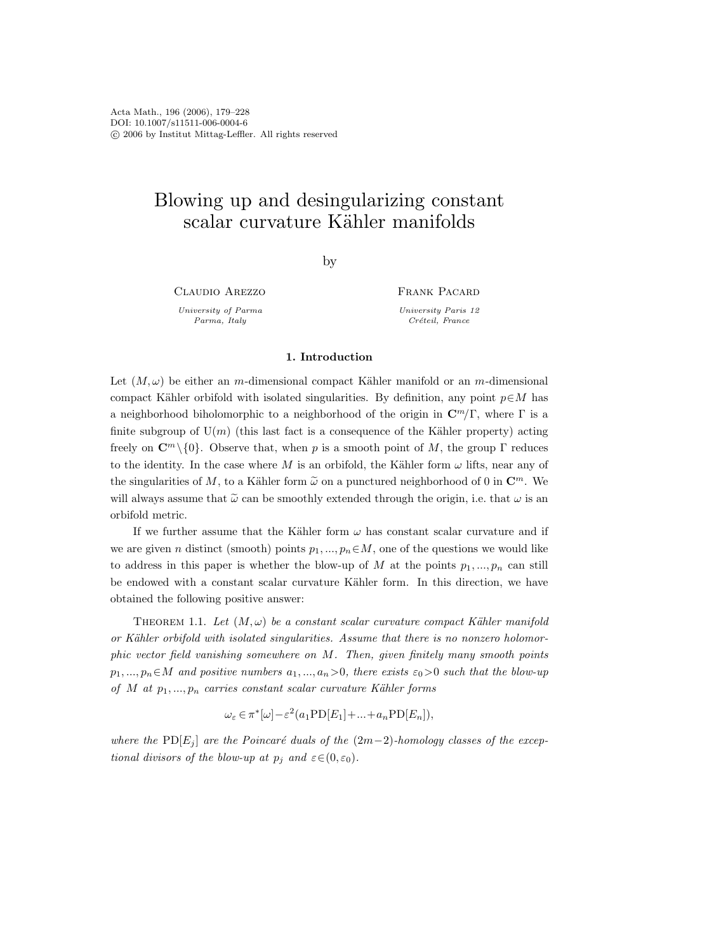# Blowing up and desingularizing constant scalar curvature Kähler manifolds

by

Claudio Arezzo

University of Parma Parma, Italy

Frank Pacard University Paris 12 Créteil, France

# 1. Introduction

Let  $(M, \omega)$  be either an m-dimensional compact Kähler manifold or an m-dimensional compact Kähler orbifold with isolated singularities. By definition, any point  $p \in M$  has a neighborhood biholomorphic to a neighborhood of the origin in  $\mathbb{C}^m/\Gamma$ , where  $\Gamma$  is a finite subgroup of  $U(m)$  (this last fact is a consequence of the Kähler property) acting freely on  $\mathbb{C}^m\setminus\{0\}$ . Observe that, when p is a smooth point of M, the group Γ reduces to the identity. In the case where M is an orbifold, the Kähler form  $\omega$  lifts, near any of the singularities of M, to a Kähler form  $\tilde{\omega}$  on a punctured neighborhood of 0 in  $\mathbb{C}^m$ . We will always assume that  $\tilde{\omega}$  can be smoothly extended through the origin, i.e. that  $\omega$  is an orbifold metric.

If we further assume that the Kähler form  $\omega$  has constant scalar curvature and if we are given n distinct (smooth) points  $p_1, ..., p_n \in M$ , one of the questions we would like to address in this paper is whether the blow-up of M at the points  $p_1, ..., p_n$  can still be endowed with a constant scalar curvature Kähler form. In this direction, we have obtained the following positive answer:

THEOREM 1.1. Let  $(M, \omega)$  be a constant scalar curvature compact Kähler manifold or Kähler orbifold with isolated singularities. Assume that there is no nonzero holomorphic vector field vanishing somewhere on M. Then, given finitely many smooth points  $p_1, ..., p_n \in M$  and positive numbers  $a_1, ..., a_n > 0$ , there exists  $\varepsilon_0 > 0$  such that the blow-up of M at  $p_1, ..., p_n$  carries constant scalar curvature Kähler forms

$$
\omega_{\varepsilon} \in \pi^*[\omega] - \varepsilon^2 (a_1 \operatorname{PD}[E_1] + \dots + a_n \operatorname{PD}[E_n]),
$$

where the PD[E<sub>j</sub>] are the Poincaré duals of the  $(2m-2)$ -homology classes of the exceptional divisors of the blow-up at  $p_i$  and  $\varepsilon \in (0, \varepsilon_0)$ .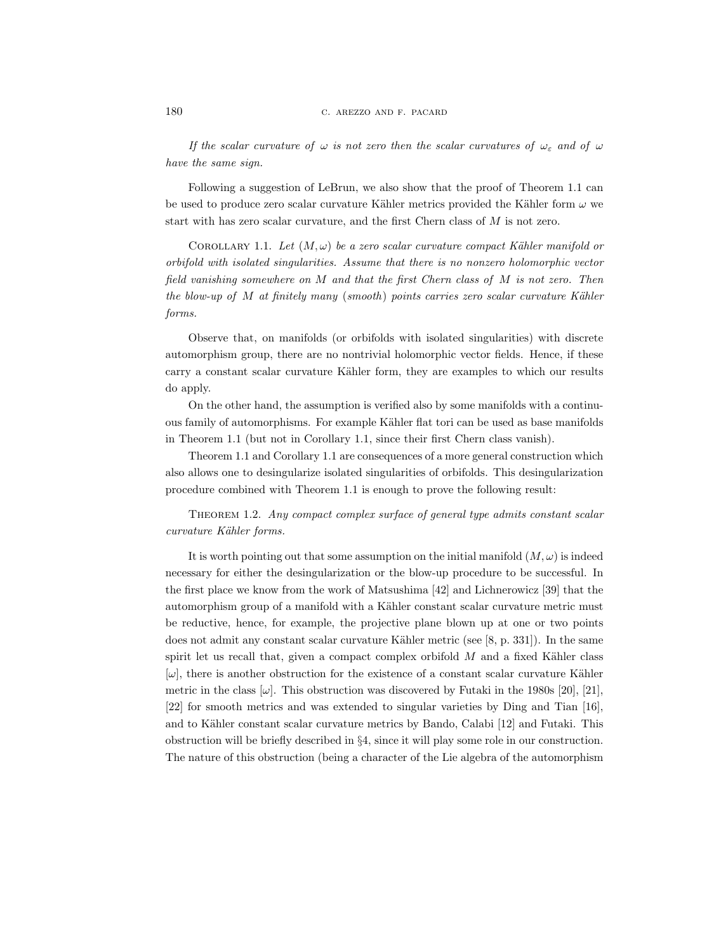If the scalar curvature of  $\omega$  is not zero then the scalar curvatures of  $\omega_{\epsilon}$  and of  $\omega$ have the same sign.

Following a suggestion of LeBrun, we also show that the proof of Theorem 1.1 can be used to produce zero scalar curvature Kähler metrics provided the Kähler form  $\omega$  we start with has zero scalar curvature, and the first Chern class of M is not zero.

COROLLARY 1.1. Let  $(M, \omega)$  be a zero scalar curvature compact Kähler manifold or orbifold with isolated singularities. Assume that there is no nonzero holomorphic vector field vanishing somewhere on M and that the first Chern class of M is not zero. Then the blow-up of  $M$  at finitely many (smooth) points carries zero scalar curvature Kähler forms.

Observe that, on manifolds (or orbifolds with isolated singularities) with discrete automorphism group, there are no nontrivial holomorphic vector fields. Hence, if these carry a constant scalar curvature Kähler form, they are examples to which our results do apply.

On the other hand, the assumption is verified also by some manifolds with a continuous family of automorphisms. For example Kähler flat tori can be used as base manifolds in Theorem 1.1 (but not in Corollary 1.1, since their first Chern class vanish).

Theorem 1.1 and Corollary 1.1 are consequences of a more general construction which also allows one to desingularize isolated singularities of orbifolds. This desingularization procedure combined with Theorem 1.1 is enough to prove the following result:

Theorem 1.2. Any compact complex surface of general type admits constant scalar curvature Kähler forms.

It is worth pointing out that some assumption on the initial manifold  $(M, \omega)$  is indeed necessary for either the desingularization or the blow-up procedure to be successful. In the first place we know from the work of Matsushima [42] and Lichnerowicz [39] that the automorphism group of a manifold with a Kähler constant scalar curvature metric must be reductive, hence, for example, the projective plane blown up at one or two points does not admit any constant scalar curvature Kähler metric (see  $[8, p. 331]$ ). In the same spirit let us recall that, given a compact complex orbifold  $M$  and a fixed Kähler class  $[\omega]$ , there is another obstruction for the existence of a constant scalar curvature Kähler metric in the class  $[\omega]$ . This obstruction was discovered by Futaki in the 1980s [20], [21], [22] for smooth metrics and was extended to singular varieties by Ding and Tian [16], and to Kähler constant scalar curvature metrics by Bando, Calabi [12] and Futaki. This obstruction will be briefly described in §4, since it will play some role in our construction. The nature of this obstruction (being a character of the Lie algebra of the automorphism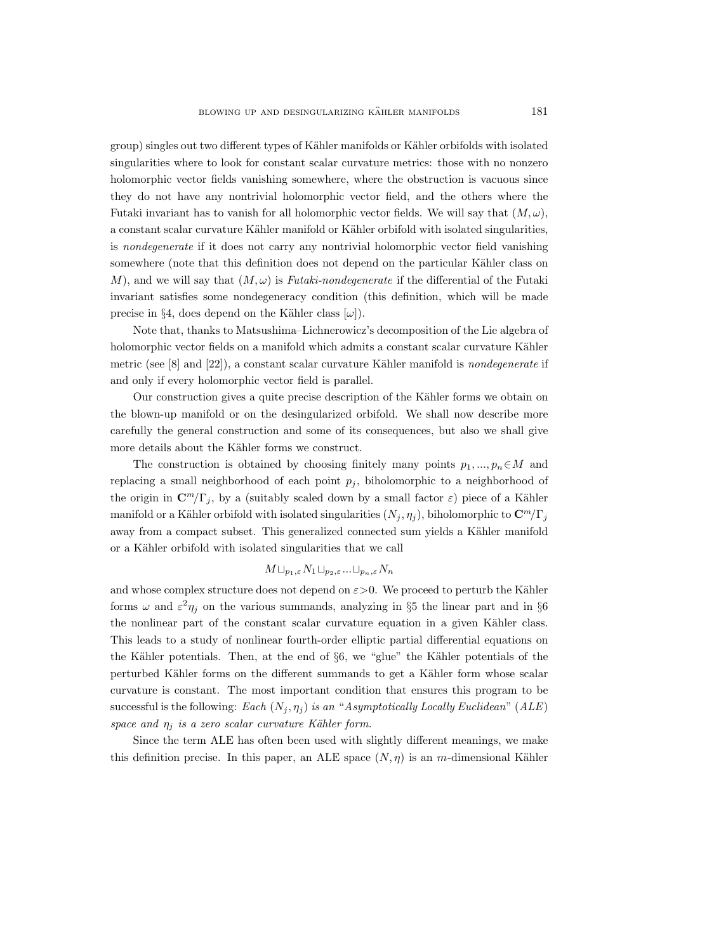group) singles out two different types of Kähler manifolds or Kähler orbifolds with isolated singularities where to look for constant scalar curvature metrics: those with no nonzero holomorphic vector fields vanishing somewhere, where the obstruction is vacuous since they do not have any nontrivial holomorphic vector field, and the others where the Futaki invariant has to vanish for all holomorphic vector fields. We will say that  $(M, \omega)$ , a constant scalar curvature Kähler manifold or Kähler orbifold with isolated singularities, is nondegenerate if it does not carry any nontrivial holomorphic vector field vanishing somewhere (note that this definition does not depend on the particular Kähler class on M), and we will say that  $(M, \omega)$  is Futaki-nondegenerate if the differential of the Futaki invariant satisfies some nondegeneracy condition (this definition, which will be made precise in §4, does depend on the Kähler class  $[\omega]$ ).

Note that, thanks to Matsushima–Lichnerowicz's decomposition of the Lie algebra of holomorphic vector fields on a manifold which admits a constant scalar curvature Kähler metric (see  $[8]$  and  $[22]$ ), a constant scalar curvature Kähler manifold is nondegenerate if and only if every holomorphic vector field is parallel.

Our construction gives a quite precise description of the Kähler forms we obtain on the blown-up manifold or on the desingularized orbifold. We shall now describe more carefully the general construction and some of its consequences, but also we shall give more details about the Kähler forms we construct.

The construction is obtained by choosing finitely many points  $p_1, ..., p_n \in M$  and replacing a small neighborhood of each point  $p_i$ , biholomorphic to a neighborhood of the origin in  $\mathbb{C}^m/\Gamma_j$ , by a (suitably scaled down by a small factor  $\varepsilon$ ) piece of a Kähler manifold or a Kähler orbifold with isolated singularities  $(N_j, \eta_j)$ , biholomorphic to  $\mathbb{C}^m/\Gamma_j$ away from a compact subset. This generalized connected sum yields a Kähler manifold or a Kähler orbifold with isolated singularities that we call

# $M \sqcup_{p_1,\varepsilon} N_1 \sqcup_{p_2,\varepsilon} \ldots \sqcup_{p_n,\varepsilon} N_n$

and whose complex structure does not depend on  $\varepsilon > 0$ . We proceed to perturb the Kähler forms  $\omega$  and  $\varepsilon^2 \eta_j$  on the various summands, analyzing in §5 the linear part and in §6 the nonlinear part of the constant scalar curvature equation in a given Kähler class. This leads to a study of nonlinear fourth-order elliptic partial differential equations on the Kähler potentials. Then, at the end of  $\S6$ , we "glue" the Kähler potentials of the perturbed K¨ahler forms on the different summands to get a K¨ahler form whose scalar curvature is constant. The most important condition that ensures this program to be successful is the following: Each  $(N_j, \eta_j)$  is an "Asymptotically Locally Euclidean" (ALE) space and  $\eta_i$  is a zero scalar curvature Kähler form.

Since the term ALE has often been used with slightly different meanings, we make this definition precise. In this paper, an ALE space  $(N, \eta)$  is an m-dimensional Kähler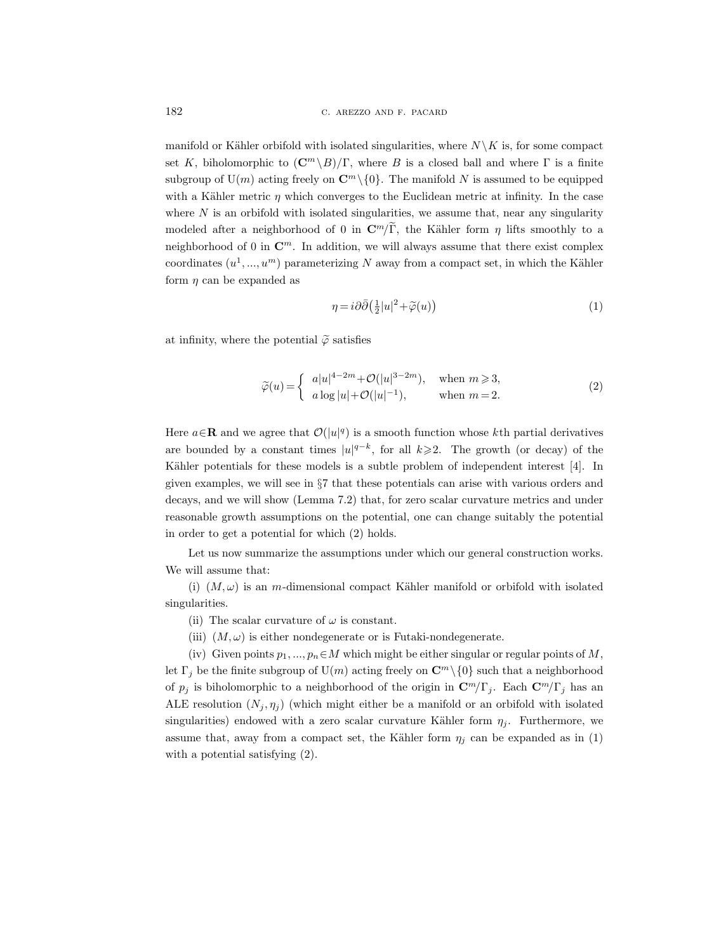manifold or Kähler orbifold with isolated singularities, where  $N \backslash K$  is, for some compact set K, biholomorphic to  $(\mathbb{C}^m \setminus B)/\Gamma$ , where B is a closed ball and where  $\Gamma$  is a finite subgroup of  $U(m)$  acting freely on  $\mathbb{C}^m \setminus \{0\}$ . The manifold N is assumed to be equipped with a Kähler metric  $\eta$  which converges to the Euclidean metric at infinity. In the case where  $N$  is an orbifold with isolated singularities, we assume that, near any singularity modeled after a neighborhood of 0 in  $\mathbb{C}^m/\widetilde{\Gamma}$ , the Kähler form  $\eta$  lifts smoothly to a neighborhood of 0 in  $\mathbb{C}^m$ . In addition, we will always assume that there exist complex coordinates  $(u^1, ..., u^m)$  parameterizing N away from a compact set, in which the Kähler form  $\eta$  can be expanded as

$$
\eta = i\partial\bar{\partial} \left(\frac{1}{2}|u|^2 + \widetilde{\varphi}(u)\right) \tag{1}
$$

at infinity, where the potential  $\tilde{\varphi}$  satisfies

$$
\widetilde{\varphi}(u) = \begin{cases}\n a|u|^{4-2m} + \mathcal{O}(|u|^{3-2m}), & \text{when } m \ge 3, \\
a\log|u| + \mathcal{O}(|u|^{-1}), & \text{when } m = 2.\n\end{cases}
$$
\n(2)

Here  $a \in \mathbf{R}$  and we agree that  $\mathcal{O}(|u|^q)$  is a smooth function whose kth partial derivatives are bounded by a constant times  $|u|^{q-k}$ , for all  $k \geq 2$ . The growth (or decay) of the Kähler potentials for these models is a subtle problem of independent interest [4]. In given examples, we will see in §7 that these potentials can arise with various orders and decays, and we will show (Lemma 7.2) that, for zero scalar curvature metrics and under reasonable growth assumptions on the potential, one can change suitably the potential in order to get a potential for which (2) holds.

Let us now summarize the assumptions under which our general construction works. We will assume that:

(i)  $(M, \omega)$  is an m-dimensional compact Kähler manifold or orbifold with isolated singularities.

- (ii) The scalar curvature of  $\omega$  is constant.
- (iii)  $(M, \omega)$  is either nondegenerate or is Futaki-nondegenerate.

(iv) Given points  $p_1, ..., p_n \in M$  which might be either singular or regular points of M, let  $\Gamma_j$  be the finite subgroup of  $\mathrm{U}(m)$  acting freely on  $\mathbb{C}^m \setminus \{0\}$  such that a neighborhood of  $p_j$  is biholomorphic to a neighborhood of the origin in  $\mathbb{C}^m/\Gamma_j$ . Each  $\mathbb{C}^m/\Gamma_j$  has an ALE resolution  $(N_i, \eta_i)$  (which might either be a manifold or an orbifold with isolated singularities) endowed with a zero scalar curvature Kähler form  $\eta_i$ . Furthermore, we assume that, away from a compact set, the Kähler form  $\eta_i$  can be expanded as in (1) with a potential satisfying (2).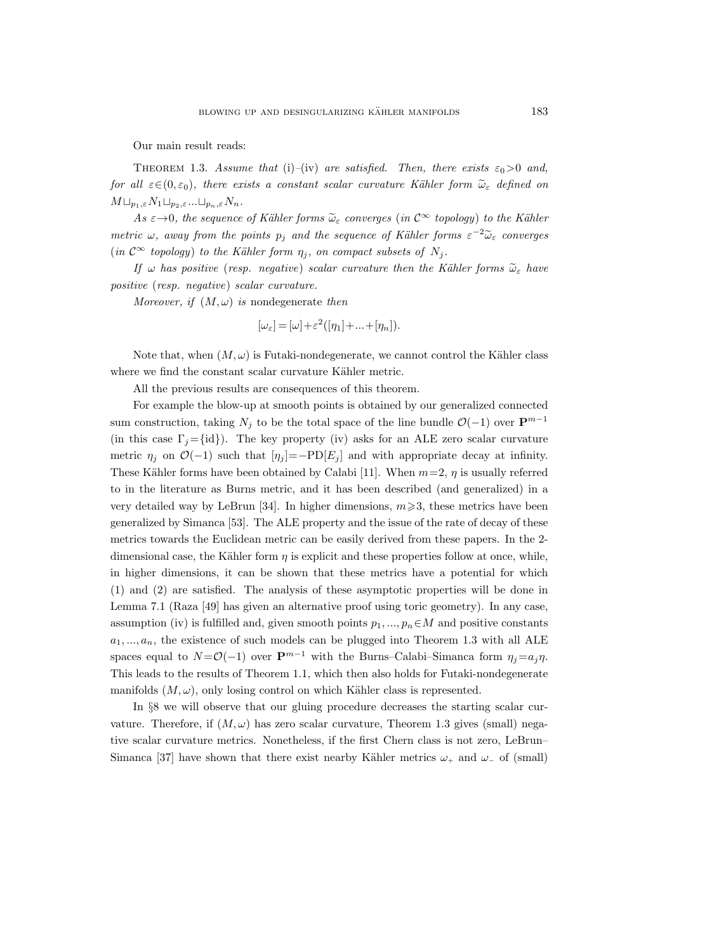Our main result reads:

THEOREM 1.3. Assume that (i)–(iv) are satisfied. Then, there exists  $\varepsilon_0 > 0$  and, for all  $\varepsilon \in (0, \varepsilon_0)$ , there exists a constant scalar curvature Kähler form  $\widetilde{\omega}_{\varepsilon}$  defined on  $M \sqcup_{p_1,\varepsilon} N_1 \sqcup_{p_2,\varepsilon} \ldots \sqcup_{p_n,\varepsilon} N_n.$ 

As  $\varepsilon \rightarrow 0$ , the sequence of Kähler forms  $\tilde{\omega}_{\varepsilon}$  converges (in  $\mathcal{C}^{\infty}$  topology) to the Kähler metric  $\omega$ , away from the points  $p_j$  and the sequence of Kähler forms  $\varepsilon^{-2}\tilde{\omega}_{\varepsilon}$  converges (in  $\mathcal{C}^{\infty}$  topology) to the Kähler form  $\eta_j$ , on compact subsets of  $N_j$ .

If  $\omega$  has positive (resp. negative) scalar curvature then the Kähler forms  $\tilde{\omega}_{\varepsilon}$  have positive (resp. negative) scalar curvature.

Moreover, if  $(M, \omega)$  is nondegenerate then

$$
[\omega_{\varepsilon}]=[\omega]+\varepsilon^2([\eta_1]+\ldots+[\eta_n]).
$$

Note that, when  $(M, \omega)$  is Futaki-nondegenerate, we cannot control the Kähler class where we find the constant scalar curvature Kähler metric.

All the previous results are consequences of this theorem.

For example the blow-up at smooth points is obtained by our generalized connected sum construction, taking  $N_j$  to be the total space of the line bundle  $\mathcal{O}(-1)$  over  $\mathbf{P}^{m-1}$ (in this case  $\Gamma_i = \{id\}$ ). The key property (iv) asks for an ALE zero scalar curvature metric  $\eta_j$  on  $\mathcal{O}(-1)$  such that  $[\eta_j] = -PD[E_j]$  and with appropriate decay at infinity. These Kähler forms have been obtained by Calabi [11]. When  $m=2$ ,  $\eta$  is usually referred to in the literature as Burns metric, and it has been described (and generalized) in a very detailed way by LeBrun [34]. In higher dimensions,  $m \geqslant 3$ , these metrics have been generalized by Simanca [53]. The ALE property and the issue of the rate of decay of these metrics towards the Euclidean metric can be easily derived from these papers. In the 2 dimensional case, the Kähler form  $\eta$  is explicit and these properties follow at once, while, in higher dimensions, it can be shown that these metrics have a potential for which (1) and (2) are satisfied. The analysis of these asymptotic properties will be done in Lemma 7.1 (Raza [49] has given an alternative proof using toric geometry). In any case, assumption (iv) is fulfilled and, given smooth points  $p_1, ..., p_n \in M$  and positive constants  $a_1, ..., a_n$ , the existence of such models can be plugged into Theorem 1.3 with all ALE spaces equal to  $N = \mathcal{O}(-1)$  over  $\mathbf{P}^{m-1}$  with the Burns–Calabi–Simanca form  $\eta_j = a_j \eta$ . This leads to the results of Theorem 1.1, which then also holds for Futaki-nondegenerate manifolds  $(M, \omega)$ , only losing control on which Kähler class is represented.

In §8 we will observe that our gluing procedure decreases the starting scalar curvature. Therefore, if  $(M, \omega)$  has zero scalar curvature, Theorem 1.3 gives (small) negative scalar curvature metrics. Nonetheless, if the first Chern class is not zero, LeBrun– Simanca [37] have shown that there exist nearby Kähler metrics  $\omega_+$  and  $\omega_-$  of (small)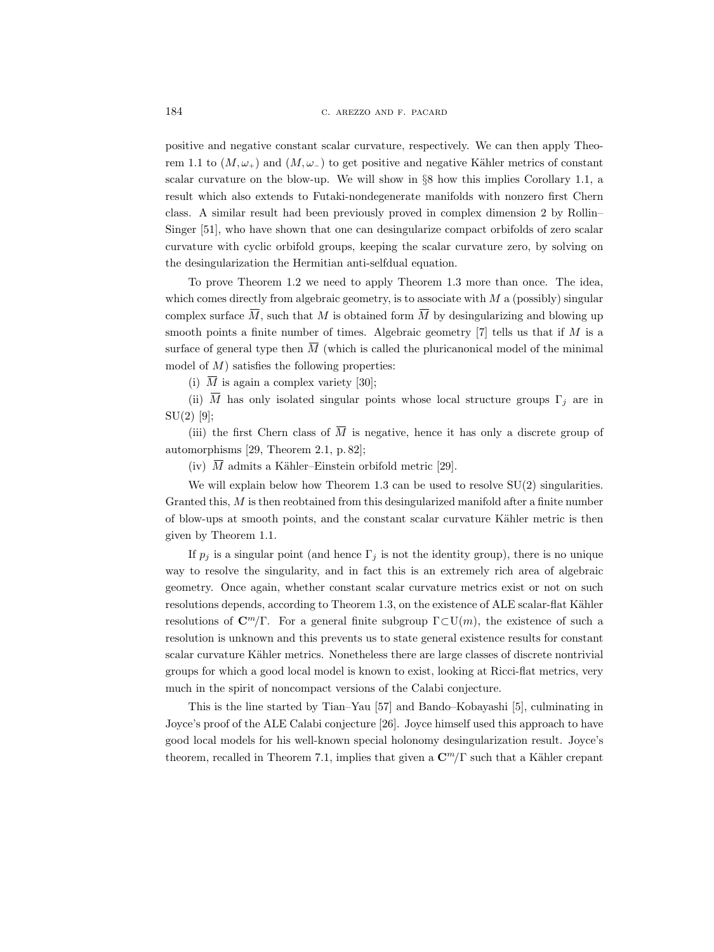positive and negative constant scalar curvature, respectively. We can then apply Theorem 1.1 to  $(M, \omega_+)$  and  $(M, \omega_-)$  to get positive and negative Kähler metrics of constant scalar curvature on the blow-up. We will show in §8 how this implies Corollary 1.1, a result which also extends to Futaki-nondegenerate manifolds with nonzero first Chern class. A similar result had been previously proved in complex dimension 2 by Rollin– Singer [51], who have shown that one can desingularize compact orbifolds of zero scalar curvature with cyclic orbifold groups, keeping the scalar curvature zero, by solving on the desingularization the Hermitian anti-selfdual equation.

To prove Theorem 1.2 we need to apply Theorem 1.3 more than once. The idea, which comes directly from algebraic geometry, is to associate with  $M$  a (possibly) singular complex surface  $\overline{M}$ , such that M is obtained form  $\overline{M}$  by desingularizing and blowing up smooth points a finite number of times. Algebraic geometry  $[7]$  tells us that if M is a surface of general type then  $\overline{M}$  (which is called the pluricanonical model of the minimal model of  $M$ ) satisfies the following properties:

(i)  $\overline{M}$  is again a complex variety [30];

(ii)  $\overline{M}$  has only isolated singular points whose local structure groups  $\Gamma_j$  are in  $SU(2)$  [9];

(iii) the first Chern class of  $\overline{M}$  is negative, hence it has only a discrete group of automorphisms [29, Theorem 2.1, p. 82];

(iv)  $\overline{M}$  admits a Kähler–Einstein orbifold metric [29].

We will explain below how Theorem 1.3 can be used to resolve  $SU(2)$  singularities. Granted this,  $M$  is then reobtained from this desingularized manifold after a finite number of blow-ups at smooth points, and the constant scalar curvature K¨ahler metric is then given by Theorem 1.1.

If  $p_j$  is a singular point (and hence  $\Gamma_j$  is not the identity group), there is no unique way to resolve the singularity, and in fact this is an extremely rich area of algebraic geometry. Once again, whether constant scalar curvature metrics exist or not on such resolutions depends, according to Theorem 1.3, on the existence of ALE scalar-flat Kähler resolutions of  $\mathbb{C}^m/\Gamma$ . For a general finite subgroup  $\Gamma \subset \mathrm{U}(m)$ , the existence of such a resolution is unknown and this prevents us to state general existence results for constant scalar curvature Kähler metrics. Nonetheless there are large classes of discrete nontrivial groups for which a good local model is known to exist, looking at Ricci-flat metrics, very much in the spirit of noncompact versions of the Calabi conjecture.

This is the line started by Tian–Yau [57] and Bando–Kobayashi [5], culminating in Joyce's proof of the ALE Calabi conjecture [26]. Joyce himself used this approach to have good local models for his well-known special holonomy desingularization result. Joyce's theorem, recalled in Theorem 7.1, implies that given a  $\mathbb{C}^m/\Gamma$  such that a Kähler crepant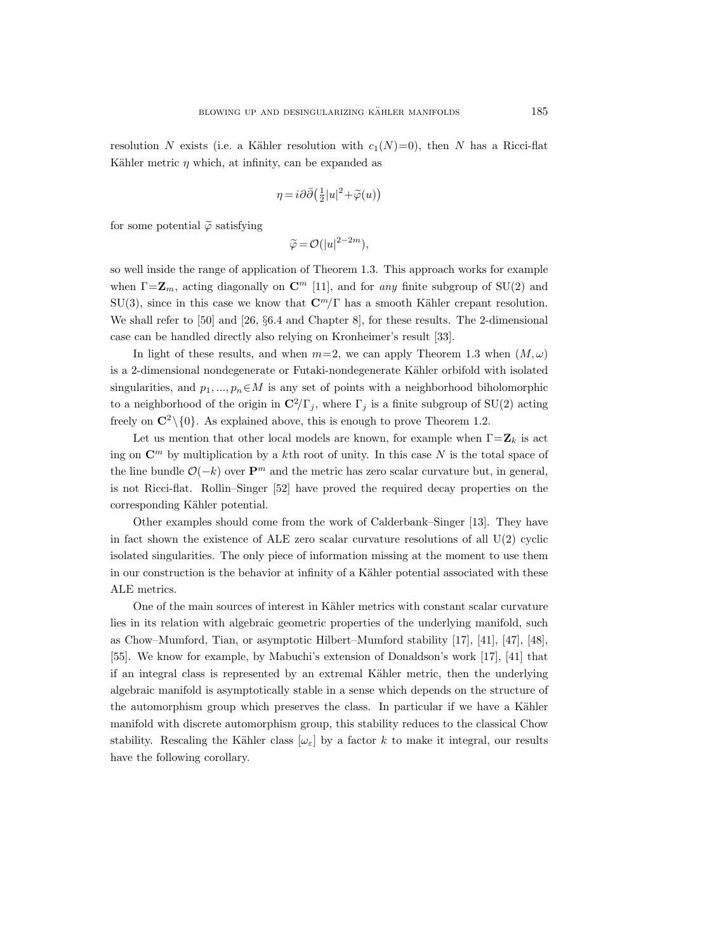resolution N exists (i.e. a Kähler resolution with  $c_1(N)=0$ ), then N has a Ricci-flat Kähler metric  $\eta$  which, at infinity, can be expanded as

$$
\eta = i\partial\bar{\partial} \left(\frac{1}{2}|u|^2 + \widetilde{\varphi}(u)\right)
$$

for some potential  $\tilde{\varphi}$  satisfying

$$
\widetilde{\varphi} = \mathcal{O}(|u|^{2-2m}),
$$

so well inside the range of application of Theorem 1.3. This approach works for example when  $\Gamma = \mathbb{Z}_m$ , acting diagonally on  $\mathbb{C}^m$  [11], and for any finite subgroup of SU(2) and SU(3), since in this case we know that  $\mathbb{C}^m/\Gamma$  has a smooth Kähler crepant resolution. We shall refer to [50] and [26, §6.4 and Chapter 8], for these results. The 2-dimensional case can be handled directly also relying on Kronheimer's result [33].

In light of these results, and when  $m=2$ , we can apply Theorem 1.3 when  $(M, \omega)$ is a 2-dimensional nondegenerate or Futaki-nondegenerate Kähler orbifold with isolated singularities, and  $p_1, ..., p_n \in M$  is any set of points with a neighborhood biholomorphic to a neighborhood of the origin in  $\mathbb{C}^2/\Gamma_j$ , where  $\Gamma_j$  is a finite subgroup of SU(2) acting freely on  $\mathbb{C}^2 \setminus \{0\}$ . As explained above, this is enough to prove Theorem 1.2.

Let us mention that other local models are known, for example when  $\Gamma = \mathbf{Z}_k$  is act ing on  $\mathbb{C}^m$  by multiplication by a kth root of unity. In this case N is the total space of the line bundle  $\mathcal{O}(-k)$  over  $\mathbf{P}^m$  and the metric has zero scalar curvature but, in general, is not Ricci-flat. Rollin–Singer [52] have proved the required decay properties on the corresponding Kähler potential.

Other examples should come from the work of Calderbank–Singer [13]. They have in fact shown the existence of ALE zero scalar curvature resolutions of all  $U(2)$  cyclic isolated singularities. The only piece of information missing at the moment to use them in our construction is the behavior at infinity of a Kähler potential associated with these ALE metrics.

One of the main sources of interest in Kähler metrics with constant scalar curvature lies in its relation with algebraic geometric properties of the underlying manifold, such as Chow–Mumford, Tian, or asymptotic Hilbert–Mumford stability [17], [41], [47], [48], [55]. We know for example, by Mabuchi's extension of Donaldson's work [17], [41] that if an integral class is represented by an extremal Kähler metric, then the underlying algebraic manifold is asymptotically stable in a sense which depends on the structure of the automorphism group which preserves the class. In particular if we have a Kähler manifold with discrete automorphism group, this stability reduces to the classical Chow stability. Rescaling the Kähler class  $[\omega_{\varepsilon}]$  by a factor k to make it integral, our results have the following corollary.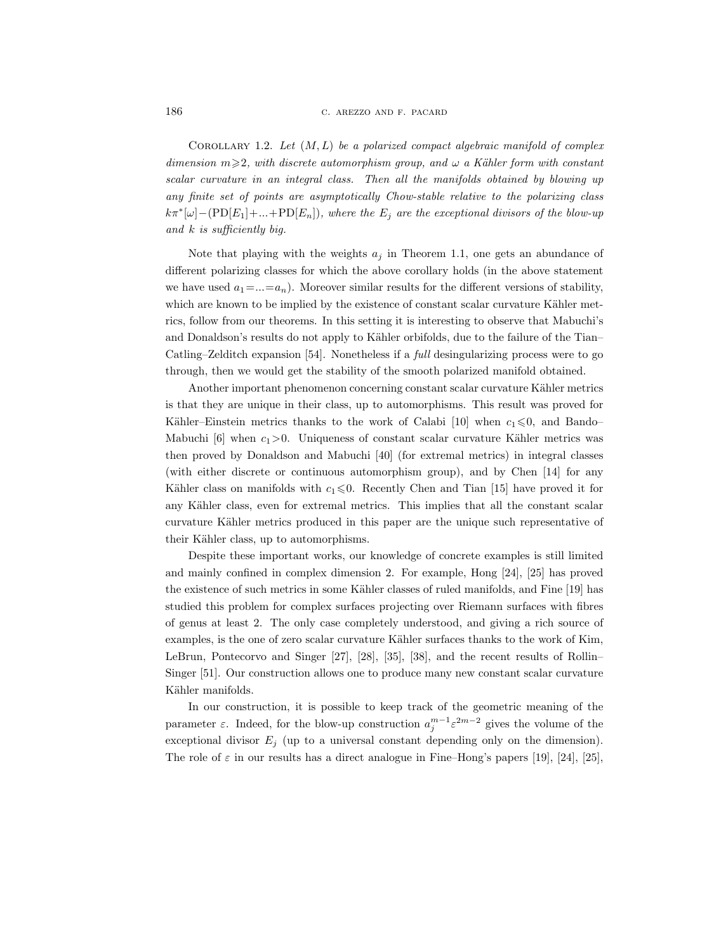COROLLARY 1.2. Let  $(M, L)$  be a polarized compact algebraic manifold of complex dimension  $m\geqslant 2$ , with discrete automorphism group, and  $\omega$  a Kähler form with constant scalar curvature in an integral class. Then all the manifolds obtained by blowing up any finite set of points are asymptotically Chow-stable relative to the polarizing class  $k\pi^*[\omega] - (PD[E_1] + ... + PD[E_n]),$  where the  $E_j$  are the exceptional divisors of the blow-up and  $k$  is sufficiently big.

Note that playing with the weights  $a_i$  in Theorem 1.1, one gets an abundance of different polarizing classes for which the above corollary holds (in the above statement we have used  $a_1 = ... = a_n$ ). Moreover similar results for the different versions of stability, which are known to be implied by the existence of constant scalar curvature Kähler metrics, follow from our theorems. In this setting it is interesting to observe that Mabuchi's and Donaldson's results do not apply to Kähler orbifolds, due to the failure of the Tian– Catling–Zelditch expansion [54]. Nonetheless if a full desingularizing process were to go through, then we would get the stability of the smooth polarized manifold obtained.

Another important phenomenon concerning constant scalar curvature Kähler metrics is that they are unique in their class, up to automorphisms. This result was proved for Kähler–Einstein metrics thanks to the work of Calabi [10] when  $c_1 \leq 0$ , and Bando– Mabuchi  $[6]$  when  $c_1>0$ . Uniqueness of constant scalar curvature Kähler metrics was then proved by Donaldson and Mabuchi [40] (for extremal metrics) in integral classes (with either discrete or continuous automorphism group), and by Chen [14] for any Kähler class on manifolds with  $c_1 \leq 0$ . Recently Chen and Tian [15] have proved it for any Kähler class, even for extremal metrics. This implies that all the constant scalar curvature Kähler metrics produced in this paper are the unique such representative of their Kähler class, up to automorphisms.

Despite these important works, our knowledge of concrete examples is still limited and mainly confined in complex dimension 2. For example, Hong [24], [25] has proved the existence of such metrics in some Kähler classes of ruled manifolds, and Fine [19] has studied this problem for complex surfaces projecting over Riemann surfaces with fibres of genus at least 2. The only case completely understood, and giving a rich source of examples, is the one of zero scalar curvature Kähler surfaces thanks to the work of Kim, LeBrun, Pontecorvo and Singer [27], [28], [35], [38], and the recent results of Rollin– Singer [51]. Our construction allows one to produce many new constant scalar curvature Kähler manifolds.

In our construction, it is possible to keep track of the geometric meaning of the parameter  $\varepsilon$ . Indeed, for the blow-up construction  $a_j^{m-1} \varepsilon^{2m-2}$  gives the volume of the exceptional divisor  $E_j$  (up to a universal constant depending only on the dimension). The role of  $\varepsilon$  in our results has a direct analogue in Fine–Hong's papers [19], [24], [25],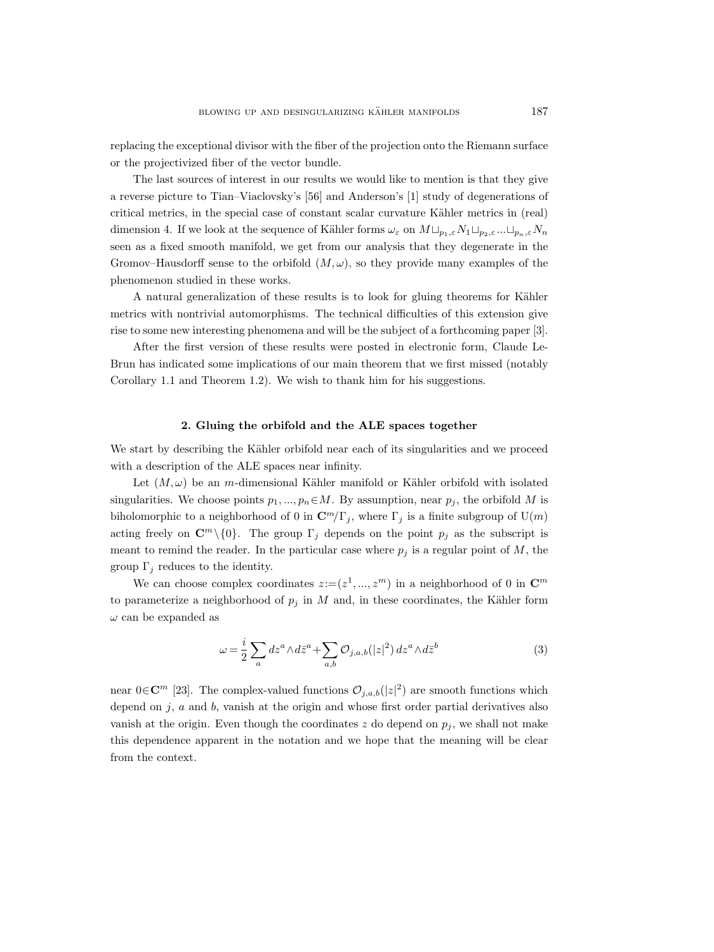replacing the exceptional divisor with the fiber of the projection onto the Riemann surface or the projectivized fiber of the vector bundle.

The last sources of interest in our results we would like to mention is that they give a reverse picture to Tian–Viaclovsky's [56] and Anderson's [1] study of degenerations of critical metrics, in the special case of constant scalar curvature Kähler metrics in (real) dimension 4. If we look at the sequence of Kähler forms  $\omega_{\varepsilon}$  on  $M \sqcup_{p_1,\varepsilon} N_1 \sqcup_{p_2,\varepsilon} \dots \sqcup_{p_n,\varepsilon} N_n$ seen as a fixed smooth manifold, we get from our analysis that they degenerate in the Gromov–Hausdorff sense to the orbifold  $(M, \omega)$ , so they provide many examples of the phenomenon studied in these works.

A natural generalization of these results is to look for gluing theorems for Kähler metrics with nontrivial automorphisms. The technical difficulties of this extension give rise to some new interesting phenomena and will be the subject of a forthcoming paper [3].

After the first version of these results were posted in electronic form, Claude Le-Brun has indicated some implications of our main theorem that we first missed (notably Corollary 1.1 and Theorem 1.2). We wish to thank him for his suggestions.

## 2. Gluing the orbifold and the ALE spaces together

We start by describing the Kähler orbifold near each of its singularities and we proceed with a description of the ALE spaces near infinity.

Let  $(M, \omega)$  be an m-dimensional Kähler manifold or Kähler orbifold with isolated singularities. We choose points  $p_1, ..., p_n \in M$ . By assumption, near  $p_j$ , the orbifold M is biholomorphic to a neighborhood of 0 in  $\mathbb{C}^m/\Gamma_j$ , where  $\Gamma_j$  is a finite subgroup of  $\mathrm{U}(m)$ acting freely on  $\mathbb{C}^m\setminus\{0\}$ . The group  $\Gamma_j$  depends on the point  $p_j$  as the subscript is meant to remind the reader. In the particular case where  $p_j$  is a regular point of  $M$ , the group  $\Gamma_i$  reduces to the identity.

We can choose complex coordinates  $z := (z^1, ..., z^m)$  in a neighborhood of 0 in  $\mathbb{C}^m$ to parameterize a neighborhood of  $p_i$  in M and, in these coordinates, the Kähler form  $\omega$  can be expanded as

$$
\omega = \frac{i}{2} \sum_{a} dz^{a} \wedge d\bar{z}^{a} + \sum_{a,b} \mathcal{O}_{j,a,b}(|z|^{2}) dz^{a} \wedge d\bar{z}^{b}
$$
(3)

near  $0 \in \mathbb{C}^m$  [23]. The complex-valued functions  $\mathcal{O}_{j,a,b}(|z|^2)$  are smooth functions which depend on  $j$ ,  $a$  and  $b$ , vanish at the origin and whose first order partial derivatives also vanish at the origin. Even though the coordinates z do depend on  $p_j$ , we shall not make this dependence apparent in the notation and we hope that the meaning will be clear from the context.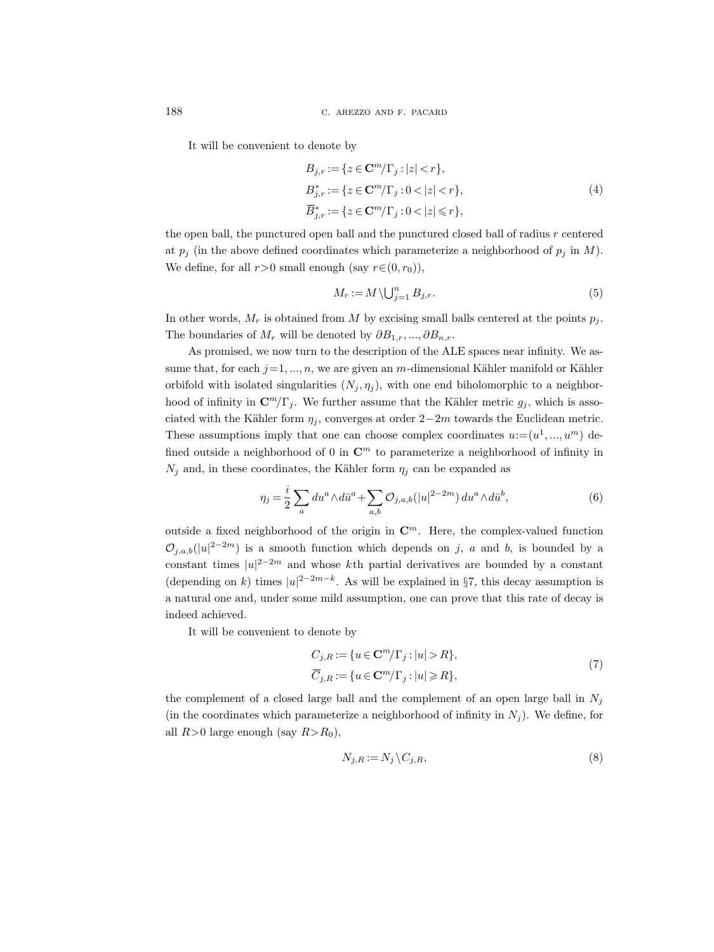It will be convenient to denote by

$$
B_{j,r} := \{ z \in \mathbf{C}^m / \Gamma_j : |z| < r \},
$$
\n
$$
B_{j,r}^* := \{ z \in \mathbf{C}^m / \Gamma_j : 0 < |z| < r \},
$$
\n
$$
\overline{B}_{j,r}^* := \{ z \in \mathbf{C}^m / \Gamma_j : 0 < |z| \le r \},
$$
\n
$$
(4)
$$

the open ball, the punctured open ball and the punctured closed ball of radius r centered at  $p_j$  (in the above defined coordinates which parameterize a neighborhood of  $p_j$  in M). We define, for all  $r>0$  small enough (say  $r\in(0,r_0)$ ),

$$
M_r := M \setminus \bigcup_{j=1}^n B_{j,r}.\tag{5}
$$

In other words,  $M_r$  is obtained from M by excising small balls centered at the points  $p_i$ . The boundaries of  $M_r$  will be denoted by  $\partial B_{1,r},...,\partial B_{n,r}$ .

As promised, we now turn to the description of the ALE spaces near infinity. We assume that, for each  $j=1, ..., n$ , we are given an m-dimensional Kähler manifold or Kähler orbifold with isolated singularities  $(N_i, \eta_i)$ , with one end biholomorphic to a neighborhood of infinity in  $\mathbb{C}^m/\Gamma_j$ . We further assume that the Kähler metric  $g_j$ , which is associated with the Kähler form  $\eta_i$ , converges at order 2−2m towards the Euclidean metric. These assumptions imply that one can choose complex coordinates  $u = (u^1, ..., u^m)$  defined outside a neighborhood of 0 in  $\mathbb{C}^m$  to parameterize a neighborhood of infinity in  $N_j$  and, in these coordinates, the Kähler form  $\eta_j$  can be expanded as

$$
\eta_j = \frac{i}{2} \sum_a du^a \wedge d\bar{u}^a + \sum_{a,b} \mathcal{O}_{j,a,b}(|u|^{2-2m}) du^a \wedge d\bar{u}^b,\tag{6}
$$

outside a fixed neighborhood of the origin in  $\mathbb{C}^m$ . Here, the complex-valued function  $\mathcal{O}_{j,a,b}(|u|^{2-2m})$  is a smooth function which depends on j, a and b, is bounded by a constant times  $|u|^{2-2m}$  and whose kth partial derivatives are bounded by a constant (depending on k) times  $|u|^{2-2m-k}$ . As will be explained in §7, this decay assumption is a natural one and, under some mild assumption, one can prove that this rate of decay is indeed achieved.

It will be convenient to denote by

$$
C_{j,R} := \{ u \in \mathbf{C}^m / \Gamma_j : |u| > R \},
$$
  
\n
$$
\overline{C}_{j,R} := \{ u \in \mathbf{C}^m / \Gamma_j : |u| \ge R \},
$$
\n
$$
(7)
$$

the complement of a closed large ball and the complement of an open large ball in  $N_j$ (in the coordinates which parameterize a neighborhood of infinity in  $N_i$ ). We define, for all  $R>0$  large enough (say  $R>R_0$ ),

$$
N_{j,R} := N_j \backslash C_{j,R},\tag{8}
$$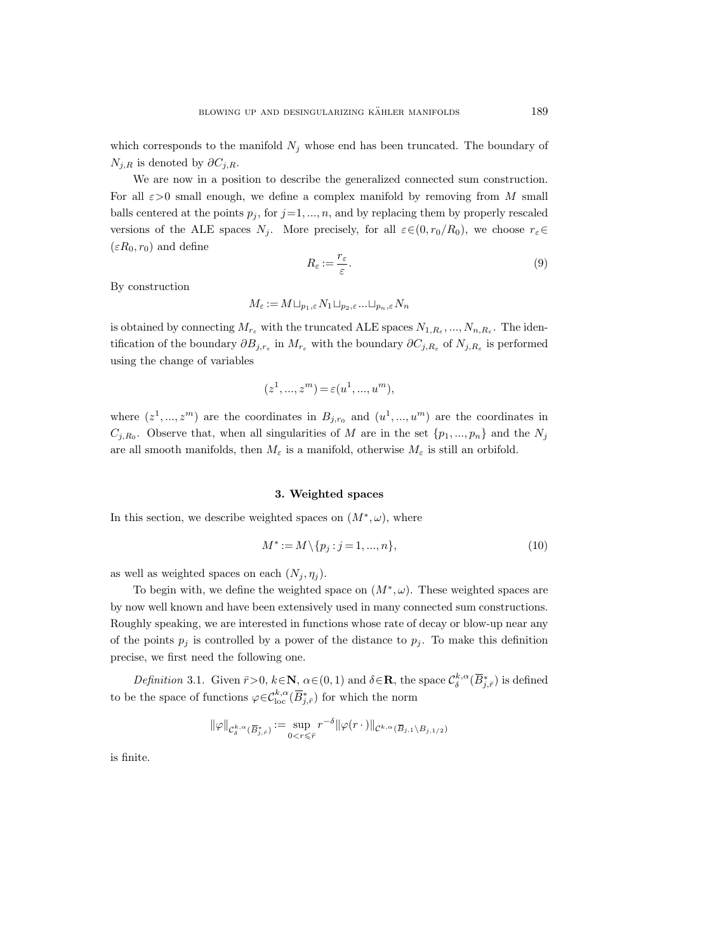which corresponds to the manifold  $N_i$  whose end has been truncated. The boundary of  $N_{i,R}$  is denoted by  $\partial C_{i,R}$ .

We are now in a position to describe the generalized connected sum construction. For all  $\epsilon > 0$  small enough, we define a complex manifold by removing from M small balls centered at the points  $p_j$ , for  $j=1, ..., n$ , and by replacing them by properly rescaled versions of the ALE spaces  $N_i$ . More precisely, for all  $\varepsilon \in (0, r_0/R_0)$ , we choose  $r_{\varepsilon} \in$  $(\varepsilon R_0, r_0)$  and define

$$
R_{\varepsilon} := \frac{r_{\varepsilon}}{\varepsilon}.\tag{9}
$$

By construction

$$
M_{\varepsilon} := M \sqcup_{p_1, \varepsilon} N_1 \sqcup_{p_2, \varepsilon} \dots \sqcup_{p_n, \varepsilon} N_n
$$

is obtained by connecting  $M_{r_{\varepsilon}}$  with the truncated ALE spaces  $N_{1,R_{\varepsilon}},...,N_{n,R_{\varepsilon}}$ . The identification of the boundary  $\partial B_{j,r_{\varepsilon}}$  in  $M_{r_{\varepsilon}}$  with the boundary  $\partial C_{j,R_{\varepsilon}}$  of  $N_{j,R_{\varepsilon}}$  is performed using the change of variables

$$
(z^1, ..., z^m) = \varepsilon(u^1, ..., u^m),
$$

where  $(z^1, ..., z^m)$  are the coordinates in  $B_{j,r_0}$  and  $(u^1, ..., u^m)$  are the coordinates in  $C_{j,R_0}$ . Observe that, when all singularities of M are in the set  $\{p_1, ..., p_n\}$  and the  $N_j$ are all smooth manifolds, then  $M_{\varepsilon}$  is a manifold, otherwise  $M_{\varepsilon}$  is still an orbifold.

# 3. Weighted spaces

In this section, we describe weighted spaces on  $(M^*, \omega)$ , where

$$
M^* := M \setminus \{p_j : j = 1, ..., n\},\tag{10}
$$

as well as weighted spaces on each  $(N_j, \eta_j)$ .

To begin with, we define the weighted space on  $(M^*, \omega)$ . These weighted spaces are by now well known and have been extensively used in many connected sum constructions. Roughly speaking, we are interested in functions whose rate of decay or blow-up near any of the points  $p_j$  is controlled by a power of the distance to  $p_j$ . To make this definition precise, we first need the following one.

Definition 3.1. Given  $\bar{r} > 0$ ,  $k \in \mathbb{N}$ ,  $\alpha \in (0, 1)$  and  $\delta \in \mathbb{R}$ , the space  $\mathcal{C}_{\delta}^{k, \alpha}(\overline{B}_{j, \bar{r}}^{*})$  is defined to be the space of functions  $\varphi \in \mathcal{C}^{k,\alpha}_{\text{loc}}(\overline{B}^*_{j,\overline{r}})$  for which the norm

$$
\|\varphi\|_{\mathcal{C}^{k,\alpha}_\delta(\overline{B}_{j,\bar{r}}^*)} := \sup_{0 < r \leqslant \bar{r}} r^{-\delta} \|\varphi(r \, \cdot \,)\|_{\mathcal{C}^{k,\alpha}(\overline{B}_{j,1} \setminus B_{j,1/2})}
$$

is finite.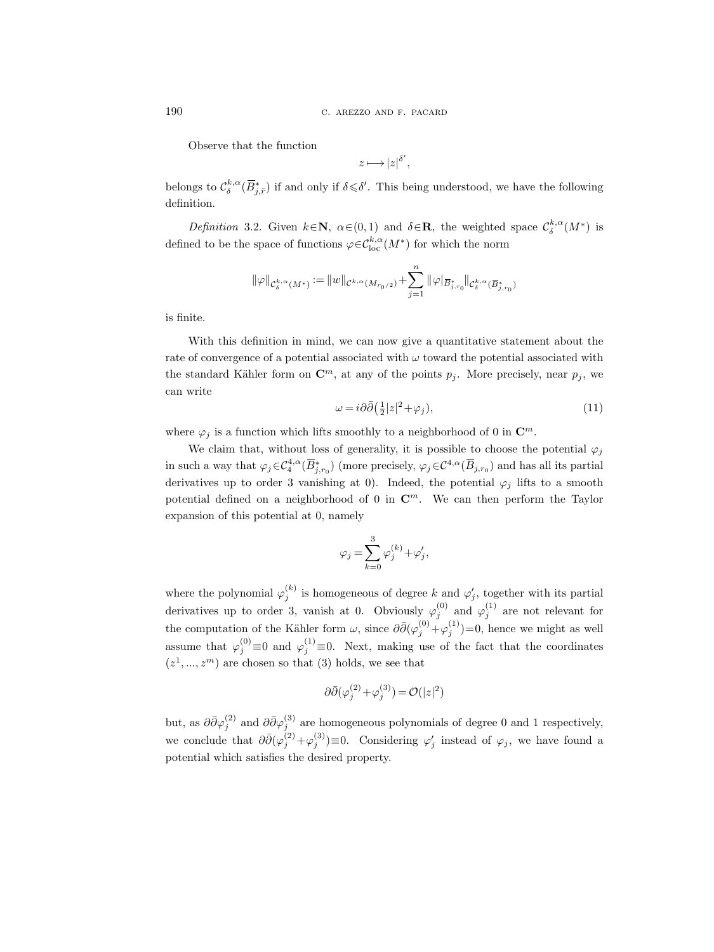Observe that the function

$$
z \longmapsto |z|^{\delta'},
$$

belongs to  $\mathcal{C}_{\delta}^{k,\alpha}(\overline{B}_{j,\overline{r}})$  if and only if  $\delta \leq \delta'$ . This being understood, we have the following definition.

Definition 3.2. Given  $k \in \mathbb{N}$ ,  $\alpha \in (0,1)$  and  $\delta \in \mathbb{R}$ , the weighted space  $\mathcal{C}_{\delta}^{k,\alpha}(M^*)$  is defined to be the space of functions  $\varphi \in C^{k,\alpha}_{\text{loc}}(M^*)$  for which the norm

$$
\|\varphi\|_{\mathcal{C}^{k, \alpha}_\delta(M^*)}:=\|w\|_{\mathcal{C}^{k, \alpha}(M_{r_0/2})}+\sum_{j=1}^n\|\varphi|_{\overline{B}^*_{j,r_0}}\|_{\mathcal{C}^{k, \alpha}_\delta(\overline{B}^*_{j,r_0})}
$$

is finite.

With this definition in mind, we can now give a quantitative statement about the rate of convergence of a potential associated with  $\omega$  toward the potential associated with the standard Kähler form on  $\mathbb{C}^m$ , at any of the points  $p_j$ . More precisely, near  $p_j$ , we can write

$$
\omega = i\partial\bar{\partial} \left(\frac{1}{2}|z|^2 + \varphi_j\right),\tag{11}
$$

where  $\varphi_j$  is a function which lifts smoothly to a neighborhood of 0 in  $\mathbb{C}^m$ .

We claim that, without loss of generality, it is possible to choose the potential  $\varphi_i$ in such a way that  $\varphi_j \in C_4^{4,\alpha}(\overline{B}_{j,r_0}^*)$  (more precisely,  $\varphi_j \in C^{4,\alpha}(\overline{B}_{j,r_0})$  and has all its partial derivatives up to order 3 vanishing at 0). Indeed, the potential  $\varphi_j$  lifts to a smooth potential defined on a neighborhood of 0 in  $\mathbb{C}^m$ . We can then perform the Taylor expansion of this potential at 0, namely

$$
\varphi_j = \sum_{k=0}^3 \varphi_j^{(k)} + \varphi_j',
$$

where the polynomial  $\varphi_j^{(k)}$  is homogeneous of degree k and  $\varphi_j'$ , together with its partial derivatives up to order 3, vanish at 0. Obviously  $\varphi_j^{(0)}$  and  $\varphi_j^{(1)}$  are not relevant for the computation of the Kähler form  $\omega$ , since  $\partial \bar{\partial} (\varphi_j^{(0)} + \varphi_j^{(1)}) = 0$ , hence we might as well assume that  $\varphi_j^{(0)} \equiv 0$  and  $\varphi_j^{(1)} \equiv 0$ . Next, making use of the fact that the coordinates  $(z^1, ..., z^m)$  are chosen so that (3) holds, we see that

$$
\partial\bar{\partial}(\varphi_j^{(2)} + \varphi_j^{(3)}) = \mathcal{O}(|z|^2)
$$

but, as  $\partial \bar{\partial} \varphi_j^{(2)}$  and  $\partial \bar{\partial} \varphi_j^{(3)}$  are homogeneous polynomials of degree 0 and 1 respectively, we conclude that  $\partial \bar{\partial} (\varphi_j^{(2)} + \varphi_j^{(3)}) \equiv 0$ . Considering  $\varphi_j'$  instead of  $\varphi_j$ , we have found a potential which satisfies the desired property.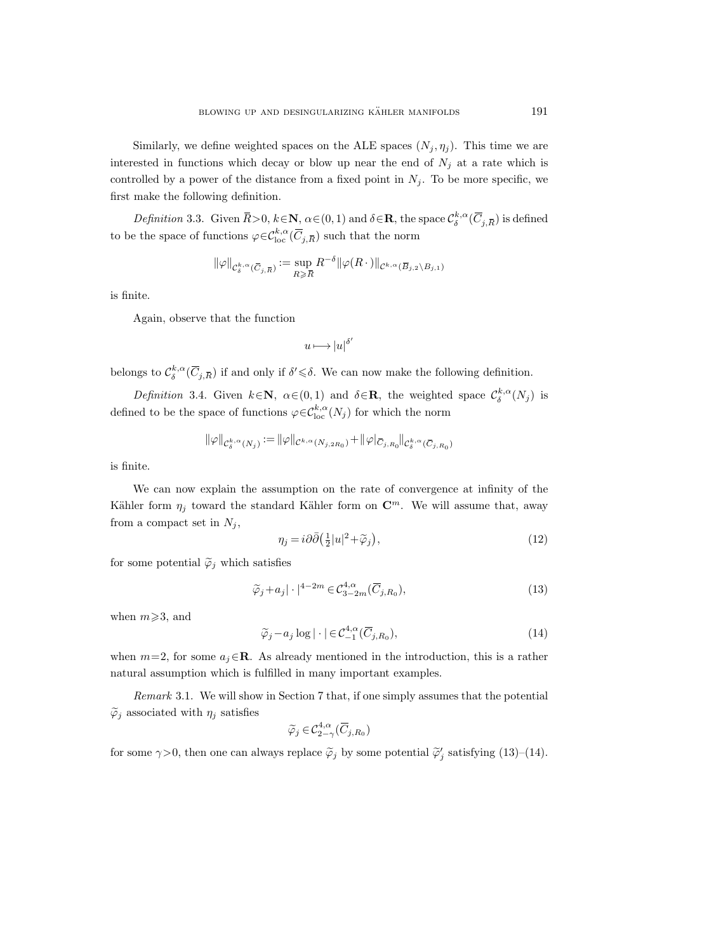Similarly, we define weighted spaces on the ALE spaces  $(N_i, \eta_i)$ . This time we are interested in functions which decay or blow up near the end of  $N_i$  at a rate which is controlled by a power of the distance from a fixed point in  $N_j$ . To be more specific, we first make the following definition.

Definition 3.3. Given  $\bar{R} > 0$ ,  $k \in \mathbb{N}$ ,  $\alpha \in (0, 1)$  and  $\delta \in \mathbb{R}$ , the space  $\mathcal{C}^{k, \alpha}_{\delta}(\overline{C}_{j, \overline{R}})$  is defined to be the space of functions  $\varphi \in \mathcal{C}^{k, \alpha}_{\text{loc}}(\overline{C}_{j, \overline{R}})$  such that the norm  $\begin{aligned} \mathcal{C}>&0,~\mathcal{V}\ \varphi{\in}\mathcal{C}^{\prime}_{\mathrm{I}}\ (\bar{C}_{j,\bar{R}}) \end{aligned}$ 

$$
\|\varphi\|_{\mathcal{C}^{k,\alpha}_{\delta}(\overline{C}_{j,\overline{R}})} := \sup_{R \geqslant \overline{R}} R^{-\delta} \|\varphi(R \cdot)\|_{\mathcal{C}^{k,\alpha}(\overline{B}_{j,2} \setminus B_{j,1})}
$$

is finite.

Again, observe that the function

$$
u\longmapsto |u|^{\delta'}
$$

belongs to  $\mathcal{C}_{\delta}^{k,\alpha}(\overline{C}_{j,\overline{R}})$  if and only if  $\delta' \leq \delta$ . We can now make the following definition.

Definition 3.4. Given  $k \in \mathbb{N}$ ,  $\alpha \in (0,1)$  and  $\delta \in \mathbb{R}$ , the weighted space  $\mathcal{C}^{k,\alpha}_{\delta}(N_j)$  is defined to be the space of functions  $\varphi \in C^{k,\alpha}_{loc}(N_j)$  for which the norm

$$
\|\varphi\|_{\mathcal{C}^{k,\alpha}_\delta(N_j)}:=\|\varphi\|_{\mathcal{C}^{k,\alpha}(N_{j,2R_0})}+\|\varphi|_{\bar{C}_{j,R_0}}\|_{\mathcal{C}^{k,\alpha}_\delta(\bar{C}_{j,R_0})}
$$

is finite.

We can now explain the assumption on the rate of convergence at infinity of the Kähler form  $\eta_j$  toward the standard Kähler form on  $\mathbb{C}^m$ . We will assume that, away from a compact set in  $N_i$ ,

$$
\eta_j = i\partial\bar{\partial} \left(\frac{1}{2}|u|^2 + \widetilde{\varphi}_j\right),\tag{12}
$$

for some potential  $\widetilde{\varphi}_j$  which satisfies

$$
\widetilde{\varphi}_j + a_j |\cdot|^{4-2m} \in \mathcal{C}_{3-2m}^{4,\alpha}(\overline{C}_{j,R_0}),\tag{13}
$$

when  $m \geqslant 3$ , and

$$
\widetilde{\varphi}_j - a_j \log |\cdot| \in \mathcal{C}^{4,\alpha}_{-1}(\overline{C}_{j,R_0}), \tag{14}
$$

when  $m=2$ , for some  $a_j \in \mathbb{R}$ . As already mentioned in the introduction, this is a rather natural assumption which is fulfilled in many important examples.

Remark 3.1. We will show in Section 7 that, if one simply assumes that the potential  $\tilde{\varphi}_i$  associated with  $\eta_i$  satisfies

$$
\widetilde{\varphi}_j \in \mathcal{C}^{4,\alpha}_{2-\gamma}(\overline{C}_{j,R_0})
$$

for some  $\gamma > 0$ , then one can always replace  $\tilde{\varphi}_j$  by some potential  $\tilde{\varphi}'_j$  satisfying (13)–(14).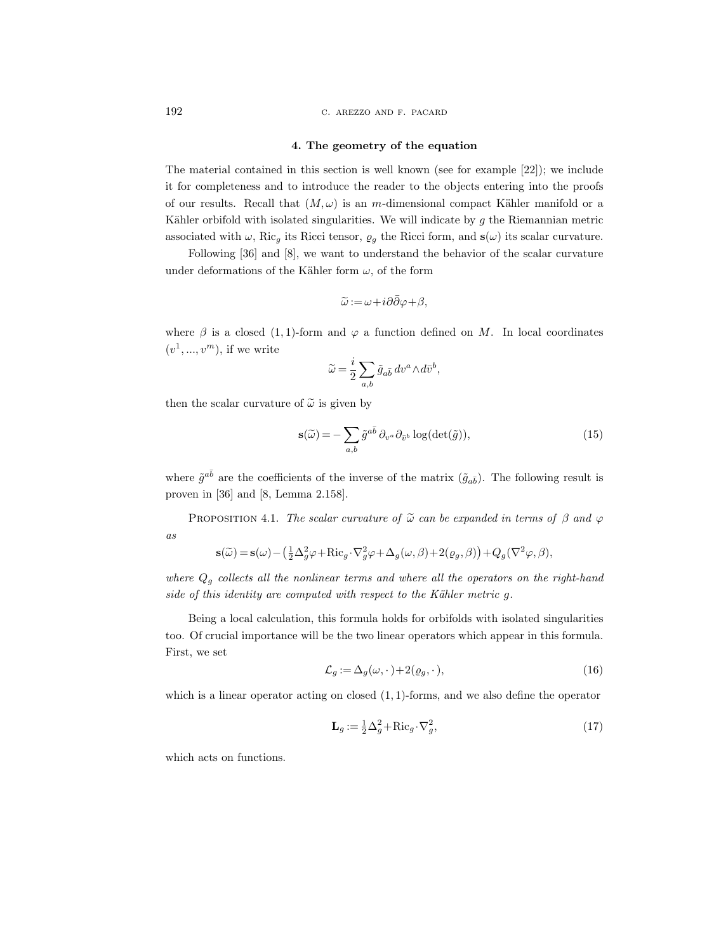192 c. arezzo and f. pacard

## 4. The geometry of the equation

The material contained in this section is well known (see for example [22]); we include it for completeness and to introduce the reader to the objects entering into the proofs of our results. Recall that  $(M, \omega)$  is an m-dimensional compact Kähler manifold or a Kähler orbifold with isolated singularities. We will indicate by  $g$  the Riemannian metric associated with  $\omega$ , Ric<sub>g</sub> its Ricci tensor,  $\rho_g$  the Ricci form, and  $s(\omega)$  its scalar curvature.

Following [36] and [8], we want to understand the behavior of the scalar curvature under deformations of the Kähler form  $\omega$ , of the form

$$
\widetilde{\omega} := \omega + i\partial\bar{\partial}\varphi + \beta,
$$

where  $\beta$  is a closed (1, 1)-form and  $\varphi$  a function defined on M. In local coordinates  $(v^1, ..., v^m)$ , if we write

$$
\widetilde{\omega}=\frac{i}{2}\sum_{a,b}\widetilde{g}_{a\bar{b}}\,dv^a\!\wedge\! d\bar{v}^b,
$$

then the scalar curvature of  $\tilde{\omega}$  is given by

$$
\mathbf{s}(\widetilde{\omega}) = -\sum_{a,b} \widetilde{g}^{a\bar{b}} \partial_{v^a} \partial_{\bar{v}^b} \log(\det(\widetilde{g})),\tag{15}
$$

where  $\tilde{g}^{a\bar{b}}$  are the coefficients of the inverse of the matrix  $(\tilde{g}_{a\bar{b}})$ . The following result is proven in [36] and [8, Lemma 2.158].

PROPOSITION 4.1. The scalar curvature of  $\tilde{\omega}$  can be expanded in terms of  $\beta$  and  $\varphi$ as

$$
\mathbf{s}(\widetilde{\omega}) = \mathbf{s}(\omega) - \left(\frac{1}{2}\Delta_g^2 \varphi + \text{Ric}_g \cdot \nabla_g^2 \varphi + \Delta_g(\omega, \beta) + 2(\varrho_g, \beta)\right) + Q_g(\nabla^2 \varphi, \beta),
$$

where  $Q<sub>g</sub>$  collects all the nonlinear terms and where all the operators on the right-hand side of this identity are computed with respect to the Kähler metric  $g$ .

Being a local calculation, this formula holds for orbifolds with isolated singularities too. Of crucial importance will be the two linear operators which appear in this formula. First, we set

$$
\mathcal{L}_g := \Delta_g(\omega, \cdot) + 2(\varrho_g, \cdot),\tag{16}
$$

which is a linear operator acting on closed  $(1, 1)$ -forms, and we also define the operator

$$
\mathbf{L}_g := \frac{1}{2} \Delta_g^2 + \text{Ric}_g \cdot \nabla_g^2,\tag{17}
$$

which acts on functions.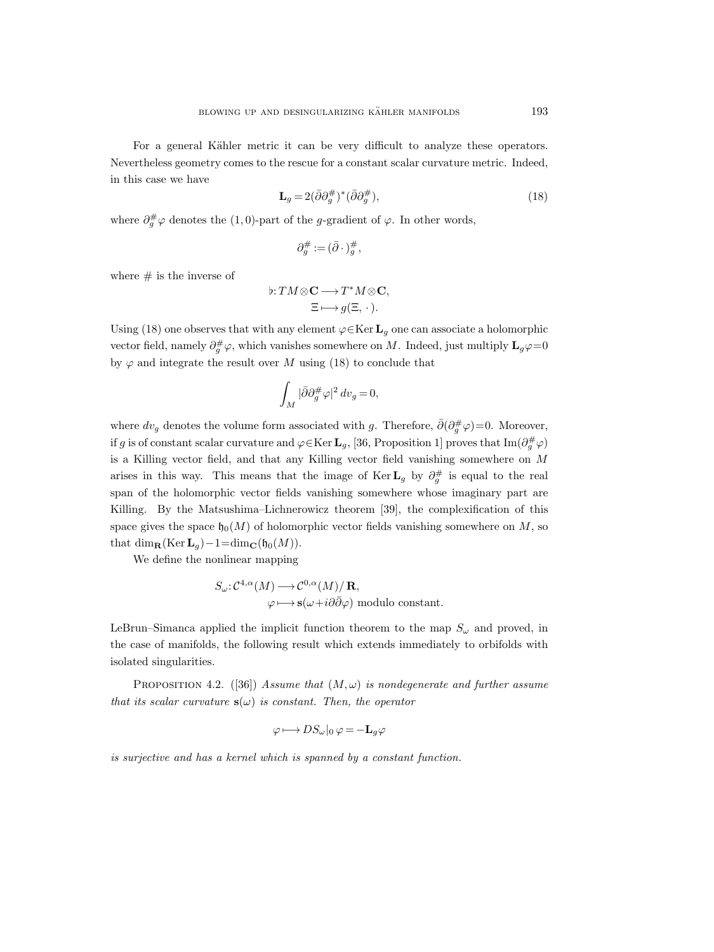For a general Kähler metric it can be very difficult to analyze these operators. Nevertheless geometry comes to the rescue for a constant scalar curvature metric. Indeed, in this case we have

$$
\mathbf{L}_g = 2(\bar{\partial}\partial_g^{\#})^*(\bar{\partial}\partial_g^{\#}),\tag{18}
$$

where  $\partial_g^{\#}\varphi$  denotes the (1,0)-part of the g-gradient of  $\varphi$ . In other words,

$$
\partial^\#_g:=(\bar\partial\cdot)^\#_g,
$$

where  $\#$  is the inverse of

$$
\flat: TM \otimes \mathbf{C} \longrightarrow T^*M \otimes \mathbf{C},
$$

$$
\Xi \longmapsto g(\Xi, \cdot).
$$

Using (18) one observes that with any element  $\varphi \in \text{Ker } L_q$  one can associate a holomorphic vector field, namely  $\partial_g^{\#}\varphi$ , which vanishes somewhere on M. Indeed, just multiply  $\mathbf{L}_g\varphi=0$ by  $\varphi$  and integrate the result over M using (18) to conclude that

$$
\int_M |\bar{\partial}\partial_g^{\#}\varphi|^2\,dv_g=0,
$$

where  $dv_g$  denotes the volume form associated with g. Therefore,  $\bar{\partial}(\partial_g^{\#}\varphi)=0$ . Moreover, if g is of constant scalar curvature and  $\varphi \in \text{Ker } L_g$ , [36, Proposition 1] proves that Im $(\partial_g^{\#} \varphi)$ is a Killing vector field, and that any Killing vector field vanishing somewhere on M arises in this way. This means that the image of Ker  $\mathbf{L}_g$  by  $\partial_g^{\#}$  is equal to the real span of the holomorphic vector fields vanishing somewhere whose imaginary part are Killing. By the Matsushima–Lichnerowicz theorem [39], the complexification of this space gives the space  $\mathfrak{h}_0(M)$  of holomorphic vector fields vanishing somewhere on M, so that dim<sub>R</sub>(Ker  $L_g$ )−1=dim<sub>C</sub>(h<sub>0</sub>(M)).

We define the nonlinear mapping

$$
S_{\omega}: C^{4,\alpha}(M) \longrightarrow C^{0,\alpha}(M)/\mathbf{R},
$$
  

$$
\varphi \longmapsto \mathbf{s}(\omega + i\partial\bar{\partial}\varphi) \text{ modulo constant}.
$$

LeBrun–Simanca applied the implicit function theorem to the map  $S_{\omega}$  and proved, in the case of manifolds, the following result which extends immediately to orbifolds with isolated singularities.

PROPOSITION 4.2. ([36]) Assume that  $(M, \omega)$  is nondegenerate and further assume that its scalar curvature  $s(\omega)$  is constant. Then, the operator

$$
\varphi \longmapsto DS_{\omega}|_0 \varphi = -\mathbf{L}_g \varphi
$$

is surjective and has a kernel which is spanned by a constant function.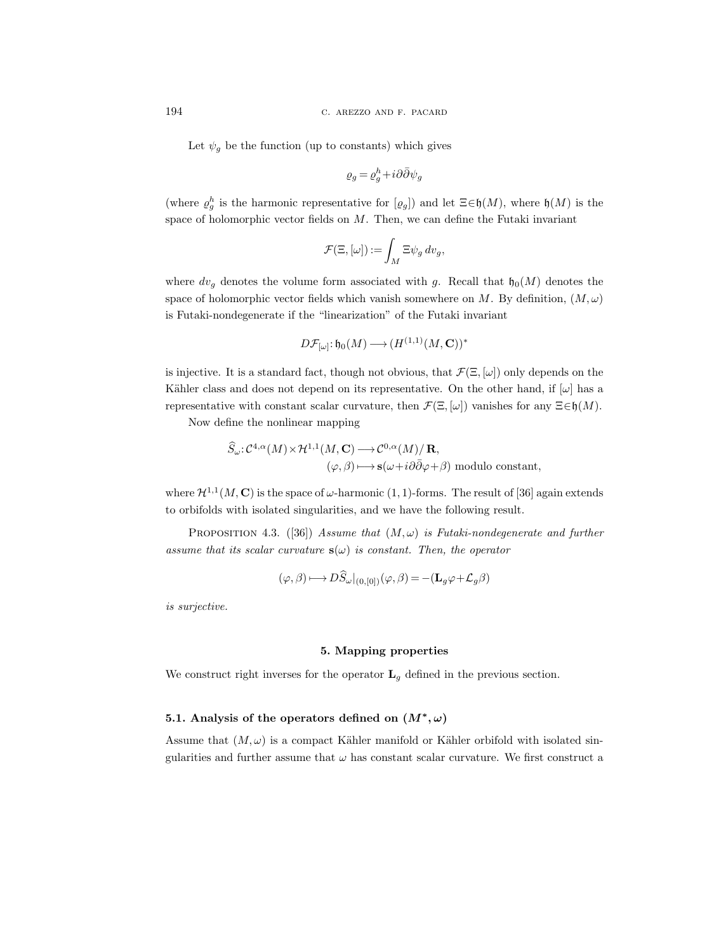Let  $\psi_g$  be the function (up to constants) which gives

$$
\varrho_g = \varrho_g^h + i\partial\bar\partial\psi_g
$$

(where  $\varrho_g^h$  is the harmonic representative for  $[\varrho_g]$ ) and let  $\Xi \in \mathfrak{h}(M)$ , where  $\mathfrak{h}(M)$  is the space of holomorphic vector fields on  $M$ . Then, we can define the Futaki invariant

$$
\mathcal{F}(\Xi, [\omega]) := \int_M \Xi \psi_g \, dv_g,
$$

where  $dv_g$  denotes the volume form associated with g. Recall that  $\mathfrak{h}_0(M)$  denotes the space of holomorphic vector fields which vanish somewhere on M. By definition,  $(M, \omega)$ is Futaki-nondegenerate if the "linearization" of the Futaki invariant

$$
D\mathcal{F}_{[\omega]}\colon\mathfrak{h}_0(M)\longrightarrow (H^{(1,1)}(M,\mathbf{C}))^*
$$

is injective. It is a standard fact, though not obvious, that  $\mathcal{F}(\Xi, [\omega])$  only depends on the Kähler class and does not depend on its representative. On the other hand, if  $[\omega]$  has a representative with constant scalar curvature, then  $\mathcal{F}(\Xi, [\omega])$  vanishes for any  $\Xi \in \mathfrak{h}(M)$ .

Now define the nonlinear mapping

$$
\hat{S}_{\omega}: C^{4,\alpha}(M) \times \mathcal{H}^{1,1}(M, \mathbf{C}) \longrightarrow C^{0,\alpha}(M)/\mathbf{R},
$$
  

$$
(\varphi, \beta) \longmapsto \mathbf{s}(\omega + i\partial \bar{\partial}\varphi + \beta) \text{ modulo constant},
$$

where  $\mathcal{H}^{1,1}(M,\mathbf{C})$  is the space of  $\omega$ -harmonic  $(1,1)$ -forms. The result of [36] again extends to orbifolds with isolated singularities, and we have the following result.

PROPOSITION 4.3. ([36]) Assume that  $(M, \omega)$  is Futaki-nondegenerate and further assume that its scalar curvature  $s(\omega)$  is constant. Then, the operator

$$
(\varphi, \beta) \longmapsto D\widehat{S}_{\omega}|_{(0, [0])} (\varphi, \beta) = -(\mathbf{L}_g \varphi + \mathcal{L}_g \beta)
$$

is surjective.

# 5. Mapping properties

We construct right inverses for the operator  $L<sub>g</sub>$  defined in the previous section.

# 5.1. Analysis of the operators defined on  $(M^*, \omega)$

Assume that  $(M, \omega)$  is a compact Kähler manifold or Kähler orbifold with isolated singularities and further assume that  $\omega$  has constant scalar curvature. We first construct a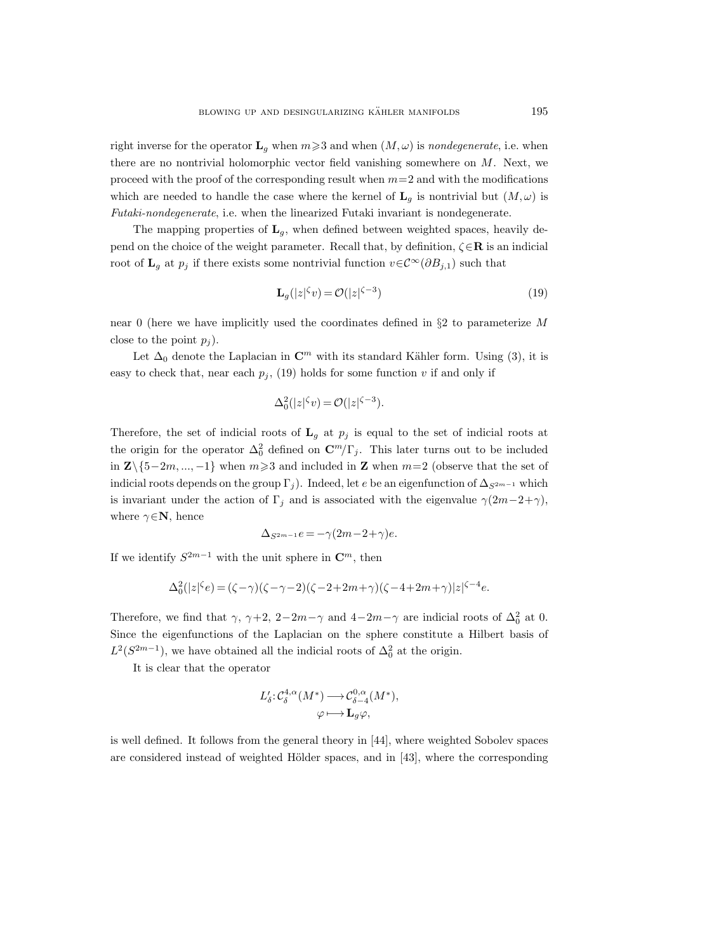right inverse for the operator  $\mathbf{L}_q$  when  $m \geq 3$  and when  $(M, \omega)$  is nondegenerate, i.e. when there are no nontrivial holomorphic vector field vanishing somewhere on M. Next, we proceed with the proof of the corresponding result when  $m=2$  and with the modifications which are needed to handle the case where the kernel of  $\mathbf{L}_q$  is nontrivial but  $(M, \omega)$  is Futaki-nondegenerate, i.e. when the linearized Futaki invariant is nondegenerate.

The mapping properties of  $L_q$ , when defined between weighted spaces, heavily depend on the choice of the weight parameter. Recall that, by definition,  $\zeta \in \mathbb{R}$  is an indicial root of  $\mathbf{L}_g$  at  $p_j$  if there exists some nontrivial function  $v \in \mathcal{C}^{\infty}(\partial B_{j,1})$  such that

$$
\mathbf{L}_g(|z|^{\zeta}v) = \mathcal{O}(|z|^{\zeta - 3})\tag{19}
$$

near 0 (here we have implicitly used the coordinates defined in  $\S2$  to parameterize M close to the point  $p_i$ ).

Let  $\Delta_0$  denote the Laplacian in  $\mathbb{C}^m$  with its standard Kähler form. Using (3), it is easy to check that, near each  $p_i$ , (19) holds for some function v if and only if

$$
\Delta_0^2(|z|^\zeta v) = \mathcal{O}(|z|^{\zeta - 3}).
$$

Therefore, the set of indicial roots of  $L_q$  at  $p_j$  is equal to the set of indicial roots at the origin for the operator  $\Delta_0^2$  defined on  $\mathbb{C}^m/\Gamma_j$ . This later turns out to be included in  $\mathbb{Z}\setminus\{5-2m, ..., -1\}$  when  $m\geqslant3$  and included in  $\mathbb{Z}$  when  $m=2$  (observe that the set of indicial roots depends on the group  $\Gamma_i$ ). Indeed, let e be an eigenfunction of  $\Delta_{S^{2m-1}}$  which is invariant under the action of  $\Gamma_j$  and is associated with the eigenvalue  $\gamma(2m-2+\gamma)$ , where  $\gamma \in \mathbf{N}$ , hence

$$
\Delta_{S^{2m-1}}e = -\gamma (2m - 2 + \gamma)e.
$$

If we identify  $S^{2m-1}$  with the unit sphere in  $\mathbb{C}^m$ , then

$$
\Delta_0^2(|z|^\zeta e)=(\zeta-\gamma)(\zeta-\gamma-2)(\zeta-2+2m+\gamma)(\zeta-4+2m+\gamma)|z|^{\zeta-4}e.
$$

Therefore, we find that  $\gamma$ ,  $\gamma+2$ ,  $2-2m-\gamma$  and  $4-2m-\gamma$  are indicial roots of  $\Delta_0^2$  at 0. Since the eigenfunctions of the Laplacian on the sphere constitute a Hilbert basis of  $L^2(S^{2m-1})$ , we have obtained all the indicial roots of  $\Delta_0^2$  at the origin.

It is clear that the operator

$$
L'_{\delta}: \mathcal{C}^{4,\alpha}_{\delta}(M^*) \longrightarrow \mathcal{C}^{0,\alpha}_{\delta-4}(M^*),
$$
  

$$
\varphi \longmapsto \mathbf{L}_g \varphi,
$$

is well defined. It follows from the general theory in [44], where weighted Sobolev spaces are considered instead of weighted Hölder spaces, and in  $[43]$ , where the corresponding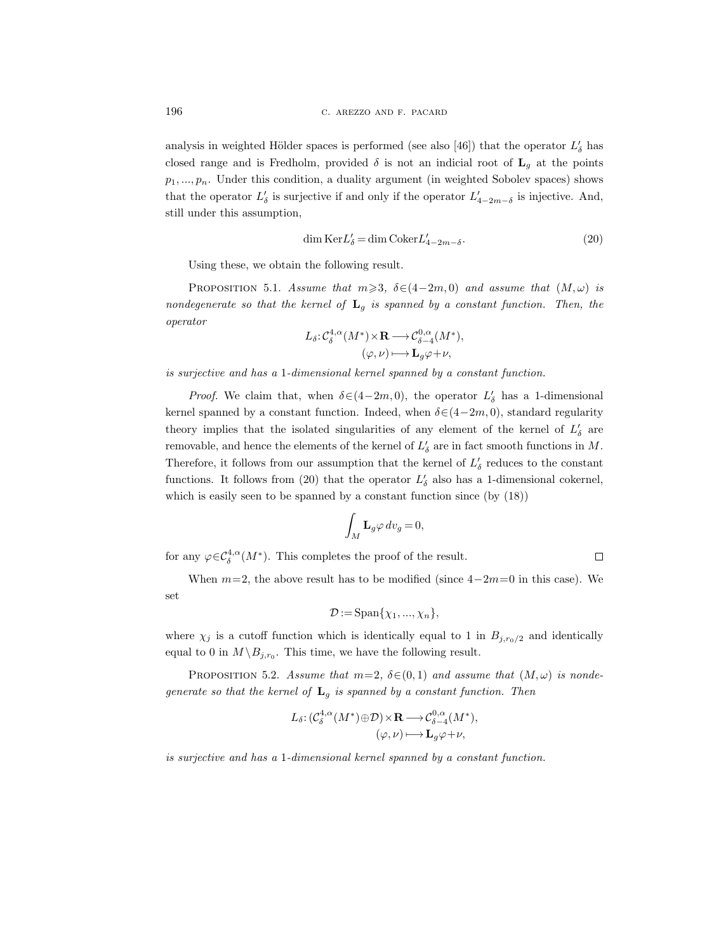analysis in weighted Hölder spaces is performed (see also [46]) that the operator  $L'_{\delta}$  has closed range and is Fredholm, provided  $\delta$  is not an indicial root of  $\mathbf{L}_q$  at the points  $p_1, \ldots, p_n$ . Under this condition, a duality argument (in weighted Sobolev spaces) shows that the operator  $L'_{\delta}$  is surjective if and only if the operator  $L'_{4-2m-\delta}$  is injective. And, still under this assumption,

$$
\dim \text{Ker} L'_{\delta} = \dim \text{Coker} L'_{4-2m-\delta}.
$$
\n(20)

Using these, we obtain the following result.

PROPOSITION 5.1. Assume that  $m \geq 3$ ,  $\delta \in (4-2m, 0)$  and assume that  $(M, \omega)$  is nondegenerate so that the kernel of  $L_q$  is spanned by a constant function. Then, the operator

$$
L_{\delta}: \mathcal{C}_{\delta}^{4,\alpha}(M^*) \times \mathbf{R} \longrightarrow \mathcal{C}_{\delta-4}^{0,\alpha}(M^*),
$$
  

$$
(\varphi, \nu) \longmapsto \mathbf{L}_g \varphi + \nu,
$$

is surjective and has a 1-dimensional kernel spanned by a constant function.

*Proof.* We claim that, when  $\delta \in (4-2m, 0)$ , the operator  $L'_{\delta}$  has a 1-dimensional kernel spanned by a constant function. Indeed, when  $\delta \in (4-2m, 0)$ , standard regularity theory implies that the isolated singularities of any element of the kernel of  $L'_{\delta}$  are removable, and hence the elements of the kernel of  $L'_\delta$  are in fact smooth functions in  $M$ . Therefore, it follows from our assumption that the kernel of  $L'_\delta$  reduces to the constant functions. It follows from (20) that the operator  $L'_{\delta}$  also has a 1-dimensional cokernel, which is easily seen to be spanned by a constant function since (by  $(18)$ )

$$
\int_M \mathbf{L}_g \varphi \, dv_g = 0,
$$

for any  $\varphi \in C^{4,\alpha}_\delta(M^*)$ . This completes the proof of the result.

When  $m=2$ , the above result has to be modified (since  $4-2m=0$  in this case). We set

$$
\mathcal{D} := \mathrm{Span}\{\chi_1, ..., \chi_n\},\
$$

where  $\chi_j$  is a cutoff function which is identically equal to 1 in  $B_{j,r_0/2}$  and identically equal to 0 in  $M \backslash B_{j,r_0}$ . This time, we have the following result.

PROPOSITION 5.2. Assume that  $m=2$ ,  $\delta \in (0,1)$  and assume that  $(M,\omega)$  is nondegenerate so that the kernel of  $L_q$  is spanned by a constant function. Then

$$
L_{\delta}: (\mathcal{C}_{\delta}^{4,\alpha}(M^*)\oplus \mathcal{D}) \times \mathbf{R} \longrightarrow \mathcal{C}_{\delta-4}^{0,\alpha}(M^*),
$$
  

$$
(\varphi, \nu) \longmapsto \mathbf{L}_g \varphi + \nu,
$$

is surjective and has a 1-dimensional kernel spanned by a constant function.

 $\Box$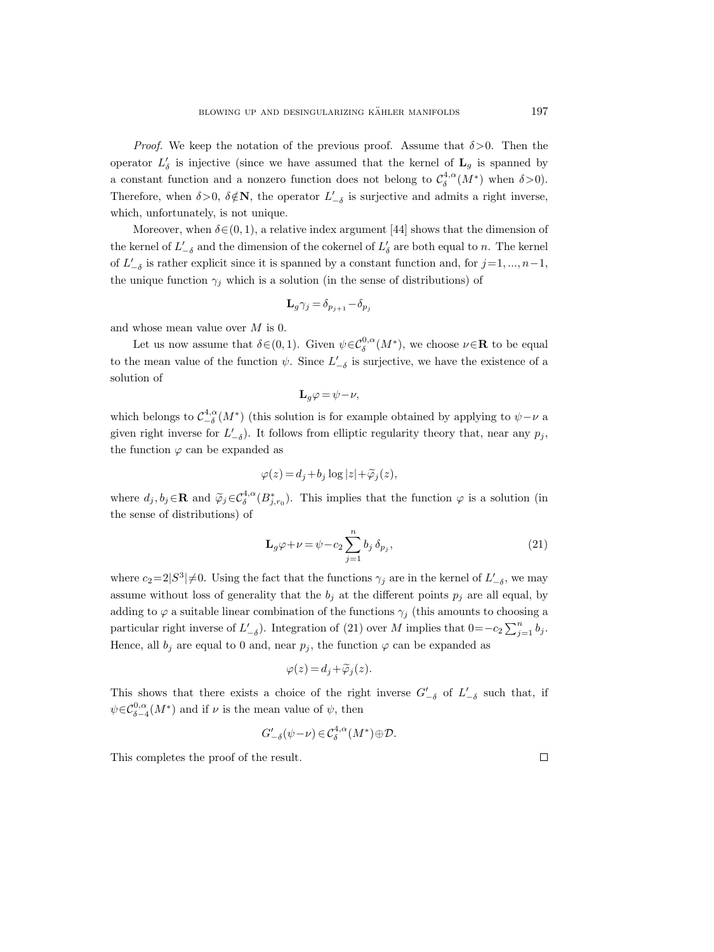*Proof.* We keep the notation of the previous proof. Assume that  $\delta > 0$ . Then the operator  $L'_{\delta}$  is injective (since we have assumed that the kernel of  $\mathbf{L}_{g}$  is spanned by a constant function and a nonzero function does not belong to  $\mathcal{C}_{\delta}^{4,\alpha}(M^*)$  when  $\delta > 0$ ). Therefore, when  $\delta > 0$ ,  $\delta \notin \mathbb{N}$ , the operator  $L'_{-\delta}$  is surjective and admits a right inverse, which, unfortunately, is not unique.

Moreover, when  $\delta \in (0, 1)$ , a relative index argument [44] shows that the dimension of the kernel of  $L'_{-\delta}$  and the dimension of the cokernel of  $L'_{\delta}$  are both equal to n. The kernel of  $L'_{-\delta}$  is rather explicit since it is spanned by a constant function and, for  $j=1, ..., n-1$ , the unique function  $\gamma_j$  which is a solution (in the sense of distributions) of

$$
\mathbf{L}_{g}\gamma_{j}=\delta_{p_{j+1}}-\delta_{p_{j}}
$$

and whose mean value over M is 0.

Let us now assume that  $\delta \in (0,1)$ . Given  $\psi \in C^{0,\alpha}_\delta(M^*)$ , we choose  $\nu \in \mathbb{R}$  to be equal to the mean value of the function  $\psi$ . Since  $L'_{-\delta}$  is surjective, we have the existence of a solution of

$$
\mathbf{L}_{g}\varphi = \psi - \nu,
$$

which belongs to  $\mathcal{C}_{-\delta}^{4,\alpha}(M^*)$  (this solution is for example obtained by applying to  $\psi-\nu$  a given right inverse for  $L'_{-\delta}$ ). It follows from elliptic regularity theory that, near any  $p_j$ , the function  $\varphi$  can be expanded as

$$
\varphi(z) = d_j + b_j \log|z| + \widetilde{\varphi}_j(z),
$$

where  $d_j, b_j \in \mathbf{R}$  and  $\widetilde{\varphi}_j \in C^{4,\alpha}_{\delta}(B^*_{j,r_0})$ . This implies that the function  $\varphi$  is a solution (in the sense of distributions) of

$$
\mathbf{L}_{g}\varphi + \nu = \psi - c_2 \sum_{j=1}^{n} b_j \,\delta_{p_j},\tag{21}
$$

where  $c_2=2|S^3|\neq 0$ . Using the fact that the functions  $\gamma_j$  are in the kernel of  $L'_{-\delta}$ , we may assume without loss of generality that the  $b_j$  at the different points  $p_j$  are all equal, by adding to  $\varphi$  a suitable linear combination of the functions  $\gamma_i$  (this amounts to choosing a particular right inverse of  $L'_{-\delta}$ ). Integration of (21) over M implies that  $0=-c_2\sum_{j=1}^n b_j$ . Hence, all  $b_j$  are equal to 0 and, near  $p_j$ , the function  $\varphi$  can be expanded as

$$
\varphi(z) = d_j + \widetilde{\varphi}_j(z).
$$

This shows that there exists a choice of the right inverse  $G'_{-\delta}$  of  $L'_{-\delta}$  such that, if  $\psi \in C^{0,\alpha}_{\delta-4}(M^*)$  and if  $\nu$  is the mean value of  $\psi$ , then

$$
G'_{-\delta}(\psi-\nu) \in \mathcal{C}^{4,\alpha}_\delta(M^*)\oplus \mathcal{D}.
$$

This completes the proof of the result.

 $\Box$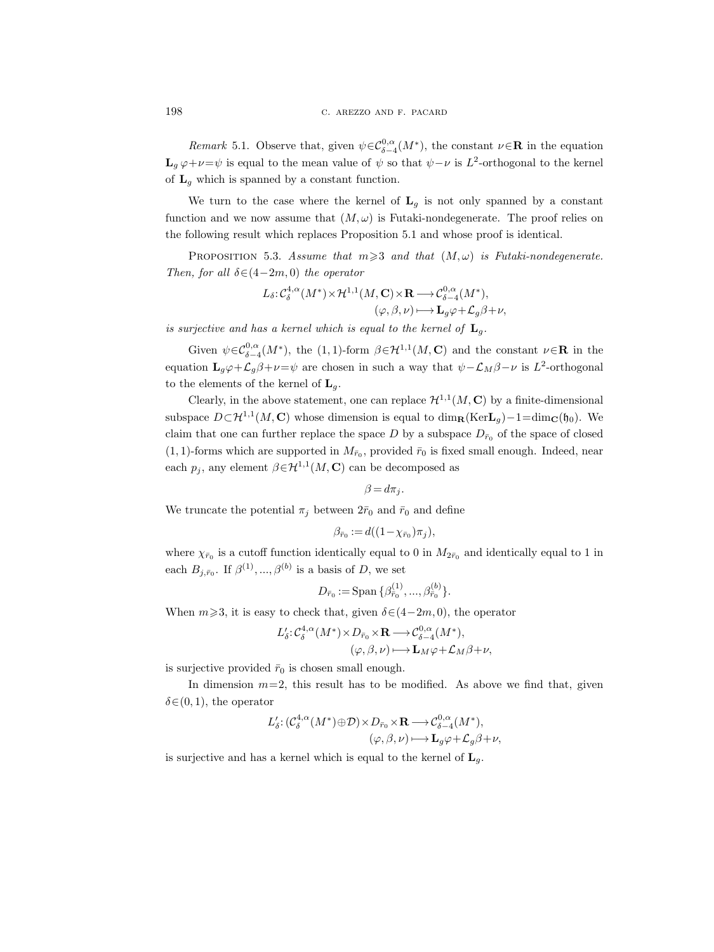Remark 5.1. Observe that, given  $\psi \in C^{0,\alpha}_{\delta-4}(M^*)$ , the constant  $\nu \in \mathbb{R}$  in the equation  $\mathbf{L}_g \varphi + \nu = \psi$  is equal to the mean value of  $\psi$  so that  $\psi - \nu$  is  $L^2$ -orthogonal to the kernel of  $L_g$  which is spanned by a constant function.

We turn to the case where the kernel of  $L<sub>g</sub>$  is not only spanned by a constant function and we now assume that  $(M, \omega)$  is Futaki-nondegenerate. The proof relies on the following result which replaces Proposition 5.1 and whose proof is identical.

PROPOSITION 5.3. Assume that  $m \geq 3$  and that  $(M, \omega)$  is Futaki-nondegenerate. Then, for all  $\delta \in (4-2m, 0)$  the operator

$$
\begin{split} L_{\delta}\!:\!\mathcal{C}^{4,\alpha}_{\delta}(M^*)\!\times\! \mathcal{H}^{1,1}(M,\mathbf{C})\!\times\! \mathbf{R} &\!\longrightarrow\! \mathcal{C}^{0,\alpha}_{\delta-4}(M^*),\\ (\varphi,\beta,\nu) &\!\longmapsto\! \mathbf{L}_g\varphi \!+\! \mathcal{L}_g\beta \!+\! \nu, \end{split}
$$

is surjective and has a kernel which is equal to the kernel of  $\mathbf{L}_{a}$ .

Given  $\psi \in C^{0,\alpha}_{\delta-4}(M^*)$ , the (1, 1)-form  $\beta \in H^{1,1}(M,\mathbf{C})$  and the constant  $\nu \in \mathbf{R}$  in the equation  $\mathbf{L}_g\varphi+\mathcal{L}_g\beta+\nu=\psi$  are chosen in such a way that  $\psi-\mathcal{L}_M\beta-\nu$  is  $L^2$ -orthogonal to the elements of the kernel of  $\mathbf{L}_q$ .

Clearly, in the above statement, one can replace  $\mathcal{H}^{1,1}(M,\mathbf{C})$  by a finite-dimensional subspace  $D \subset \mathcal{H}^{1,1}(M,\mathbf{C})$  whose dimension is equal to  $\dim_{\mathbf{R}}(\text{Ker}\mathbf{L}_g) - 1 = \dim_{\mathbf{C}}(\mathfrak{h}_0)$ . We claim that one can further replace the space D by a subspace  $D_{\bar{r}_0}$  of the space of closed  $(1, 1)$ -forms which are supported in  $M_{\bar{r}_0}$ , provided  $\bar{r}_0$  is fixed small enough. Indeed, near each  $p_j$ , any element  $\beta \in H^{1,1}(M, \mathbb{C})$  can be decomposed as

$$
\beta = d\pi_j.
$$

We truncate the potential  $\pi_i$  between  $2\bar{r}_0$  and  $\bar{r}_0$  and define

$$
\beta_{\bar{r}_0} := d((1 - \chi_{\bar{r}_0})\pi_j),
$$

where  $\chi_{\bar{r}_0}$  is a cutoff function identically equal to 0 in  $M_{2\bar{r}_0}$  and identically equal to 1 in each  $B_{j,\bar{r}_0}$ . If  $\beta^{(1)},...,\beta^{(b)}$  is a basis of D, we set

$$
D_{\bar{r}_0}:=\text{Span }\{\beta^{(1)}_{\bar{r}_0},...,\beta^{(b)}_{\bar{r}_0}\}.
$$

When  $m\geqslant3$ , it is easy to check that, given  $\delta\in(4-2m,0)$ , the operator

$$
L'_{\delta}: \mathcal{C}_{\delta}^{4,\alpha}(M^*) \times D_{\bar{r}_0} \times \mathbf{R} \longrightarrow \mathcal{C}_{\delta-4}^{0,\alpha}(M^*),
$$
  

$$
(\varphi, \beta, \nu) \longmapsto \mathbf{L}_M \varphi + \mathcal{L}_M \beta + \nu,
$$

is surjective provided  $\bar{r}_0$  is chosen small enough.

In dimension  $m=2$ , this result has to be modified. As above we find that, given  $\delta \in (0, 1)$ , the operator

$$
L'_{\delta}: (\mathcal{C}_{\delta}^{4,\alpha}(M^*)\oplus \mathcal{D}) \times D_{\bar{r}_0} \times \mathbf{R} \longrightarrow \mathcal{C}_{\delta-4}^{0,\alpha}(M^*),
$$
  

$$
(\varphi, \beta, \nu) \longmapsto \mathbf{L}_g \varphi + \mathcal{L}_g \beta + \nu,
$$

is surjective and has a kernel which is equal to the kernel of  $L_a$ .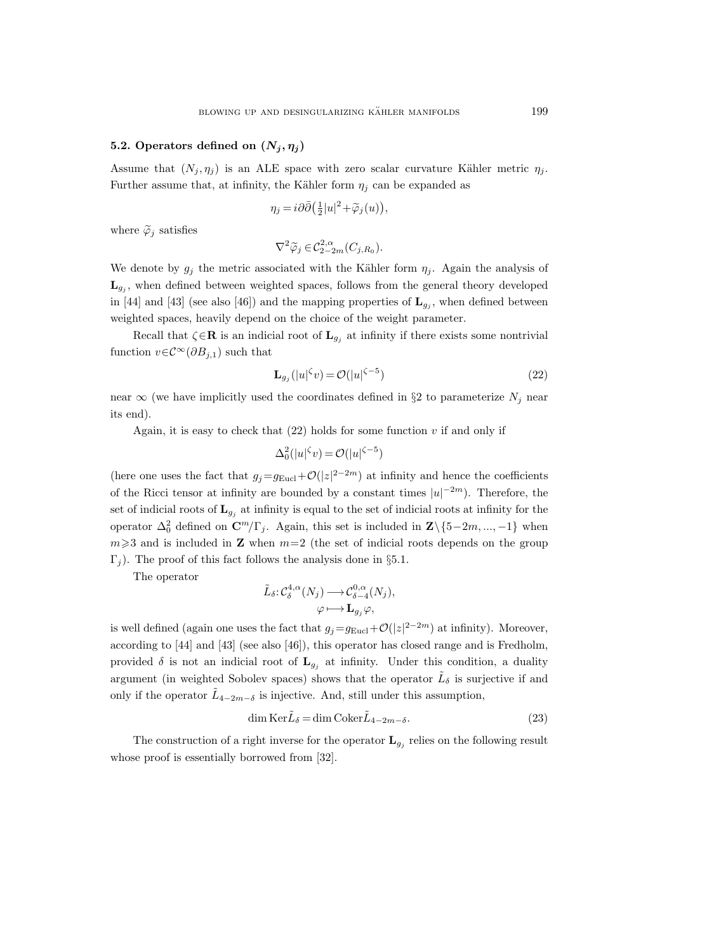# 5.2. Operators defined on  $(N_i, \eta_i)$

Assume that  $(N_j, \eta_j)$  is an ALE space with zero scalar curvature Kähler metric  $\eta_j$ . Further assume that, at infinity, the Kähler form  $\eta_i$  can be expanded as

$$
\eta_j = i \partial \bar{\partial} \left( \frac{1}{2} |u|^2 + \widetilde{\varphi}_j(u) \right),
$$

where  $\widetilde{\varphi}_i$  satisfies

$$
\nabla^2 \widetilde{\varphi}_j \in \mathcal{C}^{2,\alpha}_{2-2m}(C_{j,R_0}).
$$

We denote by  $g_i$  the metric associated with the Kähler form  $\eta_i$ . Again the analysis of  $\mathbf{L}_{g_j}$ , when defined between weighted spaces, follows from the general theory developed in [44] and [43] (see also [46]) and the mapping properties of  $\mathbf{L}_{g_j}$ , when defined between weighted spaces, heavily depend on the choice of the weight parameter.

Recall that  $\zeta \in \mathbf{R}$  is an indicial root of  $\mathbf{L}_{g_j}$  at infinity if there exists some nontrivial function  $v \in \mathcal{C}^{\infty}(\partial B_{j,1})$  such that

$$
\mathbf{L}_{g_j}(|u|^{\zeta}v) = \mathcal{O}(|u|^{\zeta - 5})\tag{22}
$$

near  $\infty$  (we have implicitly used the coordinates defined in §2 to parameterize  $N_j$  near its end).

Again, it is easy to check that  $(22)$  holds for some function v if and only if

$$
\Delta_0^2(|u|^\zeta v) = \mathcal{O}(|u|^{\zeta-5})
$$

(here one uses the fact that  $g_j = g_{Eucl} + \mathcal{O}(|z|^{2-2m})$  at infinity and hence the coefficients of the Ricci tensor at infinity are bounded by a constant times  $|u|^{-2m}$ ). Therefore, the set of indicial roots of  $\mathbf{L}_{g_i}$  at infinity is equal to the set of indicial roots at infinity for the operator  $\Delta_0^2$  defined on  $\mathbb{C}^m/\Gamma_j$ . Again, this set is included in  $\mathbb{Z}\setminus\{5-2m, ..., -1\}$  when  $m\geqslant3$  and is included in **Z** when  $m=2$  (the set of indicial roots depends on the group  $\Gamma_i$ ). The proof of this fact follows the analysis done in §5.1.

The operator

$$
\tilde{L}_{\delta}: \mathcal{C}_{\delta}^{4,\alpha}(N_j) \longrightarrow \mathcal{C}_{\delta-4}^{0,\alpha}(N_j), \varphi \longmapsto \mathbf{L}_{g_j}\varphi,
$$

is well defined (again one uses the fact that  $g_j = g_{Eucl} + \mathcal{O}(|z|^{2-2m})$  at infinity). Moreover, according to [44] and [43] (see also [46]), this operator has closed range and is Fredholm, provided  $\delta$  is not an indicial root of  $\mathbf{L}_{g_j}$  at infinity. Under this condition, a duality argument (in weighted Sobolev spaces) shows that the operator  $\tilde{L}_{\delta}$  is surjective if and only if the operator  $\tilde{L}_{4-2m-\delta}$  is injective. And, still under this assumption,

$$
\dim \operatorname{Ker} \tilde{L}_{\delta} = \dim \operatorname{Coker} \tilde{L}_{4-2m-\delta}.
$$
\n(23)

The construction of a right inverse for the operator  $\mathbf{L}_{g_j}$  relies on the following result whose proof is essentially borrowed from [32].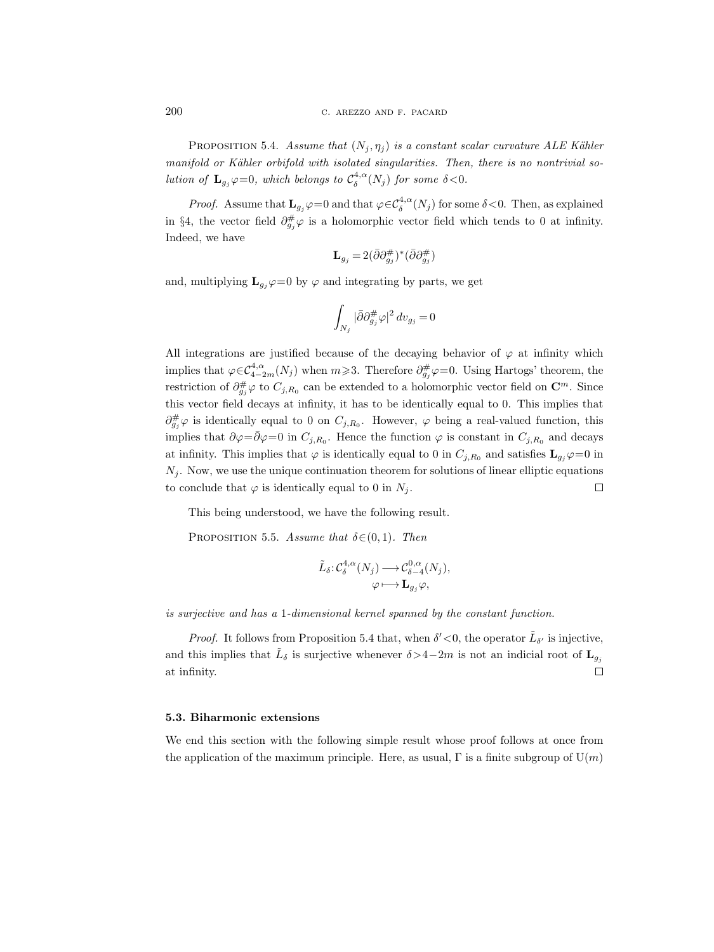PROPOSITION 5.4. Assume that  $(N_i, \eta_i)$  is a constant scalar curvature ALE Kähler manifold or Kähler orbifold with isolated singularities. Then, there is no nontrivial solution of  $\mathbf{L}_{g_j}\varphi=0$ , which belongs to  $\mathcal{C}^{4,\alpha}_\delta(N_j)$  for some  $\delta<0$ .

*Proof.* Assume that  $\mathbf{L}_{g_j}\varphi=0$  and that  $\varphi \in C^{4,\alpha}_\delta(N_j)$  for some  $\delta < 0$ . Then, as explained in §4, the vector field  $\partial_{g_j}^{\#}\varphi$  is a holomorphic vector field which tends to 0 at infinity. Indeed, we have

$$
\mathbf{L}_{g_j} = 2(\bar{\partial}\partial_{g_j}^{\#})^*(\bar{\partial}\partial_{g_j}^{\#})
$$

and, multiplying  $\mathbf{L}_{g_i}\varphi=0$  by  $\varphi$  and integrating by parts, we get

$$
\int_{N_j} |\bar{\partial} \partial_{g_j}^{\#} \varphi|^2 \, dv_{g_j} = 0
$$

All integrations are justified because of the decaying behavior of  $\varphi$  at infinity which implies that  $\varphi \in C^{4,\alpha}_{4-2m}(N_j)$  when  $m \geq 3$ . Therefore  $\partial_{g_j}^{\#}\varphi=0$ . Using Hartogs' theorem, the restriction of  $\partial_{g_j}^{\#}\varphi$  to  $C_{j,R_0}$  can be extended to a holomorphic vector field on  $\mathbb{C}^m$ . Since this vector field decays at infinity, it has to be identically equal to 0. This implies that  $\partial_{g_j}^{\#}\varphi$  is identically equal to 0 on  $C_{j,R_0}$ . However,  $\varphi$  being a real-valued function, this implies that  $\partial \varphi = \bar{\partial} \varphi = 0$  in  $C_{j,R_0}$ . Hence the function  $\varphi$  is constant in  $C_{j,R_0}$  and decays at infinity. This implies that  $\varphi$  is identically equal to 0 in  $C_{j,R_0}$  and satisfies  $\mathbf{L}_{g_j}\varphi=0$  in  $N_i$ . Now, we use the unique continuation theorem for solutions of linear elliptic equations to conclude that  $\varphi$  is identically equal to 0 in  $N_i$ .  $\Box$ 

This being understood, we have the following result.

PROPOSITION 5.5. Assume that  $\delta \in (0, 1)$ . Then

$$
\tilde{L}_{\delta}: \mathcal{C}_{\delta}^{4,\alpha}(N_j) \longrightarrow \mathcal{C}_{\delta-4}^{0,\alpha}(N_j), \varphi \longmapsto \mathbf{L}_{g_j}\varphi,
$$

is surjective and has a 1-dimensional kernel spanned by the constant function.

*Proof.* It follows from Proposition 5.4 that, when  $\delta' < 0$ , the operator  $\tilde{L}_{\delta'}$  is injective, and this implies that  $\tilde{L}_{\delta}$  is surjective whenever  $\delta$ >4−2m is not an indicial root of  $\mathbf{L}_{g_j}$ at infinity.  $\Box$ 

## 5.3. Biharmonic extensions

We end this section with the following simple result whose proof follows at once from the application of the maximum principle. Here, as usual,  $\Gamma$  is a finite subgroup of  $U(m)$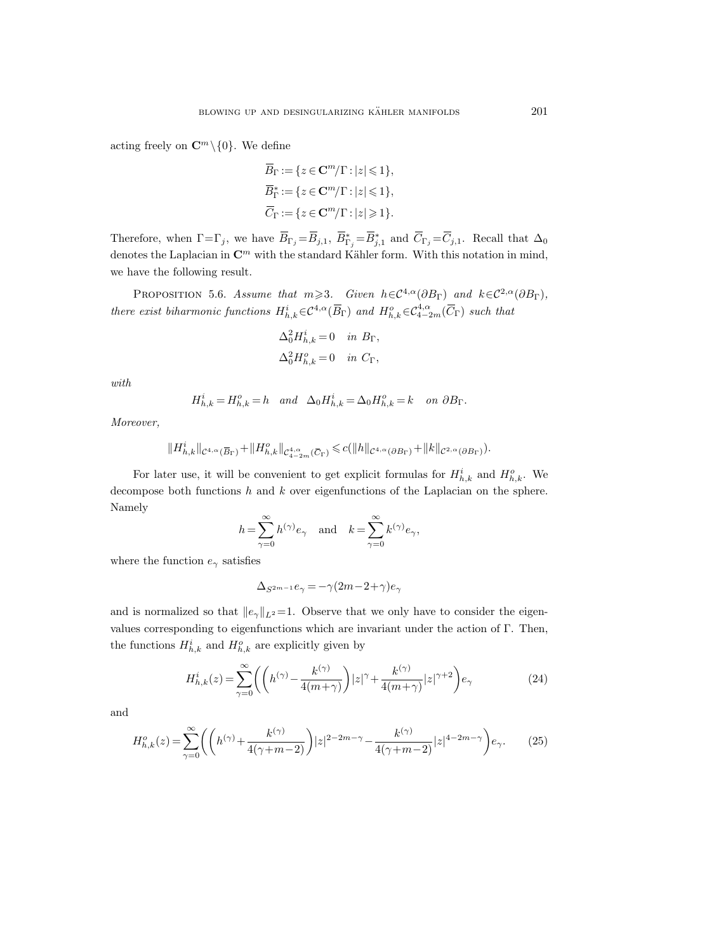acting freely on  $\mathbb{C}^m \setminus \{0\}$ . We define

$$
\begin{aligned} & \overline{B}_{\Gamma}:=\{z\in\mathbf{C}^m/\Gamma:|z|\leqslant 1\},\\ & \overline{B}_{\Gamma}^*:=\{z\in\mathbf{C}^m/\Gamma:|z|\leqslant 1\},\\ & \overline{C}_{\Gamma}:=\{z\in\mathbf{C}^m/\Gamma:|z|\geqslant 1\}. \end{aligned}
$$

Therefore, when  $\Gamma = \Gamma_j$ , we have  $\overline{B}_{\Gamma_j} = \overline{B}_{j,1}$ ,  $\overline{B}_{\Gamma_j}^* = \overline{B}_{j,1}^*$  and  $\overline{C}_{\Gamma_j} = \overline{C}_{j,1}$ . Recall that  $\Delta_0$ denotes the Laplacian in  $\mathbb{C}^m$  with the standard Kähler form. With this notation in mind, we have the following result.

PROPOSITION 5.6. Assume that  $m \geq 3$ . Given  $h \in C^{4,\alpha}(\partial B_{\Gamma})$  and  $k \in C^{2,\alpha}(\partial B_{\Gamma})$ , there exist biharmonic functions  $H_{h,k}^{i} \in C^{4,\alpha}(\overline{B}_{\Gamma})$  and  $H_{h,k}^{o} \in C^{4,\alpha}_{4-2m}(\overline{C}_{\Gamma})$  such that

$$
\Delta_0^2 H_{h,k}^i = 0 \quad in \ B_\Gamma,
$$
  

$$
\Delta_0^2 H_{h,k}^o = 0 \quad in \ C_\Gamma,
$$

with

$$
H_{h,k}^i = H_{h,k}^o = h \quad and \quad \Delta_0 H_{h,k}^i = \Delta_0 H_{h,k}^o = k \quad on \ \partial B_\Gamma.
$$

Moreover,

$$
\|H_{h,k}^i\|_{\mathcal{C}^{4,\alpha}(\overline{B}_\Gamma)}+\|H_{h,k}^o\|_{\mathcal{C}_{4-2m}^{4,\alpha}(\overline{C}_\Gamma)}\leqslant c(\|h\|_{\mathcal{C}^{4,\alpha}(\partial B_\Gamma)}+\|k\|_{\mathcal{C}^{2,\alpha}(\partial B_\Gamma)}).
$$

For later use, it will be convenient to get explicit formulas for  $H_{h,k}^i$  and  $H_{h,k}^o$ . We decompose both functions h and k over eigenfunctions of the Laplacian on the sphere. Namely

$$
h = \sum_{\gamma=0}^{\infty} h^{(\gamma)} e_{\gamma} \quad \text{and} \quad k = \sum_{\gamma=0}^{\infty} k^{(\gamma)} e_{\gamma},
$$

where the function  $e_{\gamma}$  satisfies

$$
\Delta_{S^{2m-1}}e_{\gamma} = -\gamma(2m-2+\gamma)e_{\gamma}
$$

and is normalized so that  $||e_\gamma||_{L^2}=1$ . Observe that we only have to consider the eigenvalues corresponding to eigenfunctions which are invariant under the action of  $\Gamma$ . Then, the functions  $H_{h,k}^i$  and  $H_{h,k}^o$  are explicitly given by

$$
H_{h,k}^{i}(z) = \sum_{\gamma=0}^{\infty} \left( \left( h^{(\gamma)} - \frac{k^{(\gamma)}}{4(m+\gamma)} \right) |z|^{\gamma} + \frac{k^{(\gamma)}}{4(m+\gamma)} |z|^{\gamma+2} \right) e_{\gamma}
$$
(24)

and

$$
H_{h,k}^o(z) = \sum_{\gamma=0}^{\infty} \left( \left( h^{(\gamma)} + \frac{k^{(\gamma)}}{4(\gamma + m - 2)} \right) |z|^{2 - 2m - \gamma} - \frac{k^{(\gamma)}}{4(\gamma + m - 2)} |z|^{4 - 2m - \gamma} \right) e_{\gamma}.
$$
 (25)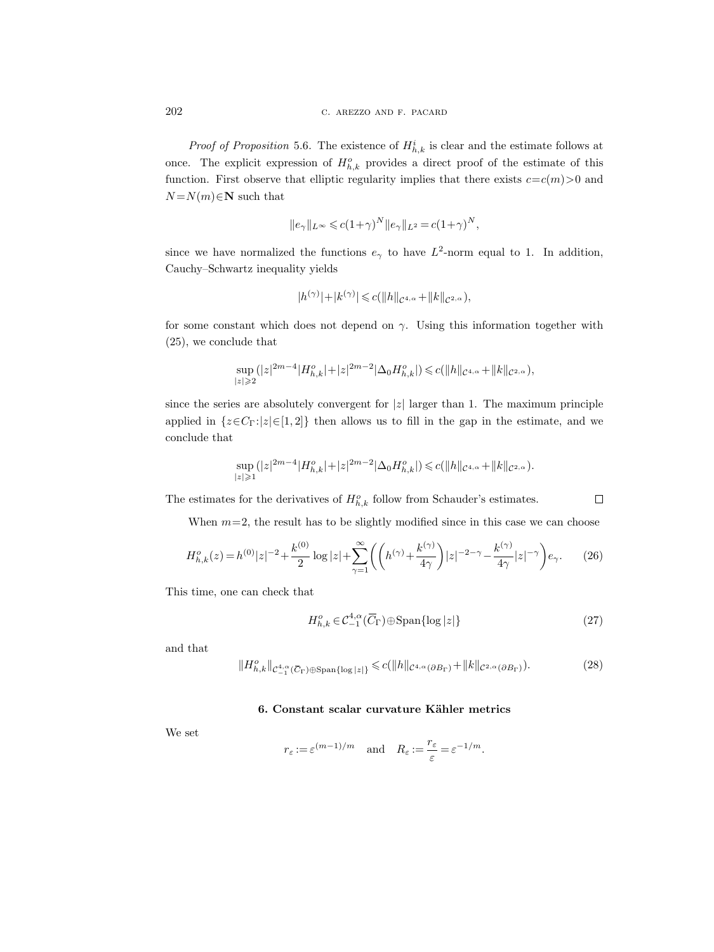*Proof of Proposition* 5.6. The existence of  $H_{h,k}^i$  is clear and the estimate follows at once. The explicit expression of  $H_{h,k}^o$  provides a direct proof of the estimate of this function. First observe that elliptic regularity implies that there exists  $c = c(m) > 0$  and  $N = N(m) \in \mathbb{N}$  such that

$$
||e_\gamma||_{L^\infty}\leqslant c(1+\gamma)^N||e_\gamma||_{L^2}=c(1+\gamma)^N,
$$

since we have normalized the functions  $e_{\gamma}$  to have  $L^2$ -norm equal to 1. In addition, Cauchy–Schwartz inequality yields

$$
|h^{(\gamma)}|+|k^{(\gamma)}|\leqslant c(\|h\|_{\mathcal{C}^{4,\alpha}}+\|k\|_{\mathcal{C}^{2,\alpha}}),
$$

for some constant which does not depend on  $\gamma$ . Using this information together with (25), we conclude that

$$
\sup_{|z|\geqslant 2} (|z|^{2m-4}|H_{h,k}^o|+|z|^{2m-2}|\Delta_0 H_{h,k}^o|)\leqslant c(\|h\|_{\mathcal{C}^{4,\alpha}}+\|k\|_{\mathcal{C}^{2,\alpha}}),
$$

since the series are absolutely convergent for  $|z|$  larger than 1. The maximum principle applied in  $\{z \in C_\Gamma : |z| \in [1, 2]\}$  then allows us to fill in the gap in the estimate, and we conclude that

$$
\sup_{|z|\geqslant 1} (|z|^{2m-4}|H_{h,k}^o|+|z|^{2m-2}|\Delta_0 H_{h,k}^o|)\leqslant c(\|h\|_{\mathcal{C}^{4,\alpha}}+\|k\|_{\mathcal{C}^{2,\alpha}}).
$$

The estimates for the derivatives of  $H_{h,k}^o$  follow from Schauder's estimates.

When  $m=2$ , the result has to be slightly modified since in this case we can choose

$$
H_{h,k}^{o}(z) = h^{(0)}|z|^{-2} + \frac{k^{(0)}}{2}\log|z| + \sum_{\gamma=1}^{\infty} \left( \left( h^{(\gamma)} + \frac{k^{(\gamma)}}{4\gamma} \right) |z|^{-2-\gamma} - \frac{k^{(\gamma)}}{4\gamma} |z|^{-\gamma} \right) e_{\gamma}.
$$
 (26)

This time, one can check that

$$
H_{h,k}^o \in \mathcal{C}_{-1}^{4,\alpha}(\overline{C}_{\Gamma}) \oplus \text{Span}\{\log|z|\}\
$$
 (27)

 $\Box$ 

and that

$$
||H_{h,k}^{o}||_{\mathcal{C}_{-1}^{4,\alpha}(\overline{C}_{\Gamma})\oplus\text{Span}\{|\log|z|\}} \leq c(||h||_{\mathcal{C}^{4,\alpha}(\partial B_{\Gamma})} + ||k||_{\mathcal{C}^{2,\alpha}(\partial B_{\Gamma})}).
$$
\n(28)

# 6. Constant scalar curvature Kähler metrics

We set

$$
r_{\varepsilon} := \varepsilon^{(m-1)/m}
$$
 and  $R_{\varepsilon} := \frac{r_{\varepsilon}}{\varepsilon} = \varepsilon^{-1/m}$ .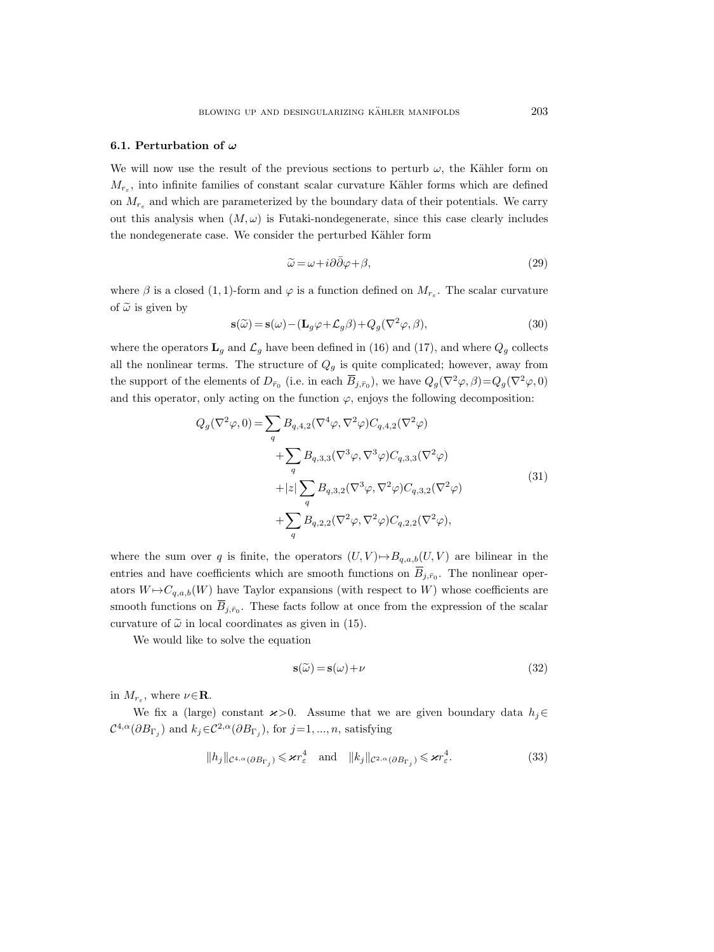#### 6.1. Perturbation of  $\omega$

We will now use the result of the previous sections to perturb  $\omega$ , the Kähler form on  $M_{r_{\varepsilon}}$ , into infinite families of constant scalar curvature Kähler forms which are defined on  $M_{r_{\varepsilon}}$  and which are parameterized by the boundary data of their potentials. We carry out this analysis when  $(M, \omega)$  is Futaki-nondegenerate, since this case clearly includes the nondegenerate case. We consider the perturbed Kähler form

$$
\widetilde{\omega} = \omega + i\partial\bar{\partial}\varphi + \beta,\tag{29}
$$

where  $\beta$  is a closed (1, 1)-form and  $\varphi$  is a function defined on  $M_{r_{\varepsilon}}$ . The scalar curvature of  $\tilde{\omega}$  is given by

$$
\mathbf{s}(\tilde{\omega}) = \mathbf{s}(\omega) - (\mathbf{L}_g \varphi + \mathcal{L}_g \beta) + Q_g(\nabla^2 \varphi, \beta),\tag{30}
$$

where the operators  $\mathbf{L}_g$  and  $\mathcal{L}_g$  have been defined in (16) and (17), and where  $Q_g$  collects all the nonlinear terms. The structure of  $Q_g$  is quite complicated; however, away from the support of the elements of  $D_{\bar{r}_0}$  (i.e. in each  $\overline{B}_{j,\bar{r}_0}$ ), we have  $Q_g(\nabla^2\varphi,\beta)=Q_g(\nabla^2\varphi,0)$ and this operator, only acting on the function  $\varphi$ , enjoys the following decomposition:

$$
Q_g(\nabla^2 \varphi, 0) = \sum_q B_{q,4,2}(\nabla^4 \varphi, \nabla^2 \varphi) C_{q,4,2}(\nabla^2 \varphi)
$$
  
+
$$
\sum_q B_{q,3,3}(\nabla^3 \varphi, \nabla^3 \varphi) C_{q,3,3}(\nabla^2 \varphi)
$$
  
+|z|
$$
\sum_q B_{q,3,2}(\nabla^3 \varphi, \nabla^2 \varphi) C_{q,3,2}(\nabla^2 \varphi)
$$
  
+
$$
\sum_q B_{q,2,2}(\nabla^2 \varphi, \nabla^2 \varphi) C_{q,2,2}(\nabla^2 \varphi),
$$
\n(31)

where the sum over q is finite, the operators  $(U, V) \rightarrow B_{q,a,b}(U, V)$  are bilinear in the entries and have coefficients which are smooth functions on  $\overline{B}_{j,\overline{r}_0}$ . The nonlinear operators  $W \rightarrow C_{q,a,b}(W)$  have Taylor expansions (with respect to W) whose coefficients are smooth functions on  $\overline{B}_{j,\bar{r}_0}$ . These facts follow at once from the expression of the scalar curvature of  $\tilde{\omega}$  in local coordinates as given in (15).

We would like to solve the equation

$$
s(\tilde{\omega}) = s(\omega) + \nu \tag{32}
$$

in  $M_{r_{\varepsilon}}$ , where  $\nu \in \mathbf{R}$ .

We fix a (large) constant  $x>0$ . Assume that we are given boundary data  $h_j \in$  $\mathcal{C}^{4,\alpha}(\partial B_{\Gamma_j})$  and  $k_j \in \mathcal{C}^{2,\alpha}(\partial B_{\Gamma_j})$ , for  $j=1,...,n$ , satisfying

$$
||h_j||_{\mathcal{C}^{4,\alpha}(\partial B_{\Gamma_j})} \leqslant \varkappa r_{\varepsilon}^4 \quad \text{and} \quad ||k_j||_{\mathcal{C}^{2,\alpha}(\partial B_{\Gamma_j})} \leqslant \varkappa r_{\varepsilon}^4. \tag{33}
$$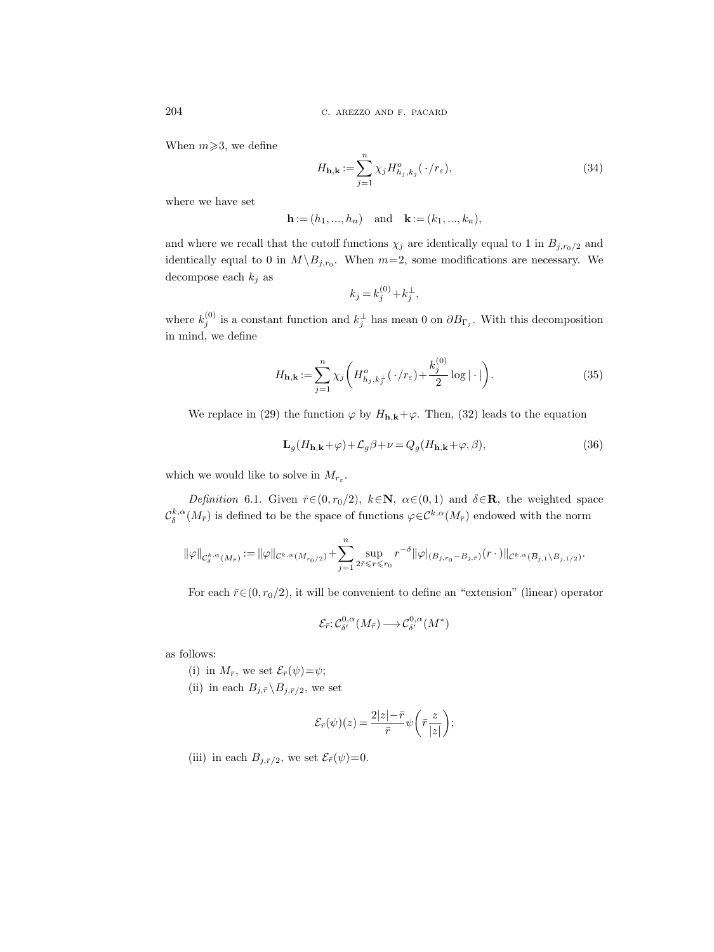When  $m \ge 3$ , we define

$$
H_{\mathbf{h},\mathbf{k}} := \sum_{j=1}^{n} \chi_j H_{h_j,k_j}^o(\cdot/r_\varepsilon),\tag{34}
$$

where we have set

$$
h := (h1, ..., hn)
$$
 and  $k := (k1, ..., kn),$ 

and where we recall that the cutoff functions  $\chi_j$  are identically equal to 1 in  $B_{j,r_0/2}$  and identically equal to 0 in  $M \backslash B_{j,r_0}$ . When  $m=2$ , some modifications are necessary. We decompose each  $k_j$  as

$$
k_j = k_j^{(0)} + k_j^{\perp},
$$

where  $k_j^{(0)}$  is a constant function and  $k_j^{\perp}$  has mean 0 on  $\partial B_{\Gamma_j}$ . With this decomposition in mind, we define

$$
H_{\mathbf{h},\mathbf{k}} := \sum_{j=1}^{n} \chi_j \left( H_{h_j,k_j}^o(\cdot/r_\varepsilon) + \frac{k_j^{(0)}}{2} \log|\cdot|\right). \tag{35}
$$

We replace in (29) the function  $\varphi$  by  $H_{h,k}+\varphi$ . Then, (32) leads to the equation

$$
\mathbf{L}_{g}(H_{\mathbf{h},\mathbf{k}}+\varphi)+\mathcal{L}_{g}\beta+\nu=Q_{g}(H_{\mathbf{h},\mathbf{k}}+\varphi,\beta),
$$
\n(36)

which we would like to solve in  $M_{r_{\varepsilon}}$ .

Definition 6.1. Given  $\bar{r} \in (0, r_0/2)$ ,  $k \in \mathbb{N}$ ,  $\alpha \in (0, 1)$  and  $\delta \in \mathbb{R}$ , the weighted space  $\mathcal{C}^{k,\alpha}_\delta(M_{\bar{r}})$  is defined to be the space of functions  $\varphi \in \mathcal{C}^{k,\alpha}(M_{\bar{r}})$  endowed with the norm

$$
\|\varphi\|_{\mathcal{C}^{k,\alpha}_\delta(M_{\bar{r}})}:=\|\varphi\|_{\mathcal{C}^{k,\alpha}(M_{r_0/2})}+\sum_{j=1}^n \sup_{2\bar{r}\leqslant r\leqslant r_0} r^{-\delta}\|\varphi|_{(B_{j,r_0}-B_{j,\bar{r}})}(r\,\cdot\,)\|_{\mathcal{C}^{k,\alpha}(\overline{B}_{j,1}\backslash B_{j,1/2})}.
$$

For each  $\bar{r} \in (0, r_0/2)$ , it will be convenient to define an "extension" (linear) operator

$$
\mathcal{E}_{\bar{r}}: \mathcal{C}^{0,\alpha}_{\delta'}(M_{\bar{r}}) \longrightarrow \mathcal{C}^{0,\alpha}_{\delta'}(M^*)
$$

as follows:

- (i) in  $M_{\bar{r}}$ , we set  $\mathcal{E}_{\bar{r}}(\psi) = \psi$ ;
- (ii) in each  $B_{j,\bar{r}}\backslash B_{j,\bar{r}/2}$ , we set

$$
\mathcal{E}_{\bar{r}}(\psi)(z) = \frac{2|z| - \bar{r}}{\bar{r}} \psi\bigg(\bar{r}\frac{z}{|z|}\bigg);
$$

(iii) in each  $B_{j,\bar{r}/2}$ , we set  $\mathcal{E}_{\bar{r}}(\psi)=0$ .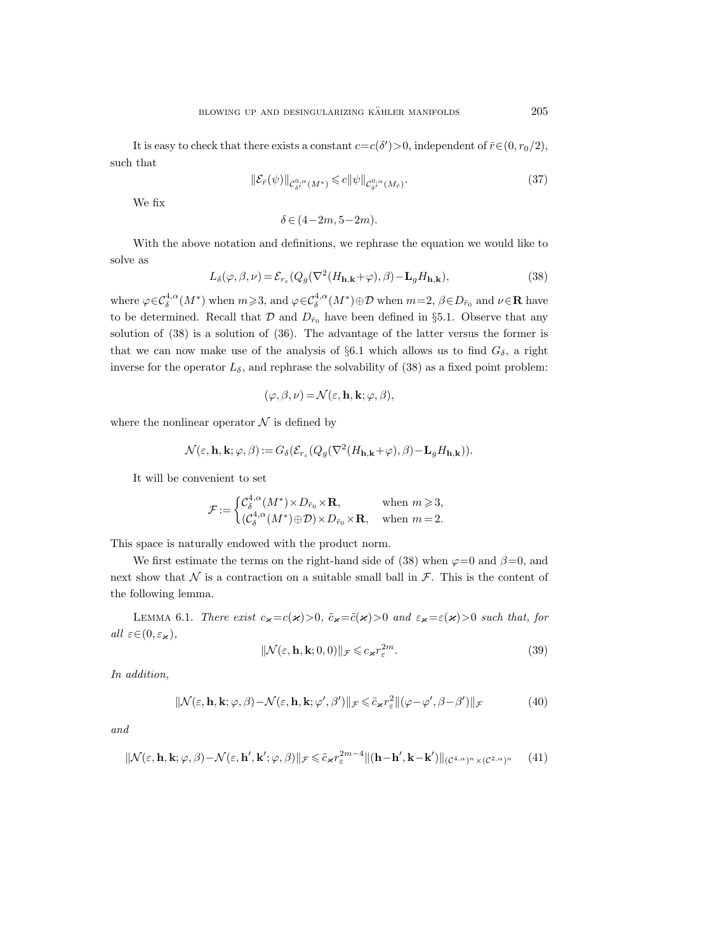It is easy to check that there exists a constant  $c = c(\delta') > 0$ , independent of  $\bar{r} \in (0, r_0/2)$ , such that

$$
\|\mathcal{E}_{\bar{r}}(\psi)\|_{\mathcal{C}^{0,\alpha}_{\delta'}(M^*)}\leq c\|\psi\|_{\mathcal{C}^{0,\alpha}_{\delta'}(M_{\bar{r}})}.\tag{37}
$$

We fix

$$
\delta \in (4-2m, 5-2m).
$$

With the above notation and definitions, we rephrase the equation we would like to solve as

$$
L_{\delta}(\varphi,\beta,\nu) = \mathcal{E}_{r_{\varepsilon}}(Q_g(\nabla^2(H_{\mathbf{h},\mathbf{k}}+\varphi),\beta) - \mathbf{L}_g H_{\mathbf{h},\mathbf{k}}),
$$
\n(38)

where  $\varphi \in \mathcal{C}^{4,\alpha}_\delta(M^*)$  when  $m \geq 3$ , and  $\varphi \in \mathcal{C}^{4,\alpha}_\delta(M^*) \oplus \mathcal{D}$  when  $m=2, \beta \in D_{\bar{r}_0}$  and  $\nu \in \mathbb{R}$  have to be determined. Recall that  $\mathcal D$  and  $D_{\bar r_0}$  have been defined in §5.1. Observe that any solution of (38) is a solution of (36). The advantage of the latter versus the former is that we can now make use of the analysis of §6.1 which allows us to find  $G_{\delta}$ , a right inverse for the operator  $L_{\delta}$ , and rephrase the solvability of (38) as a fixed point problem:

$$
(\varphi, \beta, \nu) = \mathcal{N}(\varepsilon, \mathbf{h}, \mathbf{k}; \varphi, \beta),
$$

where the nonlinear operator  $\mathcal N$  is defined by

$$
\mathcal{N}(\varepsilon, \mathbf{h}, \mathbf{k}; \varphi, \beta) := G_{\delta}(\mathcal{E}_{r_{\varepsilon}}(Q_g(\nabla^2(H_{\mathbf{h}, \mathbf{k}} + \varphi), \beta) - \mathbf{L}_g H_{\mathbf{h}, \mathbf{k}})).
$$

It will be convenient to set

$$
\mathcal{F} \hspace{-0.4mm}:=\hspace{-0.4mm} \begin{cases} \mathcal{C}^{4,\alpha}_\delta(M^*)\hspace{-0.1mm}\times\hspace{-0.1mm} D_{\bar{r}_0}\hspace{-0.1mm}\times\hspace{-0.1mm} \mathbf{R}, & \text{when $m\geqslant 3$},\\ (\mathcal{C}^{4,\alpha}_\delta(M^*)\hspace{-0.1mm}\oplus\hspace{-0.1mm} \mathcal{D})\hspace{-0.1mm}\times\hspace{-0.1mm} D_{\bar{r}_0}\hspace{-0.1mm}\times\hspace{-0.1mm} \mathbf{R}, & \text{when $m=2$.} \end{cases}
$$

This space is naturally endowed with the product norm.

We first estimate the terms on the right-hand side of (38) when  $\varphi=0$  and  $\beta=0$ , and next show that N is a contraction on a suitable small ball in  $\mathcal F$ . This is the content of the following lemma.

LEMMA 6.1. There exist  $c_{\varkappa}=c(\varkappa)>0$ ,  $\tilde{c}_{\varkappa}=\tilde{c}(\varkappa)>0$  and  $\varepsilon_{\varkappa}=\varepsilon(\varkappa)>0$  such that, for all  $\varepsilon \in (0, \varepsilon_{\varkappa}),$ 

$$
\|\mathcal{N}(\varepsilon, \mathbf{h}, \mathbf{k}; 0, 0)\|_{\mathcal{F}} \leqslant c_{\varkappa} r_{\varepsilon}^{2m}.
$$
\n(39)

In addition,

$$
\|\mathcal{N}(\varepsilon, \mathbf{h}, \mathbf{k}; \varphi, \beta) - \mathcal{N}(\varepsilon, \mathbf{h}, \mathbf{k}; \varphi', \beta')\|_{\mathcal{F}} \leq \tilde{c}_{\varkappa} r_{\varepsilon}^{2} \|(\varphi - \varphi', \beta - \beta')\|_{\mathcal{F}}
$$
(40)

and

$$
\|\mathcal{N}(\varepsilon, \mathbf{h}, \mathbf{k}; \varphi, \beta) - \mathcal{N}(\varepsilon, \mathbf{h}', \mathbf{k}'; \varphi, \beta)\|_{\mathcal{F}} \leq \tilde{c}_{\varkappa} r_{\varepsilon}^{2m-4} \|( \mathbf{h} - \mathbf{h}', \mathbf{k} - \mathbf{k}' ) \|_{(\mathcal{C}^{4,\alpha})^n \times (\mathcal{C}^{2,\alpha})^n} \tag{41}
$$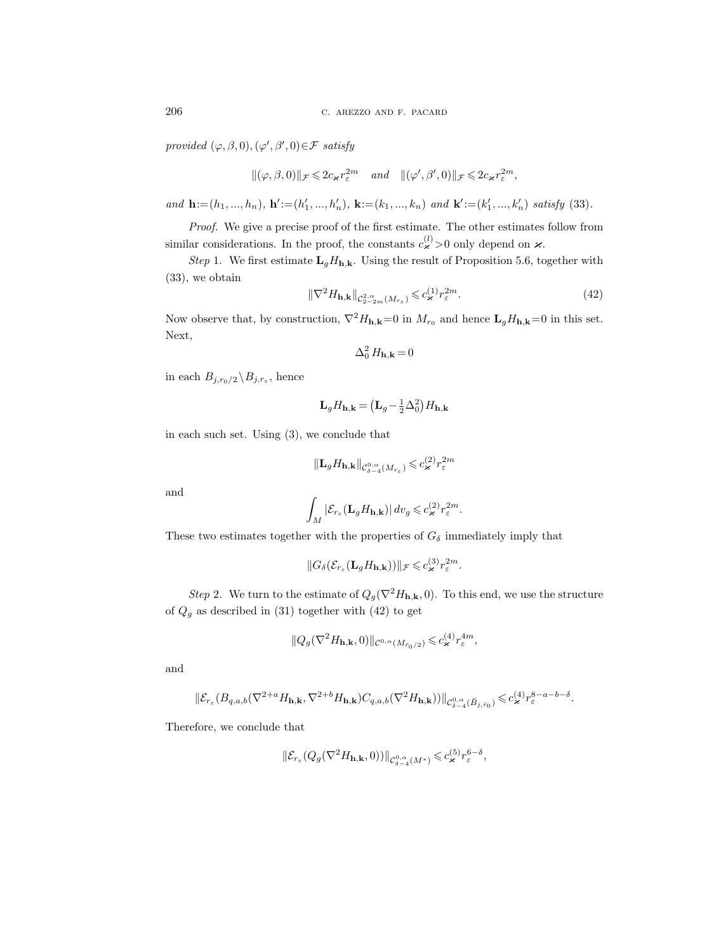provided  $(\varphi, \beta, 0), (\varphi', \beta', 0) \in \mathcal{F}$  satisfy

$$
\|(\varphi,\beta,0)\|_{\mathcal{F}}\leqslant 2c_{\varkappa}r_{\varepsilon}^{2m}\quad and\quad \|(\varphi',\beta',0)\|_{\mathcal{F}}\leqslant 2c_{\varkappa}r_{\varepsilon}^{2m},
$$

and  $\mathbf{h} := (h_1, ..., h_n)$ ,  $\mathbf{h}' := (h'_1, ..., h'_n)$ ,  $\mathbf{k} := (k_1, ..., k_n)$  and  $\mathbf{k}' := (k'_1, ..., k'_n)$  satisfy (33).

Proof. We give a precise proof of the first estimate. The other estimates follow from similar considerations. In the proof, the constants  $c_{\varkappa}^{(l)} > 0$  only depend on  $\varkappa$ .

Step 1. We first estimate  $\mathbf{L}_qH_{h,k}$ . Using the result of Proposition 5.6, together with (33), we obtain

$$
\|\nabla^2 H_{\mathbf{h},\mathbf{k}}\|_{\mathcal{C}_{2-2m}^{2,\alpha}(M_{r_{\varepsilon}})} \leqslant c_{\varkappa}^{(1)} r_{\varepsilon}^{2m}.
$$
\n(42)

Now observe that, by construction,  $\nabla^2 H_{\mathbf{h},\mathbf{k}}=0$  in  $M_{r_0}$  and hence  $\mathbf{L}_g H_{\mathbf{h},\mathbf{k}}=0$  in this set. Next,

$$
\Delta_0^2 H_{\mathbf{h},\mathbf{k}} = 0
$$

in each  $B_{j,r_0/2} \backslash B_{j,r_\varepsilon}$ , hence

$$
\mathbf{L}_g H_{\mathbf{h},\mathbf{k}} = \left(\mathbf{L}_g - \frac{1}{2}\Delta_0^2\right) H_{\mathbf{h},\mathbf{k}}
$$

in each such set. Using (3), we conclude that

$$
\|\mathbf{L}_{g}H_{\mathbf{h},\mathbf{k}}\|_{\mathcal{C}^{0,\alpha}_{\delta-4}(M_{r_{\varepsilon}})} \leqslant c_{\varkappa}^{(2)}r_{\varepsilon}^{2m}
$$

and

$$
\int_M |\mathcal{E}_{r_\varepsilon}(\mathbf{L}_g H_{\mathbf{h}, \mathbf{k}})| \, dv_g \leqslant c_{\varkappa}^{(2)} r_\varepsilon^{2m}.
$$

These two estimates together with the properties of  $G_\delta$  immediately imply that

$$
||G_{\delta}(\mathcal{E}_{r_{\varepsilon}}(\mathbf{L}_{g}H_{\mathbf{h},\mathbf{k}}))||_{\mathcal{F}}\leqslant c_{\varkappa}^{(3)}r_{\varepsilon}^{2m}.
$$

Step 2. We turn to the estimate of  $Q_g(\nabla^2 H_{\mathbf{h},\mathbf{k}},0)$ . To this end, we use the structure of  $Q_g$  as described in (31) together with (42) to get

$$
||Q_g(\nabla^2 H_{\mathbf{h},\mathbf{k}},0)||_{\mathcal{C}^{0,\alpha}(M_{\bar{r}_0/2})} \leqslant c_{\varkappa}^{(4)} r_\varepsilon^{4m},
$$

and

$$
\|\mathcal{E}_{r_{\varepsilon}}(B_{q,a,b}(\nabla^{2+a}H_{\mathbf{h},\mathbf{k}},\nabla^{2+b}H_{\mathbf{h},\mathbf{k}})C_{q,a,b}(\nabla^2H_{\mathbf{h},\mathbf{k}}))\|_{\mathcal{C}^{0,\alpha}_{\delta-4}(\bar{B}_{j,\bar{r}_0})}\leqslant c_{\varkappa}^{(4)}r_{\varepsilon}^{8-a-b-\delta}.
$$

Therefore, we conclude that

$$
\|\mathcal{E}_{r_{\varepsilon}}(Q_g(\nabla^2 H_{\mathbf{h},\mathbf{k}},0))\|_{\mathcal{C}^{0,\alpha}_{\delta-4}(M^*)}\leqslant c_{\varkappa}^{(5)}r_{\varepsilon}^{6-\delta},
$$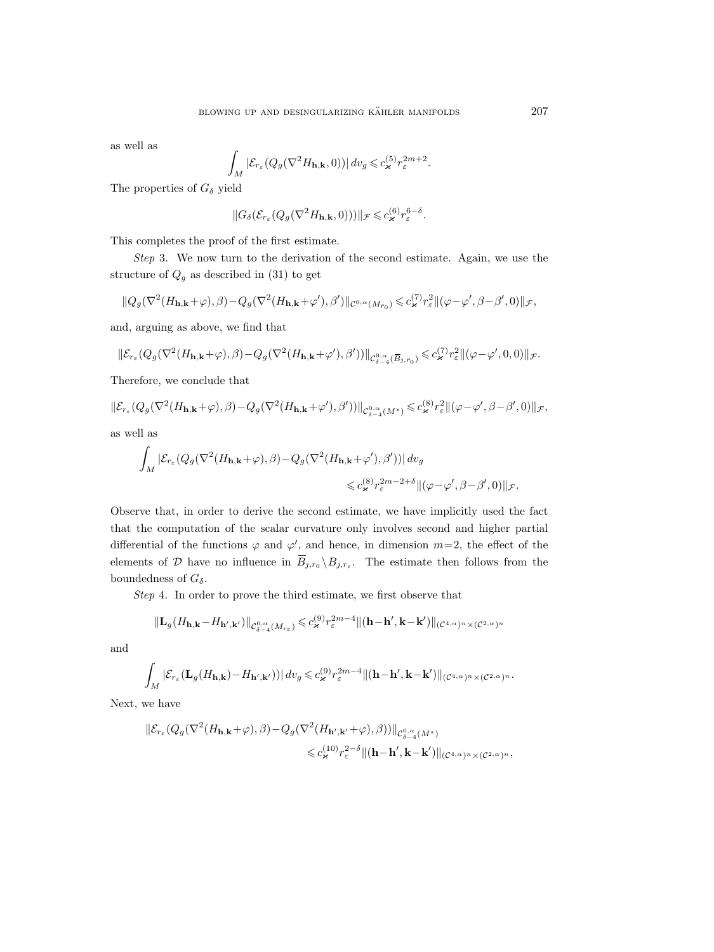as well as

$$
\int_M |\mathcal{E}_{r_\varepsilon}(Q_g(\nabla^2 H_{\mathbf{h},\mathbf{k}},0))| dv_g \leqslant c_{\varkappa}^{(5)} r_{\varepsilon}^{2m+2}.
$$

The properties of  $G_{\delta}$  yield

$$
\|G_\delta(\mathcal{E}_{r_\varepsilon}(Q_g(\nabla^2 H_{\mathbf{h}, \mathbf{k}},0)))\|_{\mathcal{F}}\leqslant c_{\varkappa}^{(6)}r_\varepsilon^{6-\delta}.
$$

This completes the proof of the first estimate.

Step 3. We now turn to the derivation of the second estimate. Again, we use the structure of  $Q_g$  as described in (31) to get

$$
||Q_g(\nabla^2(H_{\mathbf{h},\mathbf{k}}+\varphi),\beta)-Q_g(\nabla^2(H_{\mathbf{h},\mathbf{k}}+\varphi'),\beta')||_{\mathcal{C}^{0,\alpha}(M_{\tilde{r}_0})}\leqslant c_{\varkappa}^{(7)}r_{\varepsilon}^2||(\varphi-\varphi',\beta-\beta',0)||_{\mathcal{F}},
$$

and, arguing as above, we find that

$$
\|\mathcal{E}_{r_{\varepsilon}}(Q_g(\nabla^2(H_{\mathbf{h},\mathbf{k}}+\varphi),\beta)-Q_g(\nabla^2(H_{\mathbf{h},\mathbf{k}}+\varphi'),\beta'))\|_{\mathcal{C}^{0,\alpha}_{\delta-4}(\overline{B}_{j,\bar{r}_0})}\leqslant c_{\varkappa}^{(7)}r_{\varepsilon}^2\|(\varphi-\varphi',0,0)\|_{\mathcal{F}}.
$$

Therefore, we conclude that

$$
\|\mathcal{E}_{r_{\varepsilon}}(Q_g(\nabla^2(H_{\mathbf{h},\mathbf{k}}+\varphi),\beta)-Q_g(\nabla^2(H_{\mathbf{h},\mathbf{k}}+\varphi'),\beta'))\|_{\mathcal{C}^{0,\alpha}_{\delta-4}(M^*)}\leqslant c_{\varkappa}^{(8)}r_{\varepsilon}^2\|(\varphi-\varphi',\beta-\beta',0)\|_{\mathcal{F}},
$$

as well as

$$
\begin{split} \int_{M} |\mathcal{E}_{r_{\varepsilon}}(Q_{g}(\nabla^{2}(H_{\mathbf{h},\mathbf{k}}+\varphi),\beta)-Q_{g}(\nabla^{2}(H_{\mathbf{h},\mathbf{k}}+\varphi'),\beta'))| \, dv_{g} \\ \leqslant & c_{\varkappa}^{(8)} r_{\varepsilon}^{2m-2+\delta} \|(\varphi-\varphi',\beta-\beta',0)\|_{\mathcal{F}}. \end{split}
$$

Observe that, in order to derive the second estimate, we have implicitly used the fact that the computation of the scalar curvature only involves second and higher partial differential of the functions  $\varphi$  and  $\varphi'$ , and hence, in dimension  $m=2$ , the effect of the elements of D have no influence in  $\overline{B}_{j,r_0} \setminus B_{j,r_{\varepsilon}}$ . The estimate then follows from the boundedness of  $G_{\delta}$ .

Step 4. In order to prove the third estimate, we first observe that

$$
\|\mathbf{L}_{g}(H_{\mathbf{h},\mathbf{k}}-H_{\mathbf{h}',\mathbf{k}'})\|_{\mathcal{C}^{0,\alpha}_{\delta-4}(M_{r_{\varepsilon}})} \leqslant c_{\varkappa}^{(9)} r_{\varepsilon}^{2m-4} \|( \mathbf{h}-\mathbf{h}',\mathbf{k}-\mathbf{k}')\|_{(\mathcal{C}^{4,\alpha})^{n}\times(\mathcal{C}^{2,\alpha})^{n}}
$$

and

$$
\int_M |\mathcal{E}_{r_\varepsilon}(\mathbf{L}_g(H_{\mathbf{h},\mathbf{k}}) - H_{\mathbf{h}',\mathbf{k}'}))| dv_g \leqslant c_{\varkappa}^{(9)} r_\varepsilon^{2m-4} \|( \mathbf{h} - \mathbf{h}', \mathbf{k} - \mathbf{k}') \|_{(\mathcal{C}^{4,\alpha})^n \times (\mathcal{C}^{2,\alpha})^n}.
$$

Next, we have

$$
\|\mathcal{E}_{r_{\varepsilon}}(Q_g(\nabla^2(H_{\mathbf{h},\mathbf{k}}+\varphi),\beta)-Q_g(\nabla^2(H_{\mathbf{h}',\mathbf{k}'}+\varphi),\beta))\|_{\mathcal{C}^{0,\alpha}_{\delta-4}(M^*)}\n\n\leq c_{\varkappa}^{(10)}r_{\varepsilon}^{2-\delta}\|( \mathbf{h}-\mathbf{h}',\mathbf{k}-\mathbf{k}')\|_{(\mathcal{C}^{4,\alpha})^n\times(\mathcal{C}^{2,\alpha})^n},
$$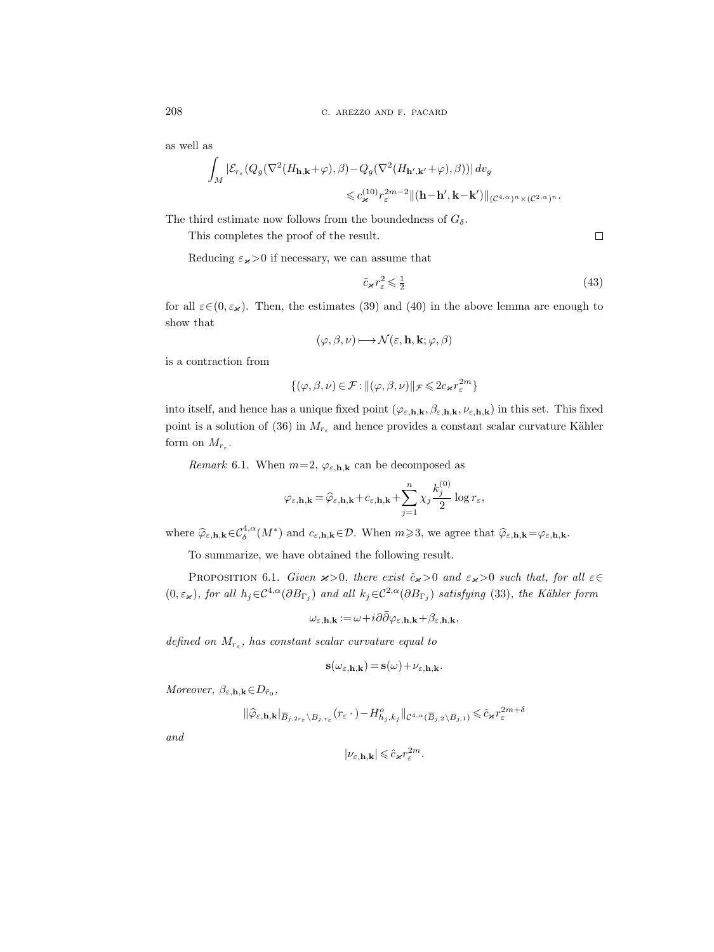as well as

$$
\begin{aligned}\int_{M}\left|\mathcal{E}_{r_{\varepsilon}}(Q_g(\nabla^2(H_{\mathbf{h},\mathbf{k}}+\varphi),\beta)-Q_g(\nabla^2(H_{\mathbf{h}',\mathbf{k}'}+\varphi),\beta))\right|dv_g\\ \leqslant & c_{\varkappa}^{(10)}r_{\varepsilon}^{2m-2}\|(\mathbf{h}-\mathbf{h}',\mathbf{k}-\mathbf{k}')\|_{(\mathcal{C}^{4,\alpha})^n\times(\mathcal{C}^{2,\alpha})^n}.\end{aligned}
$$

The third estimate now follows from the boundedness of  $G_{\delta}$ .

This completes the proof of the result.

 $\Box$ 

Reducing  $\varepsilon_{\varkappa}$  > 0 if necessary, we can assume that

$$
\tilde{c}_{\varkappa}r_{\varepsilon}^{2} \leqslant \frac{1}{2} \tag{43}
$$

for all  $\varepsilon \in (0, \varepsilon_{\varkappa})$ . Then, the estimates (39) and (40) in the above lemma are enough to show that

$$
(\varphi,\beta,\nu)\longmapsto\mathcal{N}(\varepsilon,\mathbf{h},\mathbf{k};\varphi,\beta)
$$

is a contraction from

$$
\{(\varphi,\beta,\nu)\!\in\! \mathcal{F}\!:\! \|(\varphi,\beta,\nu)\|_{\mathcal{F}}\!\leqslant\! 2c_{\varkappa}r_{\varepsilon}^{2m}\}
$$

into itself, and hence has a unique fixed point  $(\varphi_{\varepsilon,h,k}, \beta_{\varepsilon,h,k}, \nu_{\varepsilon,h,k})$  in this set. This fixed point is a solution of (36) in  $M_{r_{\varepsilon}}$  and hence provides a constant scalar curvature Kähler form on  $M_{r_{\varepsilon}}$ .

Remark 6.1. When  $m=2$ ,  $\varphi_{\varepsilon, \mathbf{h}, \mathbf{k}}$  can be decomposed as

$$
\varphi_{\varepsilon, \mathbf{h}, \mathbf{k}} = \widehat{\varphi}_{\varepsilon, \mathbf{h}, \mathbf{k}} + c_{\varepsilon, \mathbf{h}, \mathbf{k}} + \sum_{j=1}^{n} \chi_j \frac{k_j^{(0)}}{2} \log r_{\varepsilon},
$$

where  $\widehat{\varphi}_{\varepsilon,h,k} \in C^{4,\alpha}_{\delta}(M^*)$  and  $c_{\varepsilon,h,k} \in \mathcal{D}$ . When  $m \geqslant 3$ , we agree that  $\widehat{\varphi}_{\varepsilon,h,k} = \varphi_{\varepsilon,h,k}$ .

To summarize, we have obtained the following result.

PROPOSITION 6.1. Given  $x>0$ , there exist  $\hat{c}_x>0$  and  $\varepsilon_x>0$  such that, for all  $\varepsilon \in$  $(0,\varepsilon_{\varkappa})$ , for all  $h_j \in C^{4,\alpha}(\partial B_{\Gamma_j})$  and all  $k_j \in C^{2,\alpha}(\partial B_{\Gamma_j})$  satisfying (33), the Kähler form

$$
\omega_{\varepsilon,\mathbf{h},\mathbf{k}}\!:=\!\omega\!+\!i\partial\bar\partial\varphi_{\varepsilon,\mathbf{h},\mathbf{k}}\!+\!\beta_{\varepsilon,\mathbf{h},\mathbf{k}},
$$

defined on  $M_{r_{\varepsilon}}$ , has constant scalar curvature equal to

$$
\mathbf{s}(\omega_{\varepsilon,\mathbf{h},\mathbf{k}}) = \mathbf{s}(\omega) + \nu_{\varepsilon,\mathbf{h},\mathbf{k}}.
$$

Moreover,  $\beta_{\varepsilon, \mathbf{h}, \mathbf{k}} \in D_{\bar{r}_0},$ 

$$
\|\widehat{\varphi}_{\varepsilon, \mathbf{h}, \mathbf{k}}|_{\overline{B}_{j, 2r_{\varepsilon}} \setminus B_{j, r_{\varepsilon}}}(r_{\varepsilon} \cdot) - H_{h_j, k_j}^o\|_{\mathcal{C}^{4, \alpha}(\overline{B}_{j, 2} \setminus B_{j, 1})} \leq \widehat{c}_{\varkappa} r_{\varepsilon}^{2m + \delta}
$$

and

$$
|\nu_{\varepsilon,\mathbf{h},\mathbf{k}}|\leqslant \hat{c}_{\varkappa}r_{\varepsilon}^{2m}.
$$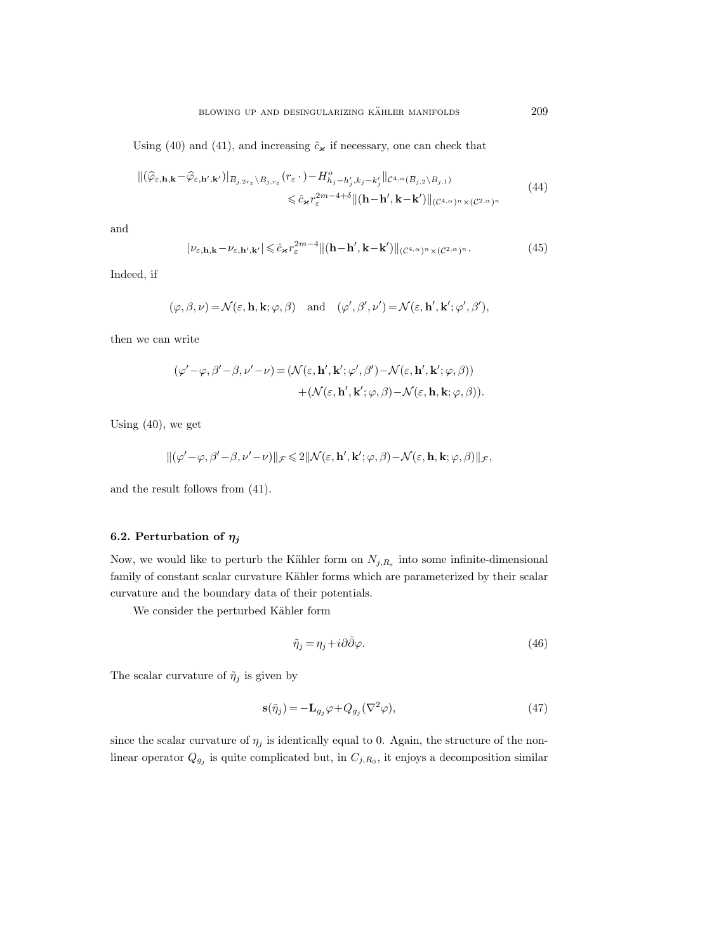Using (40) and (41), and increasing  $\hat{c}_{\times}$  if necessary, one can check that

$$
\begin{split} \|(\widehat{\varphi}_{\varepsilon,\mathbf{h},\mathbf{k}} - \widehat{\varphi}_{\varepsilon,\mathbf{h}',\mathbf{k}'} )\|_{\overline{B}_{j,2r_{\varepsilon}}\setminus B_{j,r_{\varepsilon}}} (r_{\varepsilon} \cdot) - H_{h_{j}-h'_{j},k_{j}-k'_{j}}^o \|_{\mathcal{C}^{4,\alpha}(\overline{B}_{j,2}\setminus B_{j,1})} \\ &\leqslant \widehat{c}_{\varkappa} r_{\varepsilon}^{2m-4+\delta} \|(\mathbf{h}-\mathbf{h}',\mathbf{k}-\mathbf{k}')\|_{(\mathcal{C}^{4,\alpha})^n \times (\mathcal{C}^{2,\alpha})^n} \end{split} \tag{44}
$$

and

$$
|\nu_{\varepsilon,\mathbf{h},\mathbf{k}}-\nu_{\varepsilon,\mathbf{h}',\mathbf{k}'}|\leqslant \hat{c}_{\varkappa}r_{\varepsilon}^{2m-4}\|(\mathbf{h}-\mathbf{h}',\mathbf{k}-\mathbf{k}')\|_{(\mathcal{C}^{4,\alpha})^n\times(\mathcal{C}^{2,\alpha})^n}.\tag{45}
$$

Indeed, if

$$
(\varphi,\beta,\nu) = \mathcal{N}(\varepsilon,\mathbf{h},\mathbf{k};\varphi,\beta) \quad \text{and} \quad (\varphi',\beta',\nu') = \mathcal{N}(\varepsilon,\mathbf{h}',\mathbf{k}';\varphi',\beta'),
$$

then we can write

$$
(\varphi' - \varphi, \beta' - \beta, \nu' - \nu) = (\mathcal{N}(\varepsilon, \mathbf{h}', \mathbf{k}'; \varphi', \beta') - \mathcal{N}(\varepsilon, \mathbf{h}', \mathbf{k}'; \varphi, \beta)) + (\mathcal{N}(\varepsilon, \mathbf{h}', \mathbf{k}'; \varphi, \beta) - \mathcal{N}(\varepsilon, \mathbf{h}, \mathbf{k}; \varphi, \beta)).
$$

Using (40), we get

$$
\|(\varphi'-\varphi,\beta'-\beta,\nu'-\nu)\|_{\mathcal{F}}\leqslant 2\|\mathcal{N}(\varepsilon,\mathbf{h}',\mathbf{k}';\varphi,\beta)-\mathcal{N}(\varepsilon,\mathbf{h},\mathbf{k};\varphi,\beta)\|_{\mathcal{F}},
$$

and the result follows from (41).

# 6.2. Perturbation of  $\eta_j$

Now, we would like to perturb the Kähler form on  $N_{j,R_{\varepsilon}}$  into some infinite-dimensional family of constant scalar curvature Kähler forms which are parameterized by their scalar curvature and the boundary data of their potentials.

We consider the perturbed Kähler form

$$
\tilde{\eta}_j = \eta_j + i\partial\bar{\partial}\varphi. \tag{46}
$$

The scalar curvature of  $\tilde{\eta}_j$  is given by

$$
\mathbf{s}(\tilde{\eta}_j) = -\mathbf{L}_{g_j} \varphi + Q_{g_j} (\nabla^2 \varphi),\tag{47}
$$

since the scalar curvature of  $\eta_j$  is identically equal to 0. Again, the structure of the nonlinear operator  $Q_{g_j}$  is quite complicated but, in  $C_{j,R_0}$ , it enjoys a decomposition similar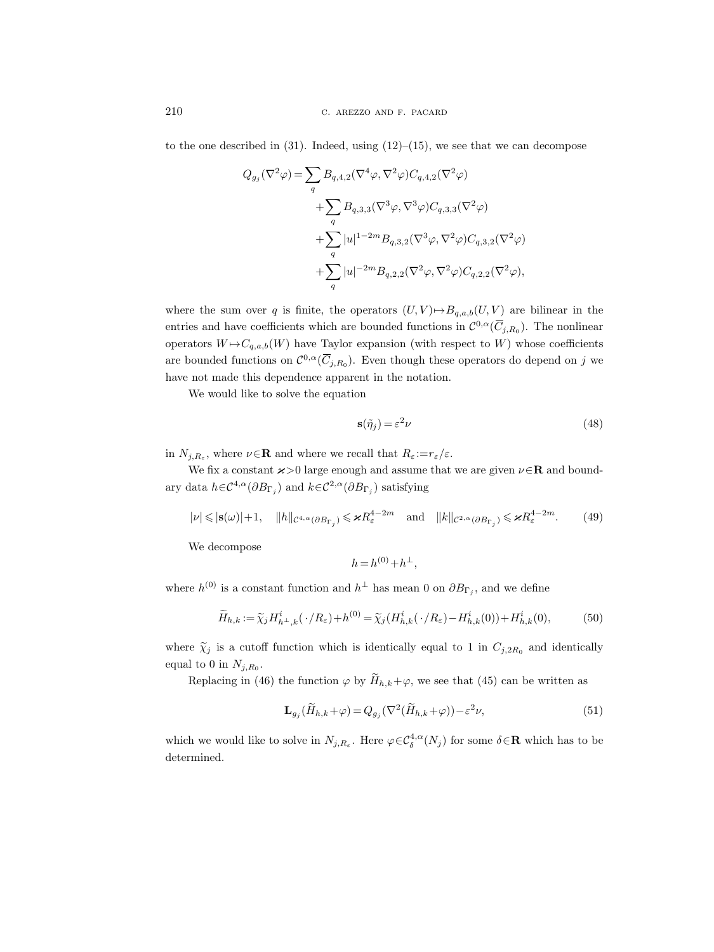to the one described in  $(31)$ . Indeed, using  $(12)$ – $(15)$ , we see that we can decompose

$$
Q_{g_j}(\nabla^2 \varphi) = \sum_q B_{q,4,2}(\nabla^4 \varphi, \nabla^2 \varphi) C_{q,4,2}(\nabla^2 \varphi)
$$
  
+
$$
\sum_q B_{q,3,3}(\nabla^3 \varphi, \nabla^3 \varphi) C_{q,3,3}(\nabla^2 \varphi)
$$
  
+
$$
\sum_q |u|^{1-2m} B_{q,3,2}(\nabla^3 \varphi, \nabla^2 \varphi) C_{q,3,2}(\nabla^2 \varphi)
$$
  
+
$$
\sum_q |u|^{-2m} B_{q,2,2}(\nabla^2 \varphi, \nabla^2 \varphi) C_{q,2,2}(\nabla^2 \varphi),
$$

where the sum over q is finite, the operators  $(U, V) \rightarrow B_{q,a,b}(U, V)$  are bilinear in the entries and have coefficients which are bounded functions in  $\mathcal{C}^{0,\alpha}(\overline{C}_{j,R_0})$ . The nonlinear operators  $W \mapsto C_{q,a,b}(W)$  have Taylor expansion (with respect to W) whose coefficients are bounded functions on  $\mathcal{C}^{0,\alpha}(\overline{C}_{j,R_0})$ . Even though these operators do depend on j we have not made this dependence apparent in the notation.

We would like to solve the equation

$$
\mathbf{s}(\tilde{\eta}_j) = \varepsilon^2 \nu \tag{48}
$$

in  $N_{j,R_{\varepsilon}}$ , where  $\nu \in \mathbf{R}$  and where we recall that  $R_{\varepsilon} := r_{\varepsilon}/\varepsilon$ .

We fix a constant  $\varkappa > 0$  large enough and assume that we are given  $\nu \in \mathbb{R}$  and boundary data  $h \in \mathcal{C}^{4,\alpha}(\partial B_{\Gamma_j})$  and  $k \in \mathcal{C}^{2,\alpha}(\partial B_{\Gamma_j})$  satisfying

$$
|\nu| \leqslant |\mathbf{s}(\omega)| + 1, \quad \|h\|_{\mathcal{C}^{4,\alpha}(\partial B_{\Gamma_j})} \leqslant \varkappa R_{\varepsilon}^{4-2m} \quad \text{and} \quad \|k\|_{\mathcal{C}^{2,\alpha}(\partial B_{\Gamma_j})} \leqslant \varkappa R_{\varepsilon}^{4-2m}.\tag{49}
$$

We decompose

$$
h = h^{(0)} + h^{\perp},
$$

where  $h^{(0)}$  is a constant function and  $h^{\perp}$  has mean 0 on  $\partial B_{\Gamma_j}$ , and we define

$$
\widetilde{H}_{h,k} := \widetilde{\chi}_j H_{h\perp,k}^i(\cdot/R_\varepsilon) + h^{(0)} = \widetilde{\chi}_j(H_{h,k}^i(\cdot/R_\varepsilon) - H_{h,k}^i(0)) + H_{h,k}^i(0),\tag{50}
$$

where  $\tilde{\chi}_j$  is a cutoff function which is identically equal to 1 in  $C_{j,2R_0}$  and identically equal to 0 in  $N_{j,R_0}$ .

Replacing in (46) the function  $\varphi$  by  $\widetilde{H}_{h,k}+\varphi$ , we see that (45) can be written as

$$
\mathbf{L}_{g_j}(\widetilde{H}_{h,k}+\varphi) = Q_{g_j}(\nabla^2(\widetilde{H}_{h,k}+\varphi)) - \varepsilon^2 \nu,
$$
\n(51)

which we would like to solve in  $N_{j,R_{\varepsilon}}$ . Here  $\varphi \in C^{4,\alpha}_\delta(N_j)$  for some  $\delta \in \mathbf{R}$  which has to be determined.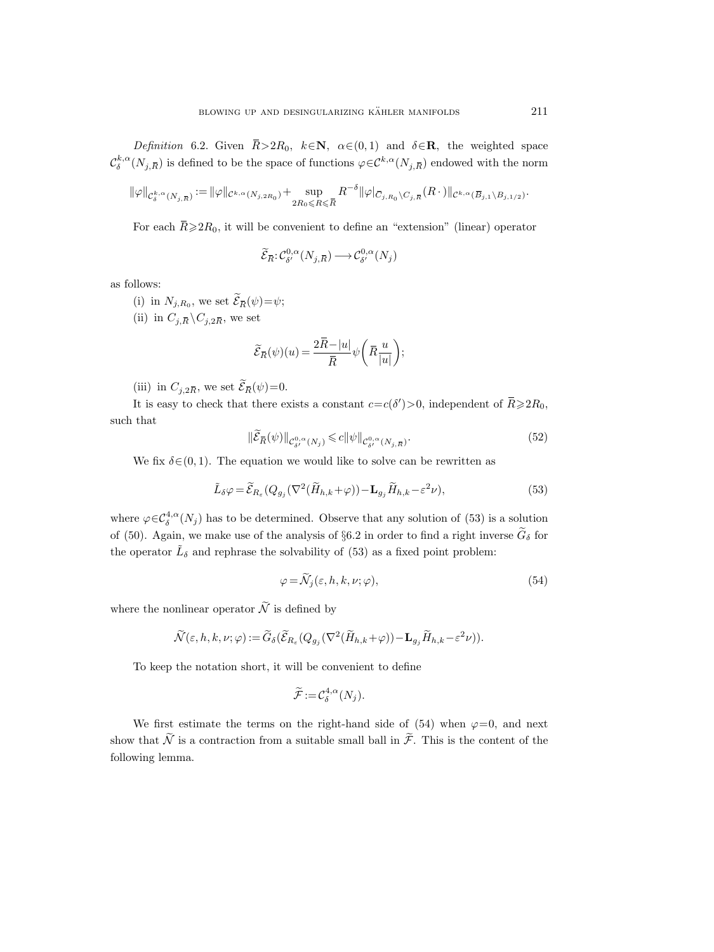Definition 6.2. Given  $\bar{R} > 2R_0$ ,  $k \in \mathbb{N}$ ,  $\alpha \in (0, 1)$  and  $\delta \in \mathbb{R}$ , the weighted space  $\mathcal{C}^{k,\alpha}_\delta(N_{j,\bar R})$  is defined to be the space of functions  $\varphi \in \mathcal{C}^{k,\alpha}(N_{j,\bar R})$  endowed with the norm *tion* 6.2. Given  $\overline{R} > 2R_0$ ,  $k \in \mathbb{N}$ ,  $\alpha \in (0,1)$  and  $\delta \in \mathbb{N}$  is defined to be the space of functions  $\varphi \in \mathcal{C}^{k,\alpha}(N_{j,\overline{R}})$ <br>  $(N_{j,\overline{R}}) := ||\varphi||_{\mathcal{C}^{k,\alpha}(N_{j,2R_0})} + \sup_{\alpha \in \mathbb{N}} \sup_{\zeta \in \overline{R}} R^{-\delta} ||\var$ 

$$
\|\varphi\|_{\mathcal{C}^{k,\alpha}_\delta(N_{j,\bar{R}})} := \|\varphi\|_{\mathcal{C}^{k,\alpha}(N_{j,2R_0})} + \sup_{2R_0 \leq R \leq \bar{R}} R^{-\delta} \|\varphi\|_{\bar{C}_{j,R_0} \setminus C_{j,\bar{R}}}(R \cdot) \|_{\mathcal{C}^{k,\alpha}(\overline{B}_{j,1} \setminus B_{j,1/2})}
$$

For each  $\bar{R} \ge 2R_0$ , it will be convenient to define an "extension" (linear) operator

$$
\widetilde{\mathcal{E}}_{\overline{R}}:\mathcal{C}^{0,\alpha}_{\delta'}(N_{j,\overline{R}})\longrightarrow \mathcal{C}^{0,\alpha}_{\delta'}(N_j)
$$

as follows:

(i) in  $N_{j,R_0}$ , we set  $\mathcal{E}_{\bar{R}}(\psi) = \psi$ ;

(ii) in  $C_{j,\bar{R}} \backslash C_{j,2\bar{R}}$ , we set

$$
\widetilde{\mathcal{E}}_{\overline{R}}(\psi)(u)=\frac{2\bar{R}-|u|}{\bar{R}}\psi\bigg(\bar{R}\frac{u}{|u|}\bigg);
$$

(iii) in  $C_{j,2\bar{R}}$ , we set  $\mathcal{E}_{\bar{R}}(\psi)=0$ .

It is easy to check that there exists a constant  $c = c(\delta') > 0$ , independent of  $\overline{R} \ge 2R_0$ , such that  $c = c(\delta')$ <br> $\frac{0}{\delta'}^0$ <sub> $\delta'$ </sub> $(N_{j,R})$ 

$$
\|\widetilde{\mathcal{E}}_{\overline{R}}(\psi)\|_{\mathcal{C}^{0,\alpha}_{\delta'}(N_j)} \leqslant c \|\psi\|_{\mathcal{C}^{0,\alpha}_{\delta'}(N_{j,\overline{R}})}.
$$
\n
$$
(52)
$$

We fix  $\delta \in (0, 1)$ . The equation we would like to solve can be rewritten as

$$
\tilde{L}_{\delta}\varphi = \tilde{\mathcal{E}}_{R_{\varepsilon}}(Q_{g_j}(\nabla^2(\tilde{H}_{h,k}+\varphi)) - \mathbf{L}_{g_j}\tilde{H}_{h,k} - \varepsilon^2 \nu),
$$
\n(53)

where  $\varphi \in C^{4,\alpha}_\delta(N_j)$  has to be determined. Observe that any solution of (53) is a solution of (50). Again, we make use of the analysis of §6.2 in order to find a right inverse  $\tilde{G}_{\delta}$  for the operator  $\tilde{L}_{\delta}$  and rephrase the solvability of (53) as a fixed point problem:

$$
\varphi = \widetilde{\mathcal{N}}_j(\varepsilon, h, k, \nu; \varphi), \tag{54}
$$

where the nonlinear operator  $\widetilde{\mathcal{N}}$  is defined by

$$
\widetilde{\mathcal{N}}(\varepsilon,h,k,\nu;\varphi) := \widetilde{G}_{\delta}(\widetilde{\mathcal{E}}_{R_{\varepsilon}}(Q_{g_j}(\nabla^2(\widetilde{H}_{h,k}+\varphi))-\mathbf{L}_{g_j}\widetilde{H}_{h,k}-\varepsilon^2\nu)).
$$

To keep the notation short, it will be convenient to define

$$
\widetilde{\mathcal{F}} := \mathcal{C}_{\delta}^{4,\alpha}(N_j).
$$

We first estimate the terms on the right-hand side of (54) when  $\varphi=0$ , and next show that  $\widetilde{\mathcal{N}}$  is a contraction from a suitable small ball in  $\widetilde{\mathcal{F}}$ . This is the content of the following lemma.

.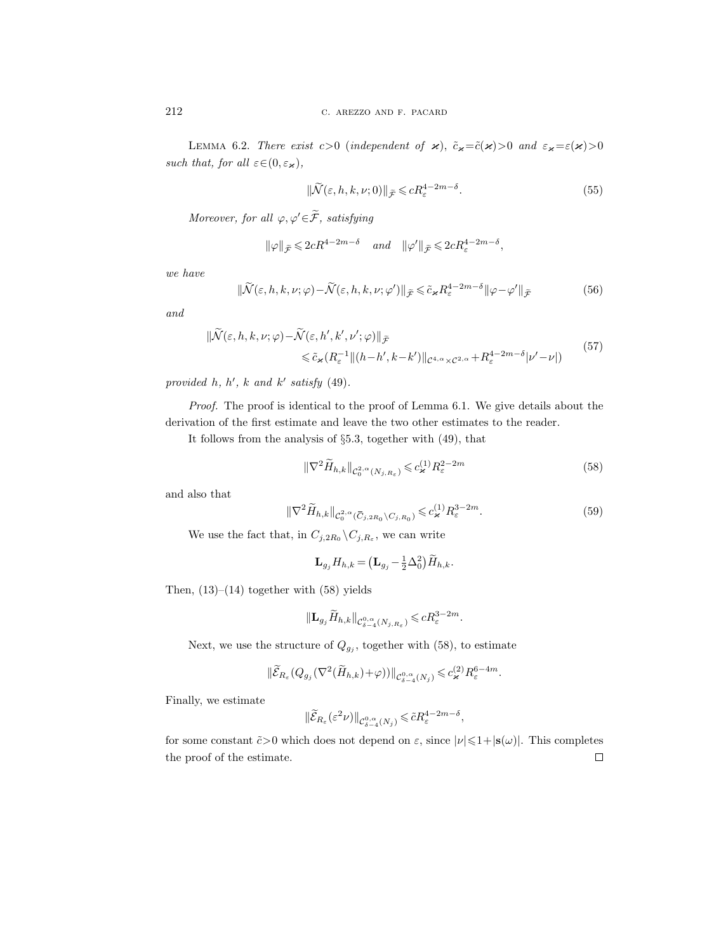LEMMA 6.2. There exist  $c>0$  (independent of  $\varkappa$ ),  $\tilde{c}_{\varkappa} = \tilde{c}(\varkappa) > 0$  and  $\varepsilon_{\varkappa} = \varepsilon(\varkappa) > 0$ such that, for all  $\varepsilon \in (0, \varepsilon_{\varkappa}),$ 

$$
\|\widetilde{\mathcal{N}}(\varepsilon, h, k, \nu; 0)\|_{\widetilde{\mathcal{F}}} \leqslant c R_{\varepsilon}^{4-2m-\delta}.
$$
\n
$$
(55)
$$

Moreover, for all  $\varphi, \varphi' \in \widetilde{\mathcal{F}}$ , satisfying

$$
\|\varphi\|_{\widetilde{\mathcal{F}}} \leqslant 2cR^{4-2m-\delta}
$$
 and  $\|\varphi'\|_{\widetilde{\mathcal{F}}} \leqslant 2cR_{\varepsilon}^{4-2m-\delta}$ ,

we have

$$
\|\widetilde{\mathcal{N}}(\varepsilon, h, k, \nu; \varphi) - \widetilde{\mathcal{N}}(\varepsilon, h, k, \nu; \varphi')\|_{\widetilde{\mathcal{F}}} \leq \widetilde{c}_{\varkappa} R_{\varepsilon}^{4 - 2m - \delta} \|\varphi - \varphi'\|_{\widetilde{\mathcal{F}}} \tag{56}
$$

and

$$
\|\widetilde{\mathcal{N}}(\varepsilon,h,k,\nu;\varphi) - \widetilde{\mathcal{N}}(\varepsilon,h',k',\nu';\varphi)\|_{\widetilde{\mathcal{F}}} \le \widetilde{c}_{\varkappa}(R_{\varepsilon}^{-1} \|(h-h',k-k')\|_{\mathcal{C}^{4,\alpha}\times\mathcal{C}^{2,\alpha}} + R_{\varepsilon}^{4-2m-\delta}|\nu'-\nu|)
$$
\n<sup>(57)</sup>

provided h, h', k and k' satisfy  $(49)$ .

Proof. The proof is identical to the proof of Lemma 6.1. We give details about the derivation of the first estimate and leave the two other estimates to the reader.

It follows from the analysis of §5.3, together with (49), that

$$
\|\nabla^2 \widetilde{H}_{h,k}\|_{\mathcal{C}_0^{2,\alpha}(N_{j,R_{\varepsilon}})} \leqslant c_{\varkappa}^{(1)} R_{\varepsilon}^{2-2m} \tag{58}
$$

and also that

$$
\|\nabla^2 \widetilde{H}_{h,k}\|_{\mathcal{C}_0^{2,\alpha}(\overline{C}_{j,2R_0}\backslash C_{j,R_0})} \leq c_{\varkappa}^{(1)} R_{\varepsilon}^{3-2m}.
$$
\n(59)

We use the fact that, in  $C_{j,2R_0}\backslash C_{j,R_\varepsilon}$ , we can write

$$
\mathbf{L}_{g_j} H_{h,k} = \left( \mathbf{L}_{g_j} - \frac{1}{2} \Delta_0^2 \right) \widetilde{H}_{h,k}.
$$

Then,  $(13)$ – $(14)$  together with  $(58)$  yields

$$
\|\mathbf{L}_{g_j}\widetilde{H}_{h,k}\|_{\mathcal{C}^{0,\alpha}_{\delta-4}(N_{j,R_{\varepsilon}})}\leqslant cR_{\varepsilon}^{3-2m}.
$$

Next, we use the structure of  $Q_{g_j}$ , together with (58), to estimate

$$
\|\widetilde{\mathcal{E}}_{R_{\varepsilon}}(Q_{g_j}(\nabla^2(\widetilde{H}_{h,k})+\varphi))\|_{\mathcal{C}^{0,\alpha}_{\delta-4}(N_j)}\leqslant c_{\varkappa}^{(2)}R_{\varepsilon}^{6-4m}.
$$

Finally, we estimate

$$
\|\widetilde{\mathcal{E}}_{R_\varepsilon}(\varepsilon^2 \nu)\|_{\mathcal{C}^{0,\alpha}_{\delta-4}(N_j)} \leqslant \tilde{c} R_\varepsilon^{4-2m-\delta},
$$

for some constant  $\tilde{c} > 0$  which does not depend on  $\varepsilon$ , since  $|\nu| \leq 1 + |\mathbf{s}(\omega)|$ . This completes the proof of the estimate. $\Box$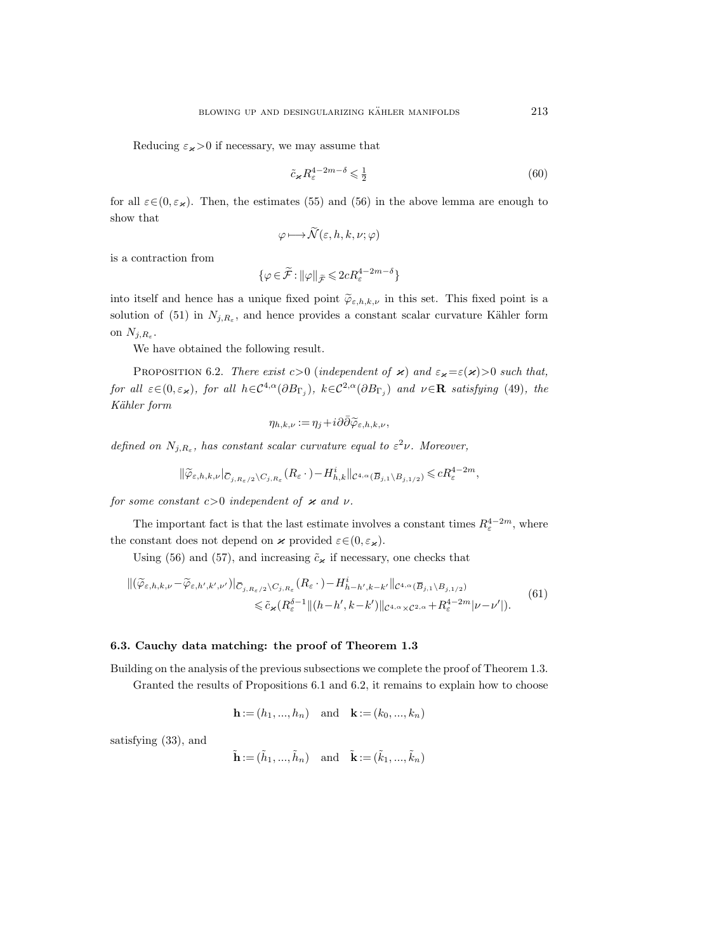Reducing  $\varepsilon_{\varkappa}$  > 0 if necessary, we may assume that

$$
\tilde{c}_{\varkappa} R_{\varepsilon}^{4-2m-\delta} \leqslant \frac{1}{2} \tag{60}
$$

for all  $\varepsilon \in (0, \varepsilon_{\varkappa})$ . Then, the estimates (55) and (56) in the above lemma are enough to show that

$$
\varphi \longmapsto \widetilde{\mathcal{N}}(\varepsilon, h, k, \nu; \varphi)
$$

is a contraction from

$$
\{\varphi \in \widetilde{\mathcal{F}} : \|\varphi\|_{\widetilde{\mathcal{F}}} \leqslant 2cR_{\varepsilon}^{4-2m-\delta}\}
$$

into itself and hence has a unique fixed point  $\tilde{\varphi}_{\varepsilon,h,k,\nu}$  in this set. This fixed point is a solution of (51) in  $N_{j,R_{\varepsilon}}$ , and hence provides a constant scalar curvature Kähler form on  $N_{j, R_{\varepsilon}}$ .

We have obtained the following result.

PROPOSITION 6.2. There exist  $c>0$  (independent of  $\varkappa$ ) and  $\varepsilon_{\varkappa} = \varepsilon(\varkappa) > 0$  such that, for all  $\varepsilon \in (0, \varepsilon_{\varkappa})$ , for all  $h \in C^{4,\alpha}(\partial B_{\Gamma_j})$ ,  $k \in C^{2,\alpha}(\partial B_{\Gamma_j})$  and  $\nu \in \mathbb{R}$  satisfying (49), the Kähler form

$$
\eta_{h,k,\nu} := \eta_j + i\partial\bar{\partial}\widetilde{\varphi}_{\varepsilon,h,k,\nu},
$$

defined on  $N_{j,R_{\varepsilon}}$ , has constant scalar curvature equal to  $\varepsilon^2 \nu$ . Moreover,

$$
\|\widetilde{\varphi}_{\varepsilon,h,k,\nu}|_{\overline{C}_{j,R_{\varepsilon}/2}\setminus C_{j,R_{\varepsilon}}}(R_{\varepsilon}\,\cdot\,)-H_{h,k}^i\|_{\mathcal{C}^{4,\alpha}(\overline{B}_{j,1}\setminus B_{j,1/2})}\leqslant cR_{\varepsilon}^{4-2m},
$$

for some constant  $c>0$  independent of  $\varkappa$  and  $\nu$ .

The important fact is that the last estimate involves a constant times  $R_{\varepsilon}^{4-2m}$ , where the constant does not depend on  $\boldsymbol{\varkappa}$  provided  $\varepsilon \in (0, \varepsilon_{\boldsymbol{\varkappa}}).$ 

Using (56) and (57), and increasing  $\tilde{c}_{\varkappa}$  if necessary, one checks that

$$
\|(\widetilde{\varphi}_{\varepsilon,h,k,\nu} - \widetilde{\varphi}_{\varepsilon,h',k',\nu'})\|_{\mathcal{C}_{j,R_{\varepsilon}/2}\setminus\mathcal{C}_{j,R_{\varepsilon}}}(R_{\varepsilon}\cdot) - H_{h-h',k-k'}^{i} \|_{\mathcal{C}^{4,\alpha}(\overline{B}_{j,1}\setminus B_{j,1/2})}\n\leq \widetilde{c}_{\varkappa}(R_{\varepsilon}^{\delta-1} \|(h-h',k-k')\|_{\mathcal{C}^{4,\alpha}\times\mathcal{C}^{2,\alpha}} + R_{\varepsilon}^{4-2m}|\nu-\nu'|). \tag{61}
$$

## 6.3. Cauchy data matching: the proof of Theorem 1.3

Building on the analysis of the previous subsections we complete the proof of Theorem 1.3. Granted the results of Propositions 6.1 and 6.2, it remains to explain how to choose

$$
h := (h1, ..., hn)
$$
 and  $k := (k0, ..., kn)$ 

satisfying (33), and

$$
\tilde{\mathbf{h}} := (\tilde{h}_1, ..., \tilde{h}_n) \quad \text{and} \quad \tilde{\mathbf{k}} := (\tilde{k}_1, ..., \tilde{k}_n)
$$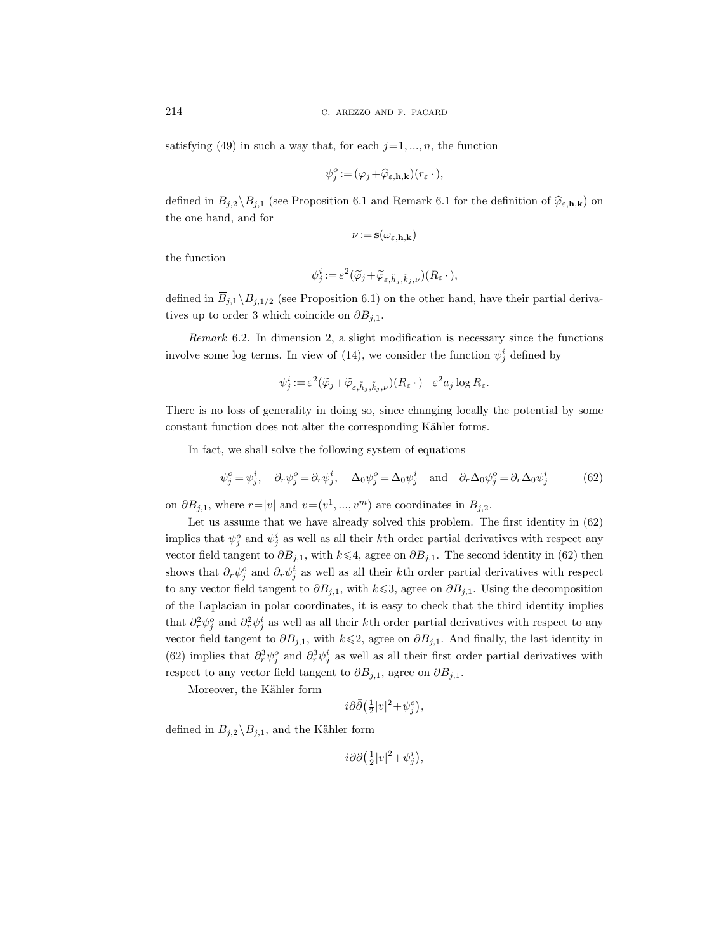satisfying (49) in such a way that, for each  $j=1, ..., n$ , the function

$$
\psi_j^o := (\varphi_j + \widehat{\varphi}_{\varepsilon, \mathbf{h}, \mathbf{k}})(r_{\varepsilon} \cdot),
$$

defined in  $\overline{B}_{j,2} \setminus B_{j,1}$  (see Proposition 6.1 and Remark 6.1 for the definition of  $\widehat{\varphi}_{\varepsilon,\mathbf{h},\mathbf{k}}$ ) on the one hand, and for

$$
\nu\! :=\! \mathbf{s}(\omega_{\varepsilon,\mathbf{h},\mathbf{k}})
$$

the function

$$
\psi_j^i := \varepsilon^2 (\widetilde{\varphi}_j + \widetilde{\varphi}_{\varepsilon, \tilde{h}_j, \tilde{k}_j, \nu})(R_\varepsilon \cdot),
$$

defined in  $\overline{B}_{j,1} \setminus B_{j,1/2}$  (see Proposition 6.1) on the other hand, have their partial derivatives up to order 3 which coincide on  $\partial B_{j,1}$ .

Remark 6.2. In dimension 2, a slight modification is necessary since the functions involve some log terms. In view of (14), we consider the function  $\psi_j^i$  defined by

$$
\psi_j^i := \varepsilon^2 (\widetilde{\varphi}_j + \widetilde{\varphi}_{\varepsilon, \tilde{h}_j, \tilde{k}_j, \nu})(R_\varepsilon \cdot) - \varepsilon^2 a_j \log R_\varepsilon.
$$

There is no loss of generality in doing so, since changing locally the potential by some constant function does not alter the corresponding Kähler forms.

In fact, we shall solve the following system of equations

$$
\psi_j^o = \psi_j^i, \quad \partial_r \psi_j^o = \partial_r \psi_j^i, \quad \Delta_0 \psi_j^o = \Delta_0 \psi_j^i \quad \text{and} \quad \partial_r \Delta_0 \psi_j^o = \partial_r \Delta_0 \psi_j^i \tag{62}
$$

on  $\partial B_{j,1}$ , where  $r = |v|$  and  $v = (v^1, ..., v^m)$  are coordinates in  $B_{j,2}$ .

Let us assume that we have already solved this problem. The first identity in (62) implies that  $\psi_j^o$  and  $\psi_j^i$  as well as all their k<sup>th</sup> order partial derivatives with respect any vector field tangent to  $\partial B_{j,1}$ , with  $k \leq 4$ , agree on  $\partial B_{j,1}$ . The second identity in (62) then shows that  $\partial_r \psi_j^o$  and  $\partial_r \psi_j^i$  as well as all their kth order partial derivatives with respect to any vector field tangent to  $\partial B_{j,1}$ , with  $k \leq 3$ , agree on  $\partial B_{j,1}$ . Using the decomposition of the Laplacian in polar coordinates, it is easy to check that the third identity implies that  $\partial_r^2 \psi_j^o$  and  $\partial_r^2 \psi_j^i$  as well as all their kth order partial derivatives with respect to any vector field tangent to  $\partial B_{j,1}$ , with  $k \leq 2$ , agree on  $\partial B_{j,1}$ . And finally, the last identity in (62) implies that  $\partial_r^3 \psi_j^o$  and  $\partial_r^3 \psi_j^i$  as well as all their first order partial derivatives with respect to any vector field tangent to  $\partial B_{j,1}$ , agree on  $\partial B_{j,1}$ .

Moreover, the Kähler form

$$
i\partial\bar\partial\bigl({\textstyle\frac{1}{2}}|v|^2\!+\!\psi_j^o\bigr),
$$

defined in  $B_{j,2} \backslash B_{j,1}$ , and the Kähler form

$$
i\partial\bar\partial\big({\textstyle\frac{1}{2}}|v|^2\!+\!\psi^i_j\big),
$$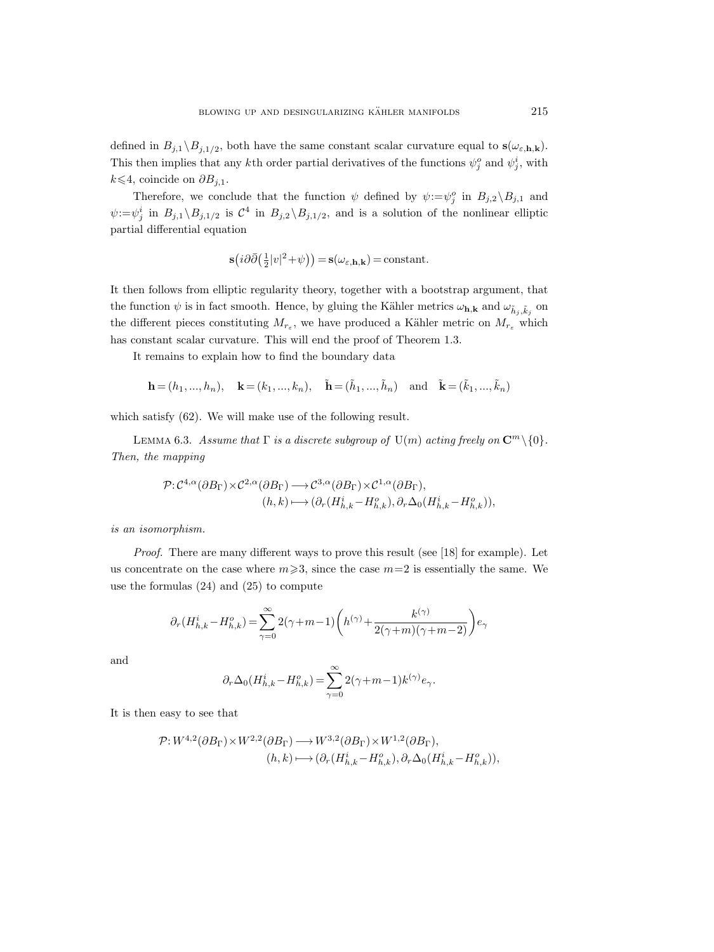defined in  $B_{j,1} \setminus B_{j,1/2}$ , both have the same constant scalar curvature equal to  $s(\omega_{\varepsilon,h,k})$ . This then implies that any kth order partial derivatives of the functions  $\psi_j^o$  and  $\psi_j^i$ , with  $k$  ≤ 4, coincide on  $\partial B_{j,1}$ .

Therefore, we conclude that the function  $\psi$  defined by  $\psi := \psi_j^o$  in  $B_{j,2} \setminus B_{j,1}$  and  $\psi := \psi_j^i$  in  $B_{j,1} \setminus B_{j,1/2}$  is  $\mathcal{C}^4$  in  $B_{j,2} \setminus B_{j,1/2}$ , and is a solution of the nonlinear elliptic partial differential equation

$$
\mathbf{s}(i\partial\bar{\partial}\big(\tfrac{1}{2}|v|^2+\psi\big)) = \mathbf{s}(\omega_{\varepsilon,\mathbf{h},\mathbf{k}}) = \text{constant}.
$$

It then follows from elliptic regularity theory, together with a bootstrap argument, that the function  $\psi$  is in fact smooth. Hence, by gluing the Kähler metrics  $\omega_{h,k}$  and  $\omega_{\tilde{h}_j,\tilde{k}_j}$  on the different pieces constituting  $M_{r_{\varepsilon}}$ , we have produced a Kähler metric on  $M_{r_{\varepsilon}}$  which has constant scalar curvature. This will end the proof of Theorem 1.3.

It remains to explain how to find the boundary data

$$
\mathbf{h} = (h_1, ..., h_n), \quad \mathbf{k} = (k_1, ..., k_n), \quad \tilde{\mathbf{h}} = (\tilde{h}_1, ..., \tilde{h}_n) \quad \text{and} \quad \tilde{\mathbf{k}} = (\tilde{k}_1, ..., \tilde{k}_n)
$$

which satisfy (62). We will make use of the following result.

LEMMA 6.3. Assume that  $\Gamma$  is a discrete subgroup of  $U(m)$  acting freely on  $\mathbb{C}^m \setminus \{0\}$ . Then, the mapping

$$
\begin{split} \mathcal{P}\!:\!\mathcal{C}^{4,\alpha}(\partial B_\Gamma)\!\times\!\mathcal{C}^{2,\alpha}(\partial B_\Gamma) \longrightarrow \mathcal{C}^{3,\alpha}(\partial B_\Gamma)\!\times\!\mathcal{C}^{1,\alpha}(\partial B_\Gamma),\\ (h,k) &\longmapsto (\partial_r (H_{h,k}^i\!-\!H_{h,k}^o), \partial_r \Delta_0 (H_{h,k}^i\!-\!H_{h,k}^o)), \end{split}
$$

is an isomorphism.

Proof. There are many different ways to prove this result (see [18] for example). Let us concentrate on the case where  $m\geqslant 3$ , since the case  $m=2$  is essentially the same. We use the formulas (24) and (25) to compute

$$
\partial_r (H_{h,k}^i-H_{h,k}^o)=\sum_{\gamma=0}^\infty 2(\gamma+m-1)\bigg(h^{(\gamma)}+\frac{k^{(\gamma)}}{2(\gamma+m)(\gamma+m-2)}\bigg)e_\gamma
$$

and

$$
\partial_r \Delta_0 (H_{h,k}^i-H_{h,k}^o)=\sum_{\gamma=0}^\infty 2(\gamma+m-1)k^{(\gamma)}e_\gamma.
$$

It is then easy to see that

$$
\mathcal{P}: W^{4,2}(\partial B_{\Gamma}) \times W^{2,2}(\partial B_{\Gamma}) \longrightarrow W^{3,2}(\partial B_{\Gamma}) \times W^{1,2}(\partial B_{\Gamma}),(h,k) \longmapsto (\partial_r (H_{h,k}^i - H_{h,k}^o), \partial_r \Delta_0 (H_{h,k}^i - H_{h,k}^o)),
$$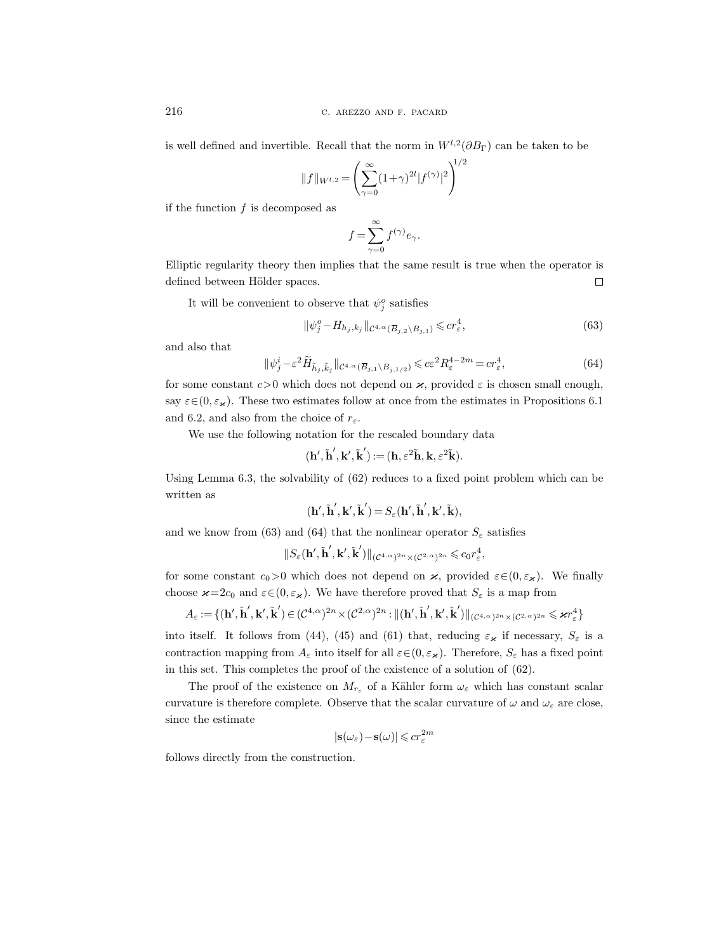is well defined and invertible. Recall that the norm in  $W^{l,2}(\partial B_{\Gamma})$  can be taken to be

$$
||f||_{W^{l,2}} = \left(\sum_{\gamma=0}^{\infty} (1+\gamma)^{2l} |f^{(\gamma)}|^2\right)^{1/2}
$$

if the function  $f$  is decomposed as

$$
f = \sum_{\gamma=0}^{\infty} f^{(\gamma)} e_{\gamma}.
$$

Elliptic regularity theory then implies that the same result is true when the operator is defined between Hölder spaces.  $\Box$ 

It will be convenient to observe that  $\psi_j^o$  satisfies

$$
\|\psi_j^o - H_{h_j, k_j}\|_{\mathcal{C}^{4,\alpha}(\overline{B}_{j,2}\setminus B_{j,1})} \leqslant c r_\varepsilon^4,\tag{63}
$$

and also that

$$
\|\psi_j^i - \varepsilon^2 \widetilde{H}_{\tilde{h}_j, \tilde{k}_j} \|_{\mathcal{C}^{4,\alpha}(\overline{B}_{j,1} \setminus B_{j,1/2})} \leqslant c \varepsilon^2 R_{\varepsilon}^{4-2m} = c r_{\varepsilon}^4,\tag{64}
$$

for some constant  $c>0$  which does not depend on  $\varkappa$ , provided  $\varepsilon$  is chosen small enough, say  $\varepsilon \in (0, \varepsilon_\varkappa)$ . These two estimates follow at once from the estimates in Propositions 6.1 and 6.2, and also from the choice of  $r_{\varepsilon}$ .

We use the following notation for the rescaled boundary data

$$
(\mathbf{h}',\tilde{\mathbf{h}}',\mathbf{k}',\tilde{\mathbf{k}}')\!:=\!(\mathbf{h},\varepsilon^2\tilde{\mathbf{h}},\mathbf{k},\varepsilon^2\tilde{\mathbf{k}}).
$$

Using Lemma 6.3, the solvability of (62) reduces to a fixed point problem which can be written as

$$
(\mathbf{h}', \mathbf{\tilde{h}}', \mathbf{k}', \mathbf{\tilde{k}}') = S_{\varepsilon}(\mathbf{h}', \mathbf{\tilde{h}}', \mathbf{k}', \mathbf{\tilde{k}}),
$$

and we know from (63) and (64) that the nonlinear operator  $S_{\varepsilon}$  satisfies

$$
\|S_\varepsilon(\mathbf{h}', \mathbf{\tilde{h}}', \mathbf{k}', \mathbf{\tilde{k}}')\|_{(\mathcal{C}^{4,\alpha})^{2n}\times(\mathcal{C}^{2,\alpha})^{2n}}\leqslant c_0 r_\varepsilon^4,
$$

for some constant  $c_0>0$  which does not depend on  $\varkappa$ , provided  $\varepsilon \in (0, \varepsilon_\varkappa)$ . We finally choose  $\varkappa=2c_0$  and  $\varepsilon \in (0, \varepsilon_\varkappa)$ . We have therefore proved that  $S_\varepsilon$  is a map from

$$
A_{\varepsilon} := \{ (\mathbf{h}', \mathbf{\tilde{h}}', \mathbf{k}', \mathbf{\tilde{k}}') \in (\mathcal{C}^{4,\alpha})^{2n} \times (\mathcal{C}^{2,\alpha})^{2n} : ||(\mathbf{h}', \mathbf{\tilde{h}}', \mathbf{k}', \mathbf{\tilde{k}}')||_{(\mathcal{C}^{4,\alpha})^{2n} \times (\mathcal{C}^{2,\alpha})^{2n}} \leq \varkappa r_{\varepsilon}^{4} \}
$$

into itself. It follows from (44), (45) and (61) that, reducing  $\varepsilon_{\varkappa}$  if necessary,  $S_{\varepsilon}$  is a contraction mapping from  $A_\varepsilon$  into itself for all  $\varepsilon \in (0, \varepsilon_\varkappa)$ . Therefore,  $S_\varepsilon$  has a fixed point in this set. This completes the proof of the existence of a solution of (62).

The proof of the existence on  $M_{r_{\varepsilon}}$  of a Kähler form  $\omega_{\varepsilon}$  which has constant scalar curvature is therefore complete. Observe that the scalar curvature of  $\omega$  and  $\omega_{\varepsilon}$  are close, since the estimate

$$
|\mathbf{s}(\omega_\varepsilon)\!-\!\mathbf{s}(\omega)|\!\leqslant\! c r_\varepsilon^{2m}
$$

follows directly from the construction.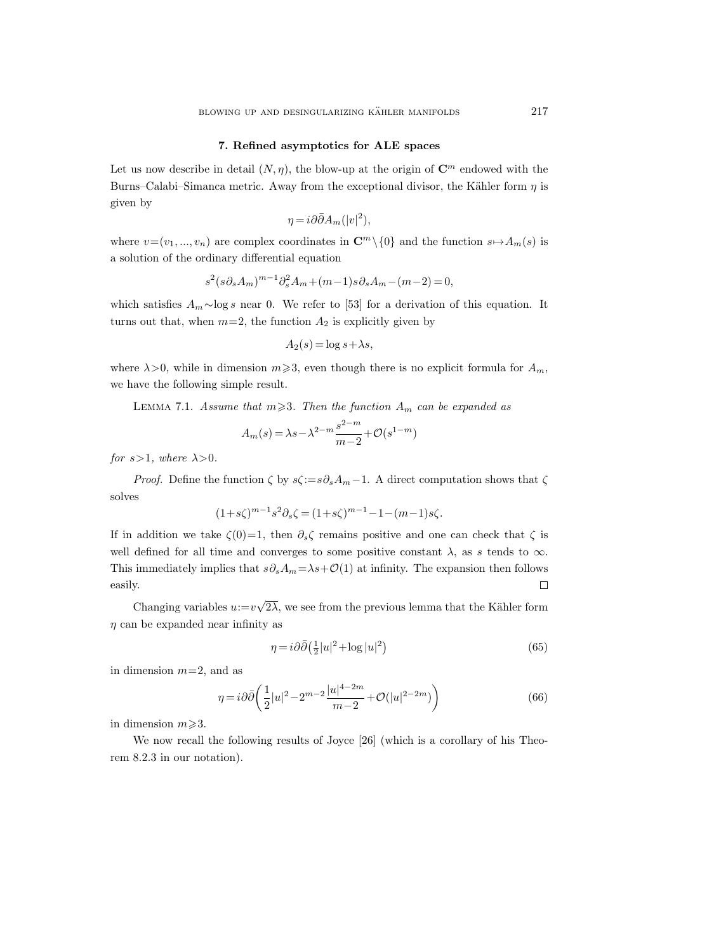#### 7. Refined asymptotics for ALE spaces

Let us now describe in detail  $(N, \eta)$ , the blow-up at the origin of  $\mathbb{C}^m$  endowed with the Burns–Calabi–Simanca metric. Away from the exceptional divisor, the Kähler form  $\eta$  is given by

$$
\eta = i\partial\bar{\partial}A_m(|v|^2),
$$

where  $v=(v_1, ..., v_n)$  are complex coordinates in  $\mathbb{C}^m\setminus\{0\}$  and the function  $s\mapsto A_m(s)$  is a solution of the ordinary differential equation

$$
s^{2}(s\partial_{s}A_{m})^{m-1}\partial_{s}^{2}A_{m}+(m-1)s\partial_{s}A_{m}-(m-2)=0,
$$

which satisfies  $A_m \sim \log s$  near 0. We refer to [53] for a derivation of this equation. It turns out that, when  $m=2$ , the function  $A_2$  is explicitly given by

$$
A_2(s) = \log s + \lambda s,
$$

where  $\lambda > 0$ , while in dimension  $m \geq 3$ , even though there is no explicit formula for  $A_m$ , we have the following simple result.

LEMMA 7.1. Assume that  $m \geq 3$ . Then the function  $A_m$  can be expanded as

$$
A_m(s) = \lambda s - \lambda^{2-m} \frac{s^{2-m}}{m-2} + \mathcal{O}(s^{1-m})
$$

for  $s>1$ , where  $\lambda>0$ .

*Proof.* Define the function  $\zeta$  by  $s\zeta := s\partial_s A_m - 1$ . A direct computation shows that  $\zeta$ solves

$$
(1+s\zeta)^{m-1}s^2\partial_s\zeta = (1+s\zeta)^{m-1} - 1 - (m-1)s\zeta.
$$

If in addition we take  $\zeta(0)=1$ , then  $\partial_s\zeta$  remains positive and one can check that  $\zeta$  is well defined for all time and converges to some positive constant  $\lambda$ , as s tends to  $\infty$ . This immediately implies that  $s\partial_s A_m = \lambda s + O(1)$  at infinity. The expansion then follows  $\Box$ easily.

Changing variables  $u:=v$ √  $2\lambda$ , we see from the previous lemma that the Kähler form  $\eta$  can be expanded near infinity as

$$
\eta = i\partial\bar{\partial}\left(\frac{1}{2}|u|^2 + \log|u|^2\right) \tag{65}
$$

in dimension  $m=2$ , and as

$$
\eta = i\partial\bar{\partial} \left( \frac{1}{2}|u|^2 - 2^{m-2} \frac{|u|^{4-2m}}{m-2} + \mathcal{O}(|u|^{2-2m}) \right) \tag{66}
$$

in dimension  $m \geq 3$ .

We now recall the following results of Joyce [26] (which is a corollary of his Theorem 8.2.3 in our notation).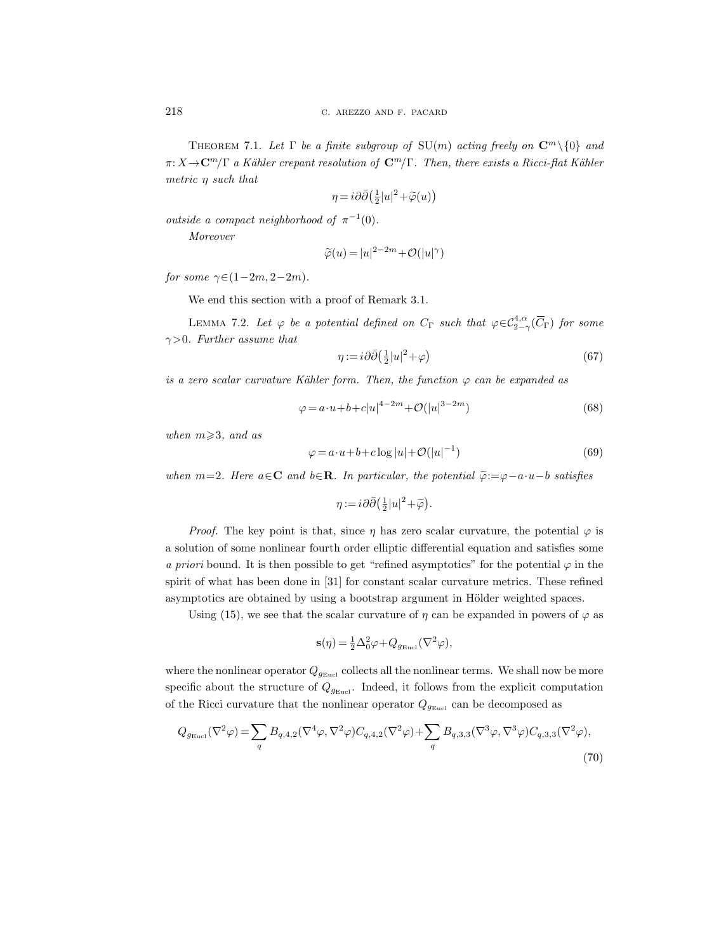THEOREM 7.1. Let  $\Gamma$  be a finite subgroup of  $SU(m)$  acting freely on  $\mathbb{C}^m \setminus \{0\}$  and  $\pi: X \to \mathbb{C}^m/\Gamma$  a Kähler crepant resolution of  $\mathbb{C}^m/\Gamma$ . Then, there exists a Ricci-flat Kähler metric η such that

$$
\eta = i\partial\bar{\partial} \left(\frac{1}{2}|u|^2 + \widetilde{\varphi}(u)\right)
$$

outside a compact neighborhood of  $\pi^{-1}(0)$ .

Moreover

$$
\widetilde{\varphi}(u) = |u|^{2-2m} + \mathcal{O}(|u|^\gamma)
$$

for some  $\gamma \in (1-2m, 2-2m)$ .

We end this section with a proof of Remark 3.1.

LEMMA 7.2. Let  $\varphi$  be a potential defined on  $C_{\Gamma}$  such that  $\varphi \in C^{4,\alpha}_{2-\gamma}(\overline{C}_{\Gamma})$  for some  $\gamma > 0$ . Further assume that

$$
\eta := i\partial\bar{\partial} \left(\frac{1}{2}|u|^2 + \varphi\right) \tag{67}
$$

is a zero scalar curvature Kähler form. Then, the function  $\varphi$  can be expanded as

$$
\varphi = a \cdot u + b + c|u|^{4-2m} + \mathcal{O}(|u|^{3-2m})
$$
\n(68)

when  $m \geqslant 3$ , and as

$$
\varphi = a \cdot u + b + c \log |u| + \mathcal{O}(|u|^{-1}) \tag{69}
$$

when m=2. Here  $a \in \mathbb{C}$  and  $b \in \mathbb{R}$ . In particular, the potential  $\widetilde{\varphi} := \varphi - a \cdot u - b$  satisfies

 $\eta := i \partial \bar{\partial} \left( \frac{1}{2} |u|^2 + \widetilde{\varphi} \right).$ 

*Proof.* The key point is that, since  $\eta$  has zero scalar curvature, the potential  $\varphi$  is a solution of some nonlinear fourth order elliptic differential equation and satisfies some a priori bound. It is then possible to get "refined asymptotics" for the potential  $\varphi$  in the spirit of what has been done in [31] for constant scalar curvature metrics. These refined asymptotics are obtained by using a bootstrap argument in Hölder weighted spaces.

Using (15), we see that the scalar curvature of  $\eta$  can be expanded in powers of  $\varphi$  as

$$
\mathbf{s}(\eta) = \frac{1}{2}\Delta_0^2 \varphi + Q_{g_{\text{Eucl}}}(\nabla^2 \varphi),
$$

where the nonlinear operator  $Q_{g_{\text{Eucl}}}$  collects all the nonlinear terms. We shall now be more specific about the structure of  $Q_{g_{\text{Eucl}}}$ . Indeed, it follows from the explicit computation of the Ricci curvature that the nonlinear operator  $Q_{g_{\text{Eucl}}}$  can be decomposed as

$$
Q_{g_{\text{Eucl}}}(\nabla^2 \varphi) = \sum_q B_{q,4,2}(\nabla^4 \varphi, \nabla^2 \varphi) C_{q,4,2}(\nabla^2 \varphi) + \sum_q B_{q,3,3}(\nabla^3 \varphi, \nabla^3 \varphi) C_{q,3,3}(\nabla^2 \varphi),
$$
\n(70)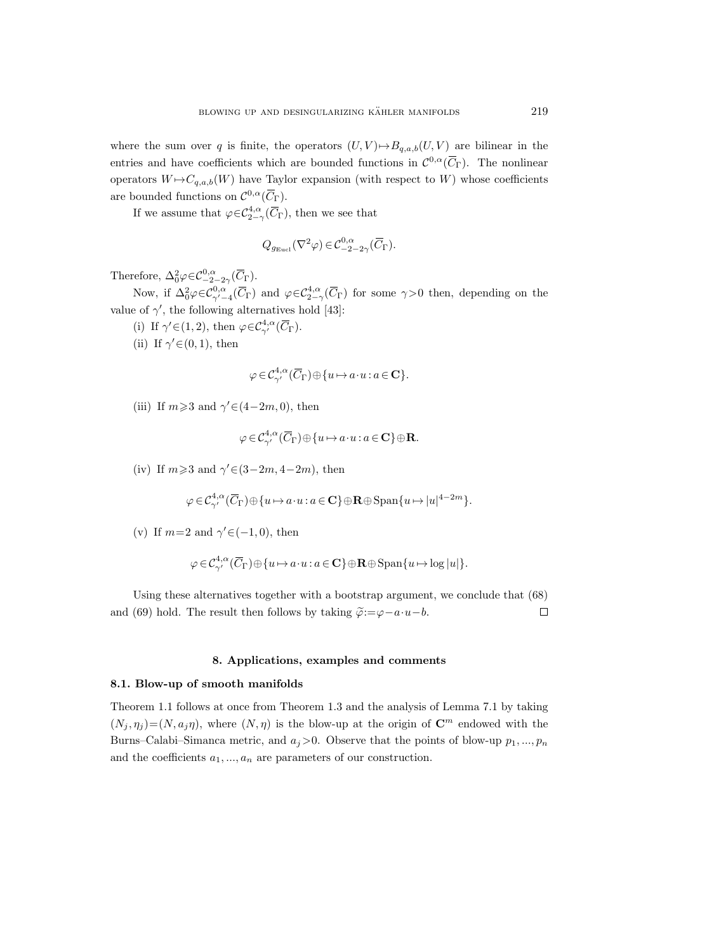where the sum over q is finite, the operators  $(U, V) \rightarrow B_{q,a,b}(U, V)$  are bilinear in the entries and have coefficients which are bounded functions in  $\mathcal{C}^{0,\alpha}(\overline{C}_{\Gamma})$ . The nonlinear operators  $W \mapsto C_{q,a,b}(W)$  have Taylor expansion (with respect to W) whose coefficients are bounded functions on  $\mathcal{C}^{0,\alpha}(\overline{C}_{\Gamma}).$ 

If we assume that  $\varphi \in C^{4,\alpha}_{2-\gamma}(\overline{C}_{\Gamma})$ , then we see that

$$
Q_{g_{\text{Eucl}}}(\nabla^2 \varphi) \in \mathcal{C}^{0,\alpha}_{-2-2\gamma}(\overline{C}_{\Gamma}).
$$

Therefore,  $\Delta_0^2 \varphi \in C^{0,\alpha}_{-2-2\gamma}(\overline{C}_{\Gamma}).$ 

Now, if  $\Delta_0^2 \varphi \in C_{\gamma'-4}^{0,\alpha'}(\overline{C}_{\Gamma})$  and  $\varphi \in C_{2-\gamma}^{4,\alpha}(\overline{C}_{\Gamma})$  for some  $\gamma > 0$  then, depending on the value of  $\gamma'$ , the following alternatives hold [43]:

(i) If  $\gamma' \in (1, 2)$ , then  $\varphi \in C^{4,\alpha}_{\gamma'}(\overline{C}_{\Gamma})$ .

(ii) If  $\gamma' \in (0, 1)$ , then

$$
\varphi \in \mathcal{C}^{4,\alpha}_{\gamma'}(\overline{C}_{\Gamma}) \oplus \{u \mapsto a \! \cdot \! u : a \in \mathbf{C}\}.
$$

(iii) If  $m \geq 3$  and  $\gamma' \in (4-2m, 0)$ , then

$$
\varphi \in \mathcal{C}_{\gamma'}^{4,\alpha}(\overline{C}_{\Gamma}) \oplus \{u \mapsto a \cdot u : a \in \mathbf{C}\} \oplus \mathbf{R}.
$$

(iv) If  $m \geq 3$  and  $\gamma' \in (3-2m, 4-2m)$ , then

$$
\varphi \in \mathcal{C}^{4,\alpha}_{\gamma'}(\overline{C}_\Gamma) \oplus \{u \mapsto a \cdot u: a \in {\mathbf C}\} \oplus {\mathbf R} \oplus \operatorname{Span}\{u \mapsto |u|^{4-2m}\}.
$$

(v) If  $m=2$  and  $\gamma' \in (-1,0)$ , then

$$
\varphi \in \mathcal{C}_{\gamma'}^{4,\alpha}(\overline{C}_{\Gamma}) \oplus \{u \mapsto a \cdot u : a \in \mathbf{C}\} \oplus \mathbf{R} \oplus \mathrm{Span}\{u \mapsto \log|u|\}.
$$

Using these alternatives together with a bootstrap argument, we conclude that (68) and (69) hold. The result then follows by taking  $\tilde{\varphi}:=\varphi-a\cdot u-b$ .  $\Box$ 

# 8. Applications, examples and comments

## 8.1. Blow-up of smooth manifolds

Theorem 1.1 follows at once from Theorem 1.3 and the analysis of Lemma 7.1 by taking  $(N_i, \eta_i) = (N, a_i \eta)$ , where  $(N, \eta)$  is the blow-up at the origin of  $\mathbb{C}^m$  endowed with the Burns–Calabi–Simanca metric, and  $a_j > 0$ . Observe that the points of blow-up  $p_1, ..., p_n$ and the coefficients  $a_1, ..., a_n$  are parameters of our construction.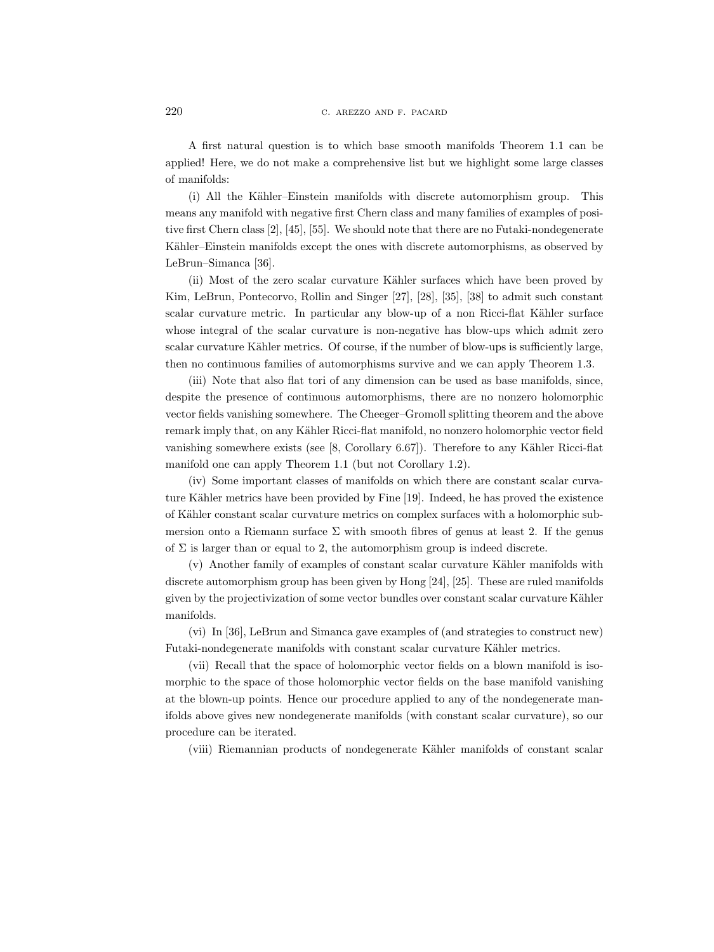A first natural question is to which base smooth manifolds Theorem 1.1 can be applied! Here, we do not make a comprehensive list but we highlight some large classes of manifolds:

(i) All the Kähler–Einstein manifolds with discrete automorphism group. This means any manifold with negative first Chern class and many families of examples of positive first Chern class [2], [45], [55]. We should note that there are no Futaki-nondegenerate Kähler–Einstein manifolds except the ones with discrete automorphisms, as observed by LeBrun–Simanca [36].

(ii) Most of the zero scalar curvature Kähler surfaces which have been proved by Kim, LeBrun, Pontecorvo, Rollin and Singer [27], [28], [35], [38] to admit such constant scalar curvature metric. In particular any blow-up of a non Ricci-flat Kähler surface whose integral of the scalar curvature is non-negative has blow-ups which admit zero scalar curvature Kähler metrics. Of course, if the number of blow-ups is sufficiently large, then no continuous families of automorphisms survive and we can apply Theorem 1.3.

(iii) Note that also flat tori of any dimension can be used as base manifolds, since, despite the presence of continuous automorphisms, there are no nonzero holomorphic vector fields vanishing somewhere. The Cheeger–Gromoll splitting theorem and the above remark imply that, on any Kähler Ricci-flat manifold, no nonzero holomorphic vector field vanishing somewhere exists (see  $[8, Corollary 6.67]$ ). Therefore to any Kähler Ricci-flat manifold one can apply Theorem 1.1 (but not Corollary 1.2).

(iv) Some important classes of manifolds on which there are constant scalar curvature Kähler metrics have been provided by Fine [19]. Indeed, he has proved the existence of Kähler constant scalar curvature metrics on complex surfaces with a holomorphic submersion onto a Riemann surface  $\Sigma$  with smooth fibres of genus at least 2. If the genus of  $\Sigma$  is larger than or equal to 2, the automorphism group is indeed discrete.

 $(v)$  Another family of examples of constant scalar curvature Kähler manifolds with discrete automorphism group has been given by Hong [24], [25]. These are ruled manifolds given by the projectivization of some vector bundles over constant scalar curvature Kähler manifolds.

(vi) In [36], LeBrun and Simanca gave examples of (and strategies to construct new) Futaki-nondegenerate manifolds with constant scalar curvature Kähler metrics.

(vii) Recall that the space of holomorphic vector fields on a blown manifold is isomorphic to the space of those holomorphic vector fields on the base manifold vanishing at the blown-up points. Hence our procedure applied to any of the nondegenerate manifolds above gives new nondegenerate manifolds (with constant scalar curvature), so our procedure can be iterated.

(viii) Riemannian products of nondegenerate Kähler manifolds of constant scalar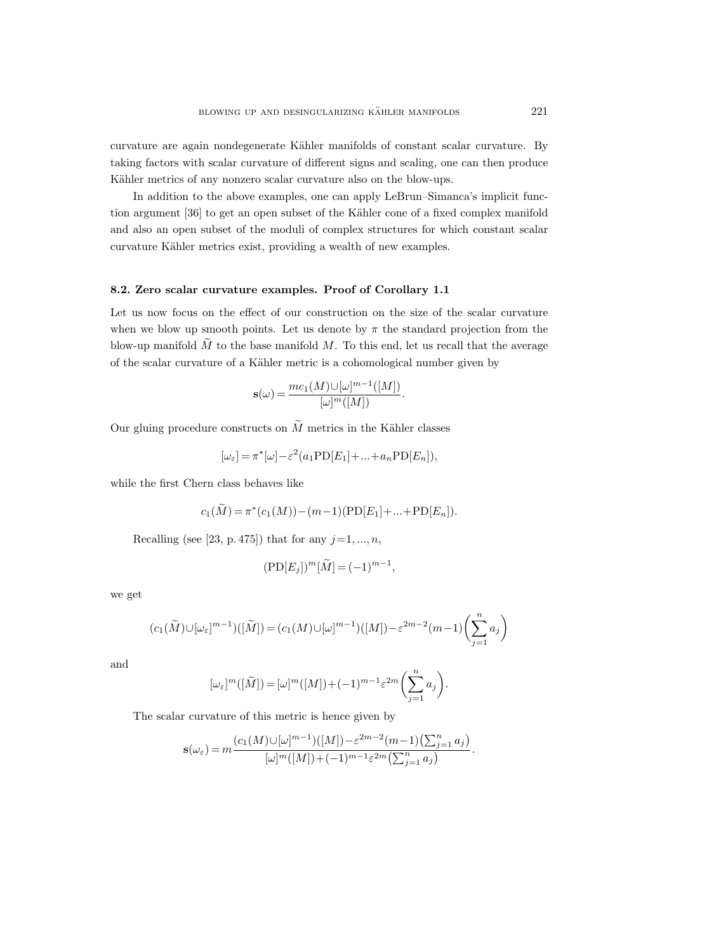curvature are again nondegenerate Kähler manifolds of constant scalar curvature. By taking factors with scalar curvature of different signs and scaling, one can then produce Kähler metrics of any nonzero scalar curvature also on the blow-ups.

In addition to the above examples, one can apply LeBrun–Simanca's implicit function argument [36] to get an open subset of the Kähler cone of a fixed complex manifold and also an open subset of the moduli of complex structures for which constant scalar curvature Kähler metrics exist, providing a wealth of new examples.

# 8.2. Zero scalar curvature examples. Proof of Corollary 1.1

Let us now focus on the effect of our construction on the size of the scalar curvature when we blow up smooth points. Let us denote by  $\pi$  the standard projection from the blow-up manifold  $\tilde{M}$  to the base manifold M. To this end, let us recall that the average of the scalar curvature of a Kähler metric is a cohomological number given by

$$
\mathbf{s}(\omega) = \frac{mc_1(M) \cup [\omega]^{m-1}([M])}{[\omega]^m([M])}.
$$

Our gluing procedure constructs on  $\widetilde{M}$  metrics in the Kähler classes

$$
[\omega_{\varepsilon}]=\pi^*[\omega]-\varepsilon^2(a_1{\rm PD}[E_1]+\ldots+a_n{\rm PD}[E_n]),
$$

while the first Chern class behaves like

$$
c_1(\widetilde{M}) = \pi^*(c_1(M)) - (m-1)(\text{PD}[E_1] + ... + \text{PD}[E_n]).
$$

Recalling (see [23, p. 475]) that for any  $j=1, ..., n$ ,

$$
(\mathrm{PD}[E_j])^m[\widetilde{M}] = (-1)^{m-1},
$$

we get

$$
(c_1(\widetilde{M})\cup [\omega_\varepsilon]^{m-1})([\widetilde{M}])=(c_1(M)\cup [\omega]^{m-1})([M])-\varepsilon^{2m-2}(m-1)\biggl(\sum_{j=1}^n a_j\biggr)
$$

and

$$
[\omega_{\varepsilon}]^{m}([\tilde{M}]) = [\omega]^{m}([M]) + (-1)^{m-1} \varepsilon^{2m} \left(\sum_{j=1}^{n} a_j\right).
$$

The scalar curvature of this metric is hence given by

$$
\mathbf{s}(\omega_{\varepsilon}) = m \frac{(c_1(M) \cup [\omega]^{m-1})([M]) - \varepsilon^{2m-2}(m-1)\left(\sum_{j=1}^n a_j\right)}{[\omega]^m([M]) + (-1)^{m-1}\varepsilon^{2m}\left(\sum_{j=1}^n a_j\right)}.
$$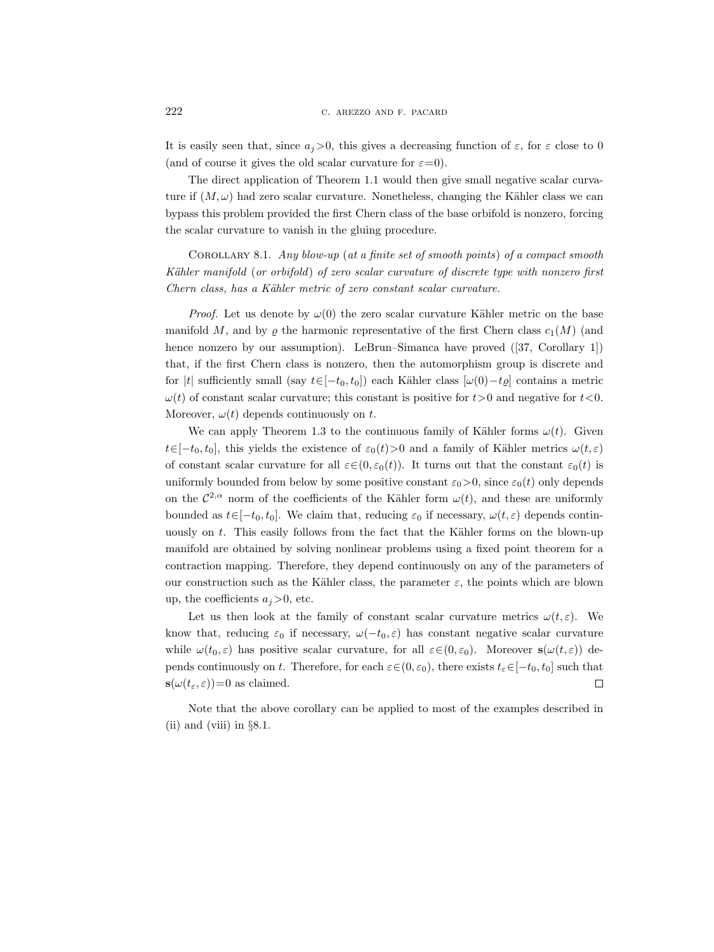It is easily seen that, since  $a_i > 0$ , this gives a decreasing function of  $\varepsilon$ , for  $\varepsilon$  close to 0 (and of course it gives the old scalar curvature for  $\varepsilon=0$ ).

The direct application of Theorem 1.1 would then give small negative scalar curvature if  $(M, \omega)$  had zero scalar curvature. Nonetheless, changing the Kähler class we can bypass this problem provided the first Chern class of the base orbifold is nonzero, forcing the scalar curvature to vanish in the gluing procedure.

COROLLARY 8.1. Any blow-up (at a finite set of smooth points) of a compact smooth Kähler manifold (or orbifold) of zero scalar curvature of discrete type with nonzero first Chern class, has a Kähler metric of zero constant scalar curvature.

*Proof.* Let us denote by  $\omega(0)$  the zero scalar curvature Kähler metric on the base manifold M, and by  $\varrho$  the harmonic representative of the first Chern class  $c_1(M)$  (and hence nonzero by our assumption). LeBrun–Simanca have proved ([37, Corollary 1]) that, if the first Chern class is nonzero, then the automorphism group is discrete and for |t| sufficiently small (say  $t\in[-t_0, t_0]$ ) each Kähler class  $[\omega(0)-t_0]$  contains a metric  $\omega(t)$  of constant scalar curvature; this constant is positive for  $t>0$  and negative for  $t<0$ . Moreover,  $\omega(t)$  depends continuously on t.

We can apply Theorem 1.3 to the continuous family of Kähler forms  $\omega(t)$ . Given  $t\in[-t_0, t_0]$ , this yields the existence of  $\varepsilon_0(t)$ >0 and a family of Kähler metrics  $\omega(t, \varepsilon)$ of constant scalar curvature for all  $\varepsilon \in (0, \varepsilon_0(t))$ . It turns out that the constant  $\varepsilon_0(t)$  is uniformly bounded from below by some positive constant  $\varepsilon_0 > 0$ , since  $\varepsilon_0(t)$  only depends on the  $\mathcal{C}^{2,\alpha}$  norm of the coefficients of the Kähler form  $\omega(t)$ , and these are uniformly bounded as  $t \in [-t_0, t_0]$ . We claim that, reducing  $\varepsilon_0$  if necessary,  $\omega(t, \varepsilon)$  depends continuously on  $t$ . This easily follows from the fact that the Kähler forms on the blown-up manifold are obtained by solving nonlinear problems using a fixed point theorem for a contraction mapping. Therefore, they depend continuously on any of the parameters of our construction such as the Kähler class, the parameter  $\varepsilon$ , the points which are blown up, the coefficients  $a_j > 0$ , etc.

Let us then look at the family of constant scalar curvature metrics  $\omega(t,\varepsilon)$ . We know that, reducing  $\varepsilon_0$  if necessary,  $\omega(-t_0, \varepsilon)$  has constant negative scalar curvature while  $\omega(t_0, \varepsilon)$  has positive scalar curvature, for all  $\varepsilon \in (0, \varepsilon_0)$ . Moreover  $s(\omega(t, \varepsilon))$  depends continuously on t. Therefore, for each  $\varepsilon \in (0, \varepsilon_0)$ , there exists  $t_{\varepsilon} \in [-t_0, t_0]$  such that  $\mathbf{s}(\omega(t_{\varepsilon},\varepsilon))=0$  as claimed.  $\Box$ 

Note that the above corollary can be applied to most of the examples described in (ii) and (viii) in  $\S 8.1$ .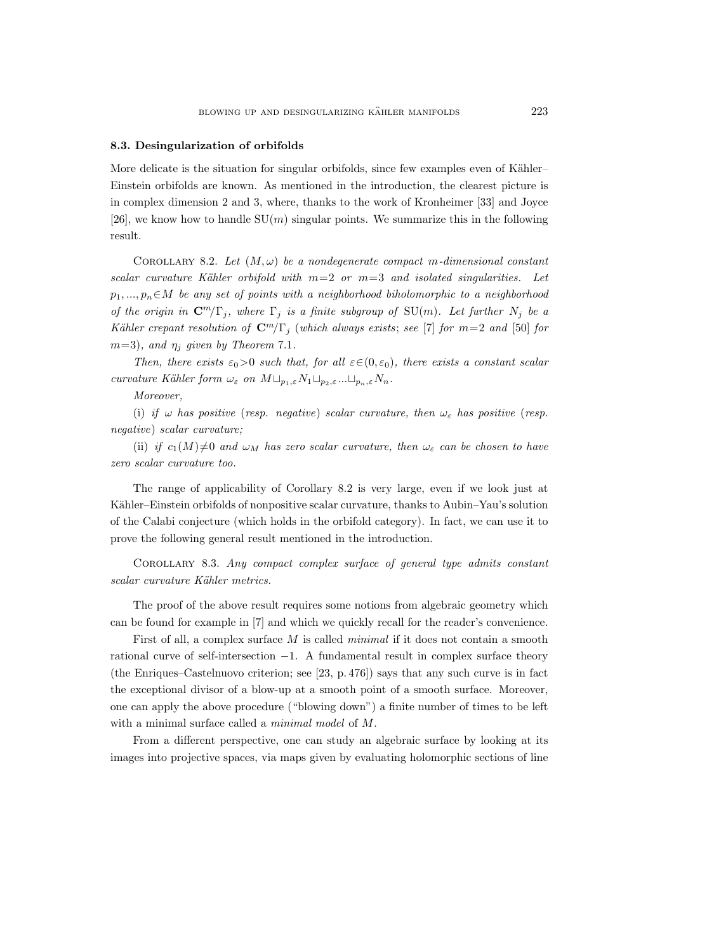#### 8.3. Desingularization of orbifolds

More delicate is the situation for singular orbifolds, since few examples even of Kähler– Einstein orbifolds are known. As mentioned in the introduction, the clearest picture is in complex dimension 2 and 3, where, thanks to the work of Kronheimer [33] and Joyce [26], we know how to handle  $SU(m)$  singular points. We summarize this in the following result.

COROLLARY 8.2. Let  $(M, \omega)$  be a nondegenerate compact m-dimensional constant scalar curvature Kähler orbifold with  $m=2$  or  $m=3$  and isolated singularities. Let  $p_1, ..., p_n \in M$  be any set of points with a neighborhood biholomorphic to a neighborhood of the origin in  $\mathbb{C}^m/\Gamma_j$ , where  $\Gamma_j$  is a finite subgroup of  $\text{SU}(m)$ . Let further  $N_j$  be a Kähler crepant resolution of  $\mathbb{C}^m/\Gamma_j$  (which always exists; see [7] for  $m=2$  and [50] for  $m=3$ ), and  $\eta_i$  given by Theorem 7.1.

Then, there exists  $\varepsilon_0>0$  such that, for all  $\varepsilon \in (0, \varepsilon_0)$ , there exists a constant scalar curvature Kähler form  $\omega_{\varepsilon}$  on  $M \sqcup_{p_1,\varepsilon} N_1 \sqcup_{p_2,\varepsilon} \ldots \sqcup_{p_n,\varepsilon} N_n$ .

Moreover,

(i) if  $\omega$  has positive (resp. negative) scalar curvature, then  $\omega_{\varepsilon}$  has positive (resp. negative) scalar curvature;

(ii) if  $c_1(M)\neq 0$  and  $\omega_M$  has zero scalar curvature, then  $\omega_{\varepsilon}$  can be chosen to have zero scalar curvature too.

The range of applicability of Corollary 8.2 is very large, even if we look just at Kähler–Einstein orbifolds of nonpositive scalar curvature, thanks to Aubin–Yau's solution of the Calabi conjecture (which holds in the orbifold category). In fact, we can use it to prove the following general result mentioned in the introduction.

Corollary 8.3. Any compact complex surface of general type admits constant scalar curvature Kähler metrics.

The proof of the above result requires some notions from algebraic geometry which can be found for example in [7] and which we quickly recall for the reader's convenience.

First of all, a complex surface M is called *minimal* if it does not contain a smooth rational curve of self-intersection  $-1$ . A fundamental result in complex surface theory (the Enriques–Castelnuovo criterion; see [23, p. 476]) says that any such curve is in fact the exceptional divisor of a blow-up at a smooth point of a smooth surface. Moreover, one can apply the above procedure ("blowing down") a finite number of times to be left with a minimal surface called a minimal model of M.

From a different perspective, one can study an algebraic surface by looking at its images into projective spaces, via maps given by evaluating holomorphic sections of line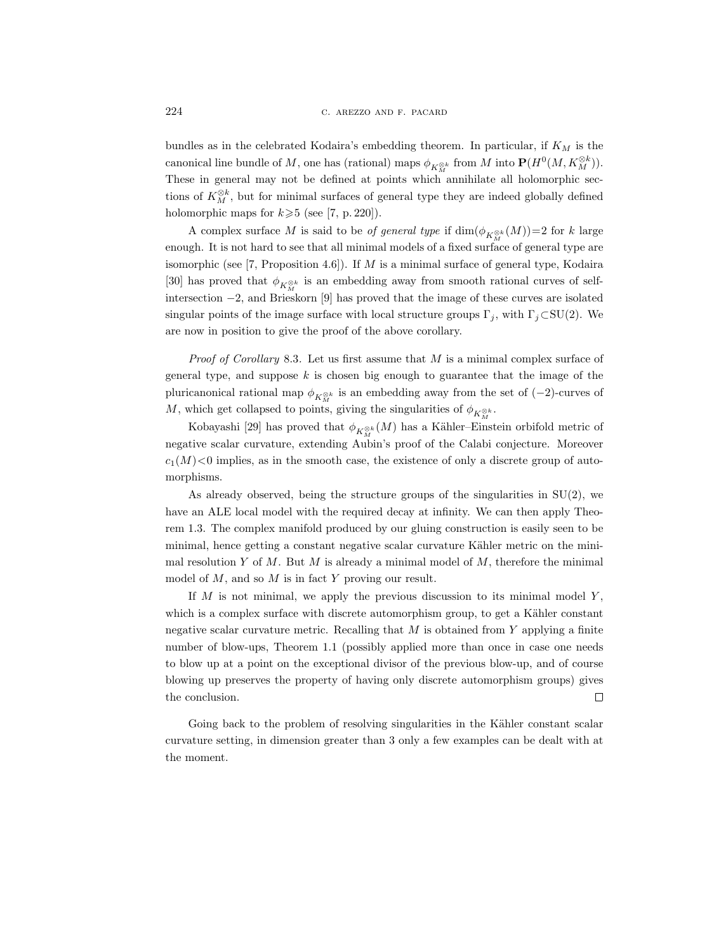bundles as in the celebrated Kodaira's embedding theorem. In particular, if  $K_M$  is the canonical line bundle of M, one has (rational) maps  $\phi_{K_M^{\otimes k}}$  from M into  $\mathbf{P}(H^0(M, K_M^{\otimes k}))$ . These in general may not be defined at points which annihilate all holomorphic sections of  $K_M^{\otimes k}$ , but for minimal surfaces of general type they are indeed globally defined holomorphic maps for  $k \geq 5$  (see [7, p. 220]).

A complex surface M is said to be *of general type* if  $\dim(\phi_{K_M^{\otimes k}}(M))=2$  for k large enough. It is not hard to see that all minimal models of a fixed surface of general type are isomorphic (see [7, Proposition 4.6]). If  $M$  is a minimal surface of general type, Kodaira [30] has proved that  $\phi_{K^{\otimes k}_M}$  is an embedding away from smooth rational curves of selfintersection −2, and Brieskorn [9] has proved that the image of these curves are isolated singular points of the image surface with local structure groups  $\Gamma_i$ , with  $\Gamma_i \subset SU(2)$ . We are now in position to give the proof of the above corollary.

*Proof of Corollary* 8.3. Let us first assume that  $M$  is a minimal complex surface of general type, and suppose  $k$  is chosen big enough to guarantee that the image of the pluricanonical rational map  $\phi_{K_M^{\otimes k}}$  is an embedding away from the set of  $(-2)$ -curves of M, which get collapsed to points, giving the singularities of  $\phi_{K^{\otimes k}_M}$ .

Kobayashi [29] has proved that  $\phi_{K^{\otimes k}_M}(M)$  has a Kähler–Einstein orbifold metric of negative scalar curvature, extending Aubin's proof of the Calabi conjecture. Moreover  $c_1(M) \leq 0$  implies, as in the smooth case, the existence of only a discrete group of automorphisms.

As already observed, being the structure groups of the singularities in  $SU(2)$ , we have an ALE local model with the required decay at infinity. We can then apply Theorem 1.3. The complex manifold produced by our gluing construction is easily seen to be minimal, hence getting a constant negative scalar curvature Kähler metric on the minimal resolution Y of M. But M is already a minimal model of  $M$ , therefore the minimal model of  $M$ , and so  $M$  is in fact  $Y$  proving our result.

If  $M$  is not minimal, we apply the previous discussion to its minimal model  $Y$ , which is a complex surface with discrete automorphism group, to get a Kähler constant negative scalar curvature metric. Recalling that  $M$  is obtained from  $Y$  applying a finite number of blow-ups, Theorem 1.1 (possibly applied more than once in case one needs to blow up at a point on the exceptional divisor of the previous blow-up, and of course blowing up preserves the property of having only discrete automorphism groups) gives the conclusion.  $\Box$ 

Going back to the problem of resolving singularities in the Kähler constant scalar curvature setting, in dimension greater than 3 only a few examples can be dealt with at the moment.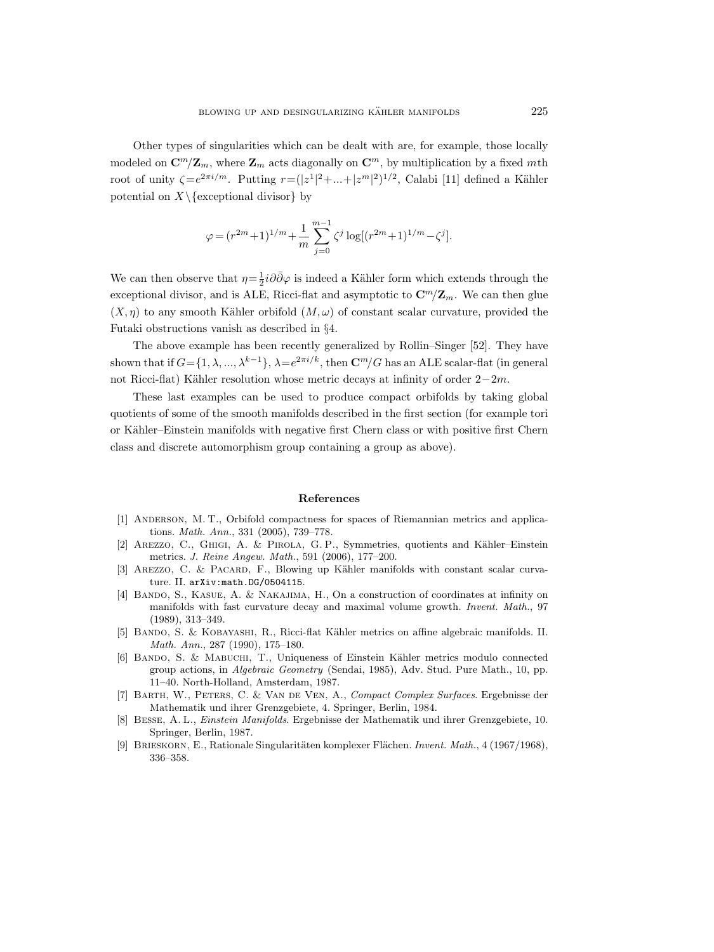Other types of singularities which can be dealt with are, for example, those locally modeled on  $\mathbf{C}^m/\mathbf{Z}_m$ , where  $\mathbf{Z}_m$  acts diagonally on  $\mathbf{C}^m$ , by multiplication by a fixed mth root of unity  $\zeta = e^{2\pi i/m}$ . Putting  $r = (|z^1|^2 + ... + |z^m|^2)^{1/2}$ , Calabi [11] defined a Kähler potential on  $X\setminus$  {exceptional divisor} by

$$
\varphi=(r^{2m}+1)^{1/m}+\frac{1}{m}\sum_{j=0}^{m-1}\zeta^j\log[(r^{2m}+1)^{1/m}-\zeta^j].
$$

We can then observe that  $\eta = \frac{1}{2} i \partial \bar{\partial} \varphi$  is indeed a Kähler form which extends through the exceptional divisor, and is ALE, Ricci-flat and asymptotic to  $\mathbf{C}^m/\mathbf{Z}_m$ . We can then glue  $(X, \eta)$  to any smooth Kähler orbifold  $(M, \omega)$  of constant scalar curvature, provided the Futaki obstructions vanish as described in §4.

The above example has been recently generalized by Rollin–Singer [52]. They have shown that if  $G = \{1, \lambda, ..., \lambda^{k-1}\}, \lambda = e^{2\pi i/k}$ , then  $\mathbb{C}^m/G$  has an ALE scalar-flat (in general not Ricci-flat) Kähler resolution whose metric decays at infinity of order  $2-2m$ .

These last examples can be used to produce compact orbifolds by taking global quotients of some of the smooth manifolds described in the first section (for example tori or Kähler–Einstein manifolds with negative first Chern class or with positive first Chern class and discrete automorphism group containing a group as above).

#### References

- [1] ANDERSON, M. T., Orbifold compactness for spaces of Riemannian metrics and applications. Math. Ann., 331 (2005), 739–778.
- [2] AREZZO, C., GHIGI, A. & PIROLA, G.P., Symmetries, quotients and Kähler–Einstein metrics. J. Reine Angew. Math., 591 (2006), 177–200.
- [3] AREZZO, C. & PACARD, F., Blowing up Kähler manifolds with constant scalar curvature. II. arXiv:math.DG/0504115.
- [4] BANDO, S., KASUE, A. & NAKAJIMA, H., On a construction of coordinates at infinity on manifolds with fast curvature decay and maximal volume growth. Invent. Math., 97 (1989), 313–349.
- [5] BANDO, S. & KOBAYASHI, R., Ricci-flat Kähler metrics on affine algebraic manifolds. II. Math. Ann., 287 (1990), 175–180.
- [6] Bando, S. & Mabuchi, T., Uniqueness of Einstein K¨ahler metrics modulo connected group actions, in Algebraic Geometry (Sendai, 1985), Adv. Stud. Pure Math., 10, pp. 11–40. North-Holland, Amsterdam, 1987.
- [7] Barth, W., Peters, C. & Van de Ven, A., Compact Complex Surfaces. Ergebnisse der Mathematik und ihrer Grenzgebiete, 4. Springer, Berlin, 1984.
- [8] Besse, A. L., Einstein Manifolds. Ergebnisse der Mathematik und ihrer Grenzgebiete, 10. Springer, Berlin, 1987.
- [9] BRIESKORN, E., Rationale Singularitäten komplexer Flächen. Invent. Math., 4 (1967/1968), 336–358.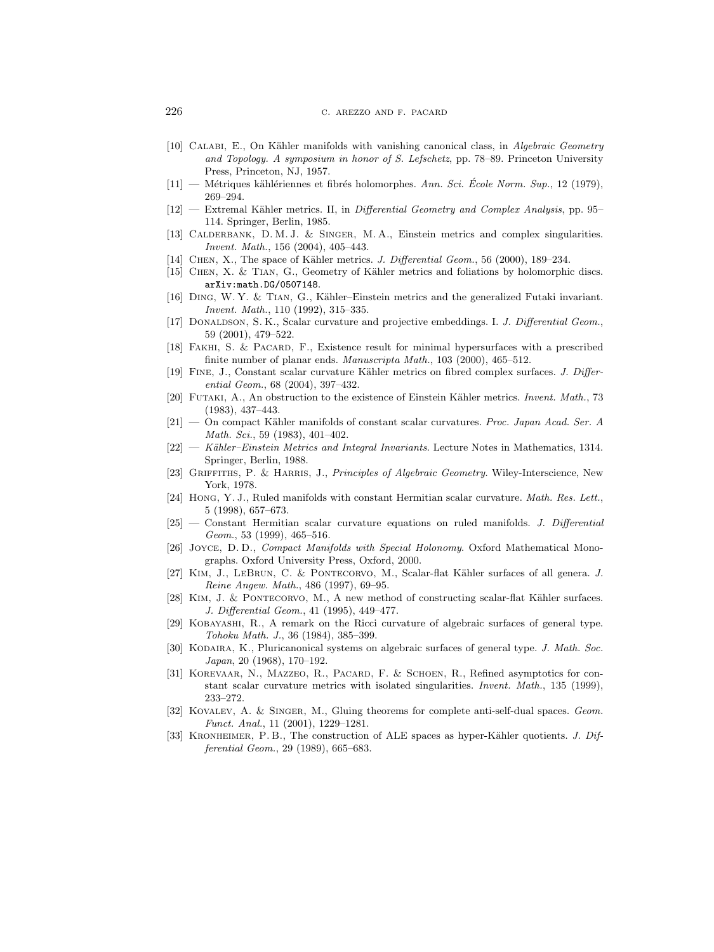- [10] CALABI, E., On Kähler manifolds with vanishing canonical class, in Algebraic Geometry and Topology. A symposium in honor of S. Lefschetz, pp. 78–89. Princeton University Press, Princeton, NJ, 1957.
- $[11]$  Métriques kählériennes et fibrés holomorphes. Ann. Sci. École Norm. Sup., 12 (1979), 269–294.
- $[12]$  Extremal Kähler metrics. II, in Differential Geometry and Complex Analysis, pp. 95– 114. Springer, Berlin, 1985.
- [13] CALDERBANK, D. M. J. & SINGER, M. A., Einstein metrics and complex singularities. Invent. Math., 156 (2004), 405–443.
- [14] CHEN, X., The space of Kähler metrics. J. Differential Geom., 56 (2000), 189–234.
- [15] CHEN, X. & TIAN, G., Geometry of Kähler metrics and foliations by holomorphic discs. arXiv:math.DG/0507148.
- [16] DING, W. Y. & TIAN, G., Kähler–Einstein metrics and the generalized Futaki invariant. Invent. Math., 110 (1992), 315–335.
- [17] DONALDSON, S. K., Scalar curvature and projective embeddings. I. J. Differential Geom., 59 (2001), 479–522.
- [18] FAKHI, S. & PACARD, F., Existence result for minimal hypersurfaces with a prescribed finite number of planar ends. Manuscripta Math., 103 (2000), 465–512.
- [19] FINE, J., Constant scalar curvature Kähler metrics on fibred complex surfaces. J. Differential Geom., 68 (2004), 397–432.
- [20] FUTAKI, A., An obstruction to the existence of Einstein Kähler metrics. *Invent. Math.*, 73 (1983), 437–443.
- $[21]$  On compact Kähler manifolds of constant scalar curvatures. Proc. Japan Acad. Ser. A Math. Sci., 59 (1983), 401–402.
- [22] Kähler–Einstein Metrics and Integral Invariants. Lecture Notes in Mathematics, 1314. Springer, Berlin, 1988.
- [23] GRIFFITHS, P. & HARRIS, J., Principles of Algebraic Geometry. Wiley-Interscience, New York, 1978.
- [24] Hong, Y. J., Ruled manifolds with constant Hermitian scalar curvature. Math. Res. Lett., 5 (1998), 657–673.
- [25] Constant Hermitian scalar curvature equations on ruled manifolds. J. Differential Geom., 53 (1999), 465–516.
- [26] Joyce, D. D., Compact Manifolds with Special Holonomy. Oxford Mathematical Monographs. Oxford University Press, Oxford, 2000.
- [27] KIM, J., LEBRUN, C. & PONTECORVO, M., Scalar-flat Kähler surfaces of all genera. J. Reine Angew. Math., 486 (1997), 69–95.
- [28] KIM, J. & PONTECORVO, M., A new method of constructing scalar-flat Kähler surfaces. J. Differential Geom., 41 (1995), 449–477.
- [29] Kobayashi, R., A remark on the Ricci curvature of algebraic surfaces of general type. Tohoku Math. J., 36 (1984), 385–399.
- [30] KODAIRA, K., Pluricanonical systems on algebraic surfaces of general type. J. Math. Soc. Japan, 20 (1968), 170–192.
- [31] Korevaar, N., Mazzeo, R., Pacard, F. & Schoen, R., Refined asymptotics for constant scalar curvature metrics with isolated singularities. Invent. Math., 135 (1999), 233–272.
- [32] KOVALEV, A. & SINGER, M., Gluing theorems for complete anti-self-dual spaces. Geom. Funct. Anal., 11 (2001), 1229–1281.
- [33] KRONHEIMER, P. B., The construction of ALE spaces as hyper-Kähler quotients. J. Differential Geom., 29 (1989), 665–683.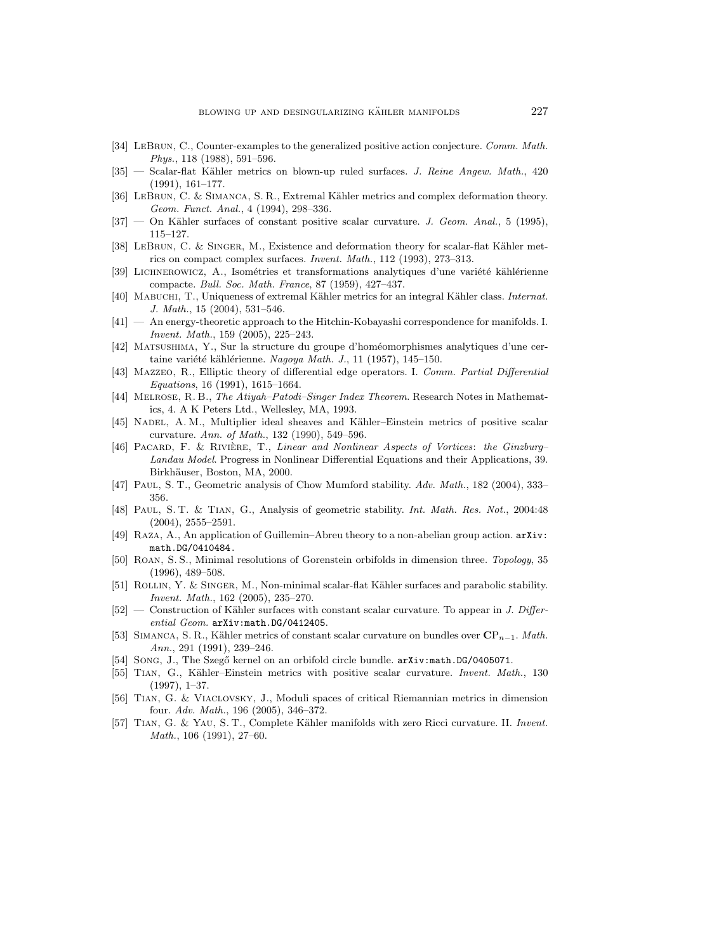- [34] LEBRUN, C., Counter-examples to the generalized positive action conjecture. Comm. Math. Phys., 118 (1988), 591–596.
- [35] Scalar-flat Kähler metrics on blown-up ruled surfaces. J. Reine Angew. Math., 420 (1991), 161–177.
- [36] LEBRUN, C. & SIMANCA, S. R., Extremal Kähler metrics and complex deformation theory. Geom. Funct. Anal., 4 (1994), 298–336.
- $[37]$  On Kähler surfaces of constant positive scalar curvature. J. Geom. Anal., 5 (1995), 115–127.
- [38] LEBRUN, C. & SINGER, M., Existence and deformation theory for scalar-flat Kähler metrics on compact complex surfaces. Invent. Math., 112 (1993), 273–313.
- [39] LICHNEROWICZ, A., Isométries et transformations analytiques d'une variété kählérienne compacte. Bull. Soc. Math. France, 87 (1959), 427–437.
- [40] MABUCHI, T., Uniqueness of extremal Kähler metrics for an integral Kähler class. Internat. J. Math., 15 (2004), 531–546.
- [41] An energy-theoretic approach to the Hitchin-Kobayashi correspondence for manifolds. I. Invent. Math., 159 (2005), 225–243.
- [42] Matsushima, Y., Sur la structure du groupe d'hom´eomorphismes analytiques d'une certaine variété kählérienne. Nagoya Math. J., 11 (1957), 145–150.
- [43] Mazzeo, R., Elliptic theory of differential edge operators. I. Comm. Partial Differential Equations, 16 (1991), 1615–1664.
- [44] Melrose, R. B., The Atiyah–Patodi–Singer Index Theorem. Research Notes in Mathematics, 4. A K Peters Ltd., Wellesley, MA, 1993.
- [45] NADEL, A. M., Multiplier ideal sheaves and Kähler–Einstein metrics of positive scalar curvature. Ann. of Math., 132 (1990), 549–596.
- [46] PACARD, F. & RIVIÈRE, T., Linear and Nonlinear Aspects of Vortices: the Ginzburg– Landau Model. Progress in Nonlinear Differential Equations and their Applications, 39. Birkhäuser, Boston, MA, 2000.
- [47] PAUL, S. T., Geometric analysis of Chow Mumford stability. Adv. Math., 182 (2004), 333– 356.
- [48] Paul, S. T. & Tian, G., Analysis of geometric stability. Int. Math. Res. Not., 2004:48 (2004), 2555–2591.
- [49] Raza, A., An application of Guillemin–Abreu theory to a non-abelian group action. arXiv: math.DG/0410484.
- [50] Roan, S. S., Minimal resolutions of Gorenstein orbifolds in dimension three. Topology, 35 (1996), 489–508.
- [51] ROLLIN, Y. & SINGER, M., Non-minimal scalar-flat Kähler surfaces and parabolic stability. Invent. Math., 162 (2005), 235–270.
- $[52]$  Construction of Kähler surfaces with constant scalar curvature. To appear in J. Differential Geom. arXiv:math.DG/0412405.
- [53] SIMANCA, S. R., Kähler metrics of constant scalar curvature on bundles over  $\mathbf{CP}_{n-1}$ . Math. Ann., 291 (1991), 239–246.
- [54] SONG, J., The Szegő kernel on an orbifold circle bundle.  $arXiv:math.DG/0405071$ .
- [55] TIAN, G., Kähler–Einstein metrics with positive scalar curvature. Invent. Math., 130 (1997), 1–37.
- [56] Tian, G. & Viaclovsky, J., Moduli spaces of critical Riemannian metrics in dimension four. Adv. Math., 196 (2005), 346–372.
- [57] TIAN, G. & YAU, S. T., Complete Kähler manifolds with zero Ricci curvature. II. Invent. Math., 106 (1991), 27–60.